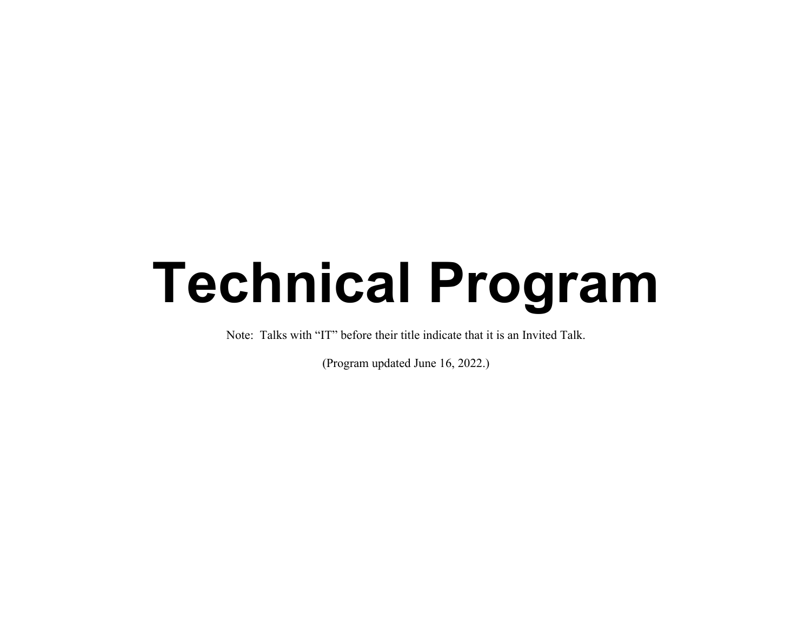# **Technical Program**

Note: Talks with "IT" before their title indicate that it is an Invited Talk.

(Program updated June 16, 2022.)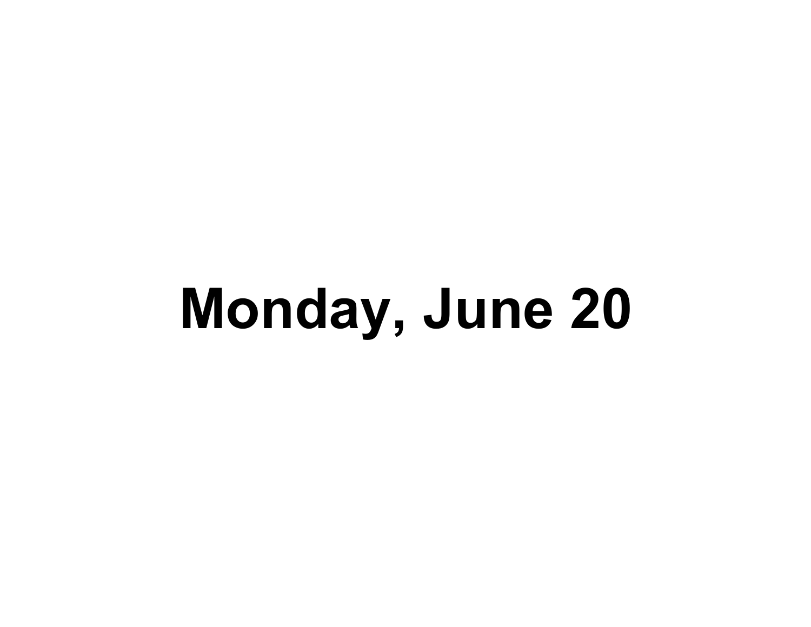# **Monday, June 20**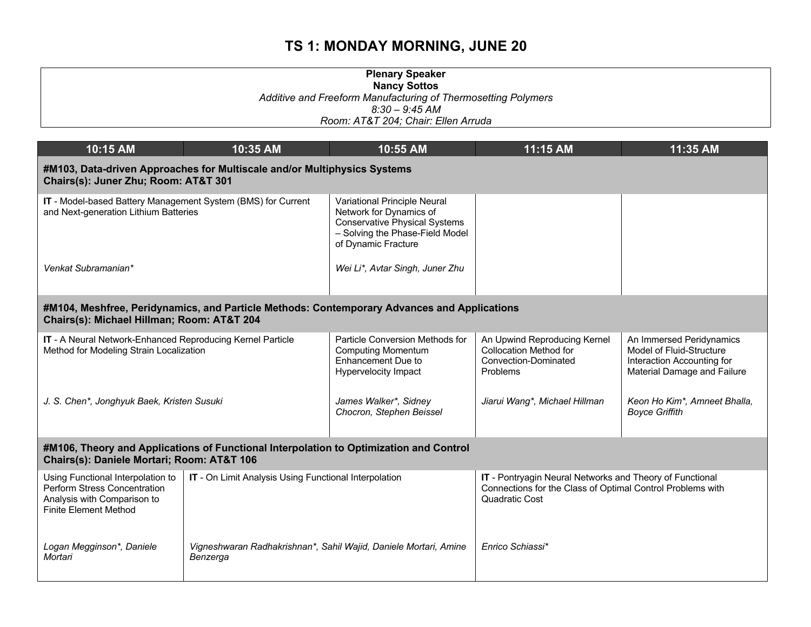#### **Plenary Speaker Nancy Sottos** *Additive and Freeform Manufacturing of Thermosetting Polymers 8:30 – 9:45 AM Room: AT&T 204; Chair: Ellen Arruda*

| 10:15 AM                                                                                                                         | 10:35 AM                                                                                                                                  | 10:55 AM                                                                                                                                                  | 11:15 AM                                                                                                                                        | 11:35 AM                                                                                                          |  |  |
|----------------------------------------------------------------------------------------------------------------------------------|-------------------------------------------------------------------------------------------------------------------------------------------|-----------------------------------------------------------------------------------------------------------------------------------------------------------|-------------------------------------------------------------------------------------------------------------------------------------------------|-------------------------------------------------------------------------------------------------------------------|--|--|
|                                                                                                                                  | #M103, Data-driven Approaches for Multiscale and/or Multiphysics Systems<br>Chairs(s): Juner Zhu; Room: AT&T 301                          |                                                                                                                                                           |                                                                                                                                                 |                                                                                                                   |  |  |
| IT - Model-based Battery Management System (BMS) for Current<br>and Next-generation Lithium Batteries                            |                                                                                                                                           | Variational Principle Neural<br>Network for Dynamics of<br><b>Conservative Physical Systems</b><br>- Solving the Phase-Field Model<br>of Dynamic Fracture |                                                                                                                                                 |                                                                                                                   |  |  |
| Venkat Subramanian*                                                                                                              |                                                                                                                                           | Wei Li*, Avtar Singh, Juner Zhu                                                                                                                           |                                                                                                                                                 |                                                                                                                   |  |  |
|                                                                                                                                  | #M104, Meshfree, Peridynamics, and Particle Methods: Contemporary Advances and Applications<br>Chairs(s): Michael Hillman; Room: AT&T 204 |                                                                                                                                                           |                                                                                                                                                 |                                                                                                                   |  |  |
| IT - A Neural Network-Enhanced Reproducing Kernel Particle<br>Method for Modeling Strain Localization                            |                                                                                                                                           | Particle Conversion Methods for<br><b>Computing Momentum</b><br>Enhancement Due to<br>Hypervelocity Impact                                                | An Upwind Reproducing Kernel<br><b>Collocation Method for</b><br>Convection-Dominated<br>Problems                                               | An Immersed Peridynamics<br>Model of Fluid-Structure<br>Interaction Accounting for<br>Material Damage and Failure |  |  |
| J. S. Chen*, Jonghyuk Baek, Kristen Susuki                                                                                       |                                                                                                                                           | James Walker*, Sidney<br>Chocron, Stephen Beissel                                                                                                         | Jiarui Wang*, Michael Hillman                                                                                                                   | Keon Ho Kim*, Amneet Bhalla,<br><b>Boyce Griffith</b>                                                             |  |  |
| Chairs(s): Daniele Mortari; Room: AT&T 106                                                                                       | #M106, Theory and Applications of Functional Interpolation to Optimization and Control                                                    |                                                                                                                                                           |                                                                                                                                                 |                                                                                                                   |  |  |
| Using Functional Interpolation to<br>Perform Stress Concentration<br>Analysis with Comparison to<br><b>Finite Element Method</b> | IT - On Limit Analysis Using Functional Interpolation                                                                                     |                                                                                                                                                           | IT - Pontryagin Neural Networks and Theory of Functional<br>Connections for the Class of Optimal Control Problems with<br><b>Quadratic Cost</b> |                                                                                                                   |  |  |
| Logan Megginson*, Daniele<br>Mortari                                                                                             | Vigneshwaran Radhakrishnan*, Sahil Wajid, Daniele Mortari, Amine<br>Benzerga                                                              |                                                                                                                                                           | Enrico Schiassi*                                                                                                                                |                                                                                                                   |  |  |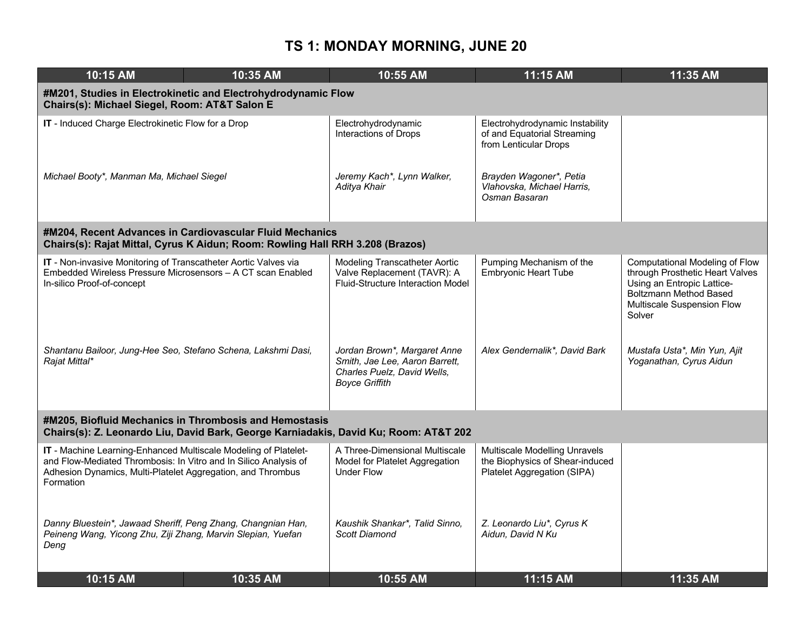| 10:15 AM                                                                                                                                                                                                        | 10:35 AM                                                                                                                                  | 10:55 AM                                                                                                               | 11:15 AM                                                                                        | 11:35 AM                                                                                                                                                                 |  |  |
|-----------------------------------------------------------------------------------------------------------------------------------------------------------------------------------------------------------------|-------------------------------------------------------------------------------------------------------------------------------------------|------------------------------------------------------------------------------------------------------------------------|-------------------------------------------------------------------------------------------------|--------------------------------------------------------------------------------------------------------------------------------------------------------------------------|--|--|
|                                                                                                                                                                                                                 | #M201, Studies in Electrokinetic and Electrohydrodynamic Flow<br>Chairs(s): Michael Siegel, Room: AT&T Salon E                            |                                                                                                                        |                                                                                                 |                                                                                                                                                                          |  |  |
| IT - Induced Charge Electrokinetic Flow for a Drop                                                                                                                                                              |                                                                                                                                           | Electrohydrodynamic<br><b>Interactions of Drops</b>                                                                    | Electrohydrodynamic Instability<br>of and Equatorial Streaming<br>from Lenticular Drops         |                                                                                                                                                                          |  |  |
| Michael Booty*, Manman Ma, Michael Siegel                                                                                                                                                                       |                                                                                                                                           | Jeremy Kach*, Lynn Walker,<br>Aditya Khair                                                                             | Brayden Wagoner*, Petia<br>Vlahovska, Michael Harris,<br>Osman Basaran                          |                                                                                                                                                                          |  |  |
|                                                                                                                                                                                                                 | #M204, Recent Advances in Cardiovascular Fluid Mechanics<br>Chairs(s): Rajat Mittal, Cyrus K Aidun; Room: Rowling Hall RRH 3.208 (Brazos) |                                                                                                                        |                                                                                                 |                                                                                                                                                                          |  |  |
| IT - Non-invasive Monitoring of Transcatheter Aortic Valves via<br>Embedded Wireless Pressure Microsensors - A CT scan Enabled<br>In-silico Proof-of-concept                                                    |                                                                                                                                           | Modeling Transcatheter Aortic<br>Valve Replacement (TAVR): A<br>Fluid-Structure Interaction Model                      | Pumping Mechanism of the<br><b>Embryonic Heart Tube</b>                                         | Computational Modeling of Flow<br>through Prosthetic Heart Valves<br>Using an Entropic Lattice-<br><b>Boltzmann Method Based</b><br>Multiscale Suspension Flow<br>Solver |  |  |
| Shantanu Bailoor, Jung-Hee Seo, Stefano Schena, Lakshmi Dasi,<br>Rajat Mittal*                                                                                                                                  |                                                                                                                                           | Jordan Brown*, Margaret Anne<br>Smith, Jae Lee, Aaron Barrett,<br>Charles Puelz, David Wells,<br><b>Boyce Griffith</b> | Alex Gendernalik*, David Bark                                                                   | Mustafa Usta*, Min Yun, Ajit<br>Yoganathan, Cyrus Aidun                                                                                                                  |  |  |
| #M205, Biofluid Mechanics in Thrombosis and Hemostasis<br>Chairs(s): Z. Leonardo Liu, David Bark, George Karniadakis, David Ku; Room: AT&T 202                                                                  |                                                                                                                                           |                                                                                                                        |                                                                                                 |                                                                                                                                                                          |  |  |
| IT - Machine Learning-Enhanced Multiscale Modeling of Platelet-<br>and Flow-Mediated Thrombosis: In Vitro and In Silico Analysis of<br>Adhesion Dynamics, Multi-Platelet Aggregation, and Thrombus<br>Formation |                                                                                                                                           | A Three-Dimensional Multiscale<br>Model for Platelet Aggregation<br><b>Under Flow</b>                                  | Multiscale Modelling Unravels<br>the Biophysics of Shear-induced<br>Platelet Aggregation (SIPA) |                                                                                                                                                                          |  |  |
| Danny Bluestein*, Jawaad Sheriff, Peng Zhang, Changnian Han,<br>Peineng Wang, Yicong Zhu, Ziji Zhang, Marvin Slepian, Yuefan<br>Dena                                                                            |                                                                                                                                           | Kaushik Shankar*, Talid Sinno,<br>Scott Diamond                                                                        | Z. Leonardo Liu*, Cyrus K<br>Aidun, David N Ku                                                  |                                                                                                                                                                          |  |  |
| 10:15 AM                                                                                                                                                                                                        | 10:35 AM                                                                                                                                  | 10:55 AM                                                                                                               | 11:15 AM                                                                                        | 11:35 AM                                                                                                                                                                 |  |  |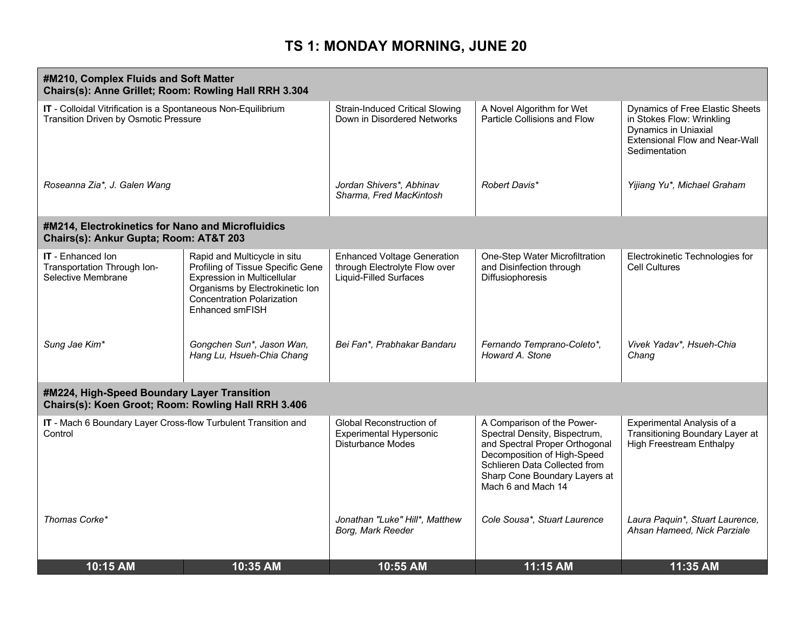| #M210, Complex Fluids and Soft Matter<br>Chairs(s): Anne Grillet; Room: Rowling Hall RRH 3.304                |                                                                                                                                                                                             |                                                                                                      |                                                                                                                                                                                                                      |                                                                                                                                         |
|---------------------------------------------------------------------------------------------------------------|---------------------------------------------------------------------------------------------------------------------------------------------------------------------------------------------|------------------------------------------------------------------------------------------------------|----------------------------------------------------------------------------------------------------------------------------------------------------------------------------------------------------------------------|-----------------------------------------------------------------------------------------------------------------------------------------|
| IT - Colloidal Vitrification is a Spontaneous Non-Equilibrium<br><b>Transition Driven by Osmotic Pressure</b> |                                                                                                                                                                                             | <b>Strain-Induced Critical Slowing</b><br>Down in Disordered Networks                                | A Novel Algorithm for Wet<br>Particle Collisions and Flow                                                                                                                                                            | Dynamics of Free Elastic Sheets<br>in Stokes Flow: Wrinkling<br>Dynamics in Uniaxial<br>Extensional Flow and Near-Wall<br>Sedimentation |
| Roseanna Zia*, J. Galen Wang                                                                                  |                                                                                                                                                                                             | Jordan Shivers*, Abhinav<br>Sharma, Fred MacKintosh                                                  | Robert Davis*                                                                                                                                                                                                        | Yijiang Yu*, Michael Graham                                                                                                             |
| #M214, Electrokinetics for Nano and Microfluidics<br>Chairs(s): Ankur Gupta; Room: AT&T 203                   |                                                                                                                                                                                             |                                                                                                      |                                                                                                                                                                                                                      |                                                                                                                                         |
| <b>IT</b> - Enhanced Ion<br>Transportation Through Ion-<br>Selective Membrane                                 | Rapid and Multicycle in situ<br>Profiling of Tissue Specific Gene<br>Expression in Multicellular<br>Organisms by Electrokinetic Ion<br><b>Concentration Polarization</b><br>Enhanced smFISH | <b>Enhanced Voltage Generation</b><br>through Electrolyte Flow over<br><b>Liquid-Filled Surfaces</b> | One-Step Water Microfiltration<br>and Disinfection through<br>Diffusiophoresis                                                                                                                                       | Electrokinetic Technologies for<br><b>Cell Cultures</b>                                                                                 |
| Sung Jae Kim*                                                                                                 | Gongchen Sun*, Jason Wan,<br>Hang Lu, Hsueh-Chia Chang                                                                                                                                      | Bei Fan*, Prabhakar Bandaru                                                                          | Fernando Temprano-Coleto*,<br>Howard A. Stone                                                                                                                                                                        | Vivek Yadav*, Hsueh-Chia<br>Chang                                                                                                       |
| #M224, High-Speed Boundary Layer Transition<br>Chairs(s): Koen Groot; Room: Rowling Hall RRH 3.406            |                                                                                                                                                                                             |                                                                                                      |                                                                                                                                                                                                                      |                                                                                                                                         |
| IT - Mach 6 Boundary Layer Cross-flow Turbulent Transition and<br>Control                                     |                                                                                                                                                                                             | Global Reconstruction of<br><b>Experimental Hypersonic</b><br>Disturbance Modes                      | A Comparison of the Power-<br>Spectral Density, Bispectrum,<br>and Spectral Proper Orthogonal<br>Decomposition of High-Speed<br>Schlieren Data Collected from<br>Sharp Cone Boundary Layers at<br>Mach 6 and Mach 14 | Experimental Analysis of a<br>Transitioning Boundary Layer at<br><b>High Freestream Enthalpy</b>                                        |
| Thomas Corke*                                                                                                 |                                                                                                                                                                                             | Jonathan "Luke" Hill*, Matthew<br>Borg, Mark Reeder                                                  | Cole Sousa*, Stuart Laurence                                                                                                                                                                                         | Laura Paquin*, Stuart Laurence,<br>Ahsan Hameed, Nick Parziale                                                                          |
| 10:15 AM                                                                                                      | 10:35 AM                                                                                                                                                                                    | 10:55 AM                                                                                             | 11:15 AM                                                                                                                                                                                                             | 11:35 AM                                                                                                                                |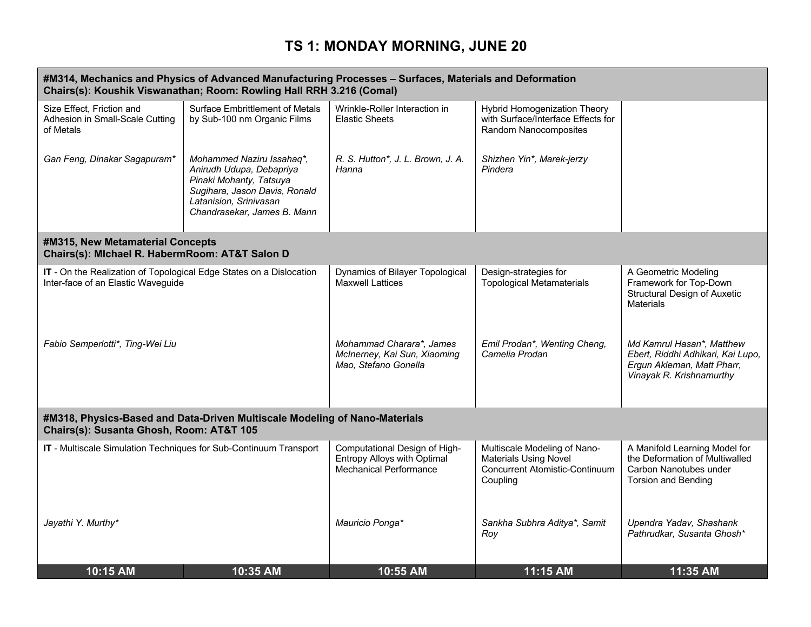| #M314, Mechanics and Physics of Advanced Manufacturing Processes - Surfaces, Materials and Deformation<br>Chairs(s): Koushik Viswanathan; Room: Rowling Hall RRH 3.216 (Comal) |                                                                                                                                                                            |                                                                                               |                                                                                                            |                                                                                                                          |
|--------------------------------------------------------------------------------------------------------------------------------------------------------------------------------|----------------------------------------------------------------------------------------------------------------------------------------------------------------------------|-----------------------------------------------------------------------------------------------|------------------------------------------------------------------------------------------------------------|--------------------------------------------------------------------------------------------------------------------------|
| Size Effect. Friction and<br>Adhesion in Small-Scale Cutting<br>of Metals                                                                                                      | <b>Surface Embrittlement of Metals</b><br>by Sub-100 nm Organic Films                                                                                                      | Wrinkle-Roller Interaction in<br><b>Elastic Sheets</b>                                        | Hybrid Homogenization Theory<br>with Surface/Interface Effects for<br>Random Nanocomposites                |                                                                                                                          |
| Gan Feng, Dinakar Sagapuram*                                                                                                                                                   | Mohammed Naziru Issahaq*,<br>Anirudh Udupa, Debapriya<br>Pinaki Mohanty, Tatsuya<br>Sugihara, Jason Davis, Ronald<br>Latanision, Srinivasan<br>Chandrasekar, James B. Mann | R. S. Hutton*, J. L. Brown, J. A.<br>Hanna                                                    | Shizhen Yin*, Marek-jerzy<br>Pindera                                                                       |                                                                                                                          |
| #M315, New Metamaterial Concepts<br>Chairs(s): Michael R. HabermRoom: AT&T Salon D                                                                                             |                                                                                                                                                                            |                                                                                               |                                                                                                            |                                                                                                                          |
| IT - On the Realization of Topological Edge States on a Dislocation<br>Inter-face of an Elastic Waveguide                                                                      |                                                                                                                                                                            | Dynamics of Bilayer Topological<br>Maxwell Lattices                                           | Design-strategies for<br><b>Topological Metamaterials</b>                                                  | A Geometric Modeling<br>Framework for Top-Down<br><b>Structural Design of Auxetic</b><br><b>Materials</b>                |
| Fabio Semperlotti*, Ting-Wei Liu                                                                                                                                               |                                                                                                                                                                            | Mohammad Charara*, James<br>McInerney, Kai Sun, Xiaoming<br>Mao, Stefano Gonella              | Emil Prodan*, Wenting Cheng,<br>Camelia Prodan                                                             | Md Kamrul Hasan*, Matthew<br>Ebert, Riddhi Adhikari, Kai Lupo,<br>Ergun Akleman, Matt Pharr,<br>Vinayak R. Krishnamurthy |
| #M318, Physics-Based and Data-Driven Multiscale Modeling of Nano-Materials<br>Chairs(s): Susanta Ghosh, Room: AT&T 105                                                         |                                                                                                                                                                            |                                                                                               |                                                                                                            |                                                                                                                          |
| IT - Multiscale Simulation Techniques for Sub-Continuum Transport                                                                                                              |                                                                                                                                                                            | Computational Design of High-<br><b>Entropy Alloys with Optimal</b><br>Mechanical Performance | Multiscale Modeling of Nano-<br><b>Materials Using Novel</b><br>Concurrent Atomistic-Continuum<br>Coupling | A Manifold Learning Model for<br>the Deformation of Multiwalled<br>Carbon Nanotubes under<br><b>Torsion and Bending</b>  |
| Jayathi Y. Murthy*                                                                                                                                                             |                                                                                                                                                                            | Mauricio Ponga*                                                                               | Sankha Subhra Aditya*, Samit<br>Roy                                                                        | Upendra Yadav, Shashank<br>Pathrudkar, Susanta Ghosh*                                                                    |
| 10:15 AM                                                                                                                                                                       | 10:35 AM                                                                                                                                                                   | 10:55 AM                                                                                      | 11:15 AM                                                                                                   | 11:35 AM                                                                                                                 |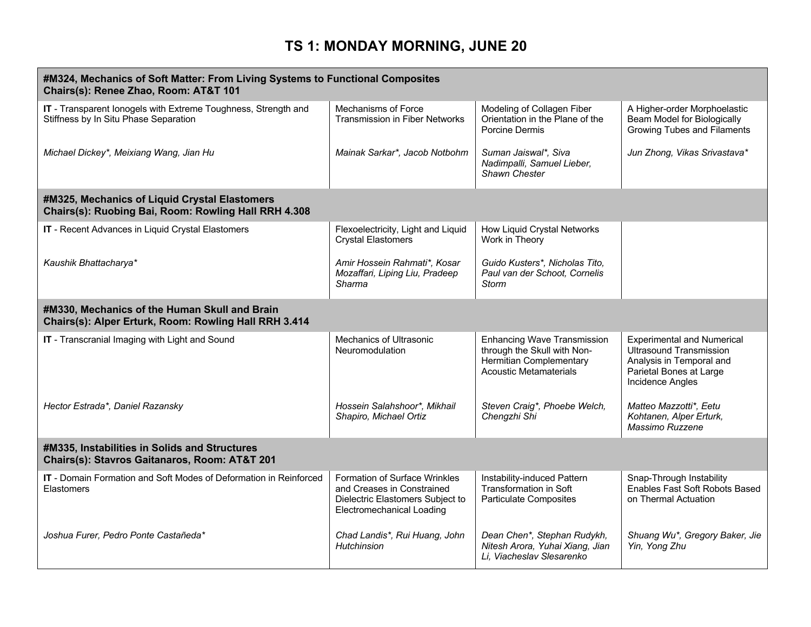| #M324, Mechanics of Soft Matter: From Living Systems to Functional Composites<br>Chairs(s): Renee Zhao, Room: AT&T 101 |                                                                                                                                     |                                                                                                                                      |                                                                                                                                                |  |
|------------------------------------------------------------------------------------------------------------------------|-------------------------------------------------------------------------------------------------------------------------------------|--------------------------------------------------------------------------------------------------------------------------------------|------------------------------------------------------------------------------------------------------------------------------------------------|--|
| IT - Transparent lonogels with Extreme Toughness, Strength and<br>Stiffness by In Situ Phase Separation                | Mechanisms of Force<br><b>Transmission in Fiber Networks</b>                                                                        | Modeling of Collagen Fiber<br>Orientation in the Plane of the<br>Porcine Dermis                                                      | A Higher-order Morphoelastic<br>Beam Model for Biologically<br>Growing Tubes and Filaments                                                     |  |
| Michael Dickey*, Meixiang Wang, Jian Hu                                                                                | Mainak Sarkar*, Jacob Notbohm                                                                                                       | Suman Jaiswal*, Siva<br>Nadimpalli, Samuel Lieber,<br>Shawn Chester                                                                  | Jun Zhong, Vikas Srivastava*                                                                                                                   |  |
| #M325, Mechanics of Liquid Crystal Elastomers<br>Chairs(s): Ruobing Bai, Room: Rowling Hall RRH 4.308                  |                                                                                                                                     |                                                                                                                                      |                                                                                                                                                |  |
| IT - Recent Advances in Liquid Crystal Elastomers                                                                      | Flexoelectricity, Light and Liquid<br><b>Crystal Elastomers</b>                                                                     | How Liquid Crystal Networks<br>Work in Theory                                                                                        |                                                                                                                                                |  |
| Kaushik Bhattacharya*                                                                                                  | Amir Hossein Rahmati*, Kosar<br>Mozaffari, Liping Liu, Pradeep<br>Sharma                                                            | Guido Kusters*, Nicholas Tito,<br>Paul van der Schoot, Cornelis<br>Storm                                                             |                                                                                                                                                |  |
| #M330, Mechanics of the Human Skull and Brain<br>Chairs(s): Alper Erturk, Room: Rowling Hall RRH 3.414                 |                                                                                                                                     |                                                                                                                                      |                                                                                                                                                |  |
| IT - Transcranial Imaging with Light and Sound                                                                         | Mechanics of Ultrasonic<br>Neuromodulation                                                                                          | <b>Enhancing Wave Transmission</b><br>through the Skull with Non-<br><b>Hermitian Complementary</b><br><b>Acoustic Metamaterials</b> | <b>Experimental and Numerical</b><br><b>Ultrasound Transmission</b><br>Analysis in Temporal and<br>Parietal Bones at Large<br>Incidence Angles |  |
| Hector Estrada*, Daniel Razansky                                                                                       | Hossein Salahshoor*, Mikhail<br>Shapiro, Michael Ortiz                                                                              | Steven Craig*, Phoebe Welch,<br>Chengzhi Shi                                                                                         | Matteo Mazzotti*, Eetu<br>Kohtanen, Alper Erturk,<br>Massimo Ruzzene                                                                           |  |
| #M335, Instabilities in Solids and Structures<br>Chairs(s): Stavros Gaitanaros, Room: AT&T 201                         |                                                                                                                                     |                                                                                                                                      |                                                                                                                                                |  |
| <b>IT</b> - Domain Formation and Soft Modes of Deformation in Reinforced<br>Elastomers                                 | <b>Formation of Surface Wrinkles</b><br>and Creases in Constrained<br>Dielectric Elastomers Subject to<br>Electromechanical Loading | Instability-induced Pattern<br><b>Transformation in Soft</b><br><b>Particulate Composites</b>                                        | Snap-Through Instability<br>Enables Fast Soft Robots Based<br>on Thermal Actuation                                                             |  |
| Joshua Furer, Pedro Ponte Castañeda*                                                                                   | Chad Landis*, Rui Huang, John<br>Hutchinsion                                                                                        | Dean Chen*, Stephan Rudykh,<br>Nitesh Arora, Yuhai Xiang, Jian<br>Li, Viacheslav Slesarenko                                          | Shuang Wu*, Gregory Baker, Jie<br>Yin, Yong Zhu                                                                                                |  |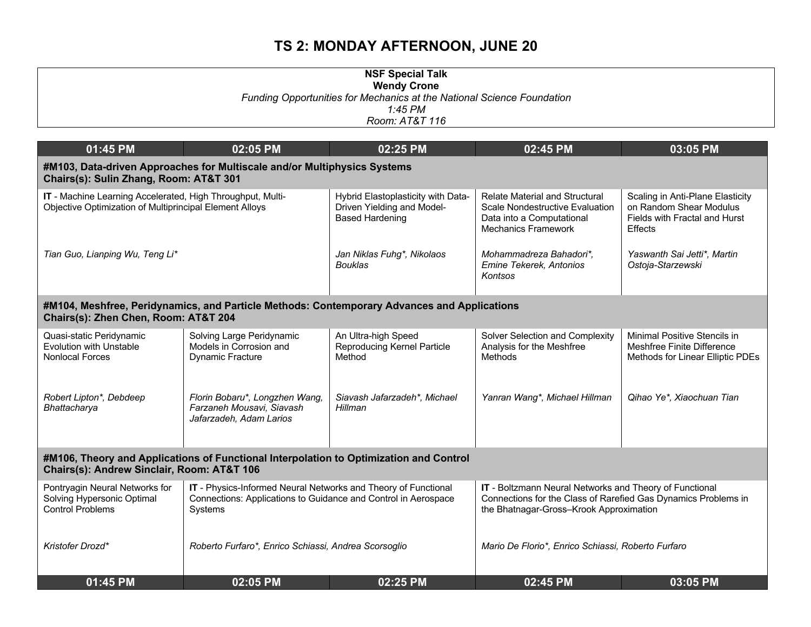| <b>NSF Special Talk</b><br><b>Wendy Crone</b><br>Funding Opportunities for Mechanics at the National Science Foundation<br>$1:45$ PM |                                                                                                                                             |                                                                                             |                                                                                                                                                                      |                                                                                                                |  |
|--------------------------------------------------------------------------------------------------------------------------------------|---------------------------------------------------------------------------------------------------------------------------------------------|---------------------------------------------------------------------------------------------|----------------------------------------------------------------------------------------------------------------------------------------------------------------------|----------------------------------------------------------------------------------------------------------------|--|
| Room: AT&T 116                                                                                                                       |                                                                                                                                             |                                                                                             |                                                                                                                                                                      |                                                                                                                |  |
| 01:45 PM                                                                                                                             | 02:05 PM                                                                                                                                    | 02:25 PM                                                                                    | 02:45 PM                                                                                                                                                             | 03:05 PM                                                                                                       |  |
| Chairs(s): Sulin Zhang, Room: AT&T 301                                                                                               | #M103, Data-driven Approaches for Multiscale and/or Multiphysics Systems                                                                    |                                                                                             |                                                                                                                                                                      |                                                                                                                |  |
| IT - Machine Learning Accelerated, High Throughput, Multi-<br>Objective Optimization of Multiprincipal Element Alloys                |                                                                                                                                             | Hybrid Elastoplasticity with Data-<br>Driven Yielding and Model-<br><b>Based Hardening</b>  | <b>Relate Material and Structural</b><br><b>Scale Nondestructive Evaluation</b><br>Data into a Computational<br><b>Mechanics Framework</b>                           | Scaling in Anti-Plane Elasticity<br>on Random Shear Modulus<br>Fields with Fractal and Hurst<br><b>Effects</b> |  |
| Tian Guo, Lianping Wu, Teng Li*                                                                                                      |                                                                                                                                             | Jan Niklas Fuhg*, Nikolaos<br><b>Bouklas</b>                                                | Mohammadreza Bahadori*,<br>Emine Tekerek, Antonios<br>Kontsos                                                                                                        | Yaswanth Sai Jetti*, Martin<br>Ostoja-Starzewski                                                               |  |
| Chairs(s): Zhen Chen, Room: AT&T 204                                                                                                 |                                                                                                                                             | #M104, Meshfree, Peridynamics, and Particle Methods: Contemporary Advances and Applications |                                                                                                                                                                      |                                                                                                                |  |
| Quasi-static Peridynamic<br>Evolution with Unstable<br><b>Nonlocal Forces</b>                                                        | Solving Large Peridynamic<br>Models in Corrosion and<br>Dynamic Fracture                                                                    | An Ultra-high Speed<br>Reproducing Kernel Particle<br>Method                                | Solver Selection and Complexity<br>Analysis for the Meshfree<br>Methods                                                                                              | Minimal Positive Stencils in<br>Meshfree Finite Difference<br>Methods for Linear Elliptic PDEs                 |  |
| Robert Lipton*, Debdeep<br>Bhattacharya                                                                                              | Florin Bobaru*, Longzhen Wang,<br>Farzaneh Mousavi, Siavash<br>Jafarzadeh, Adam Larios                                                      | Siavash Jafarzadeh*, Michael<br>Hillman                                                     | Yanran Wang*, Michael Hillman                                                                                                                                        | Qihao Ye*, Xiaochuan Tian                                                                                      |  |
| #M106, Theory and Applications of Functional Interpolation to Optimization and Control<br>Chairs(s): Andrew Sinclair, Room: AT&T 106 |                                                                                                                                             |                                                                                             |                                                                                                                                                                      |                                                                                                                |  |
| Pontryagin Neural Networks for<br>Solving Hypersonic Optimal<br><b>Control Problems</b>                                              | IT - Physics-Informed Neural Networks and Theory of Functional<br>Connections: Applications to Guidance and Control in Aerospace<br>Systems |                                                                                             | IT - Boltzmann Neural Networks and Theory of Functional<br>Connections for the Class of Rarefied Gas Dynamics Problems in<br>the Bhatnagar-Gross-Krook Approximation |                                                                                                                |  |
| Kristofer Drozd*                                                                                                                     | Roberto Furfaro*, Enrico Schiassi, Andrea Scorsoglio                                                                                        |                                                                                             | Mario De Florio*, Enrico Schiassi, Roberto Furfaro                                                                                                                   |                                                                                                                |  |
| 01:45 PM                                                                                                                             | 02:05 PM                                                                                                                                    | 02:25 PM                                                                                    | 02:45 PM                                                                                                                                                             | 03:05 PM                                                                                                       |  |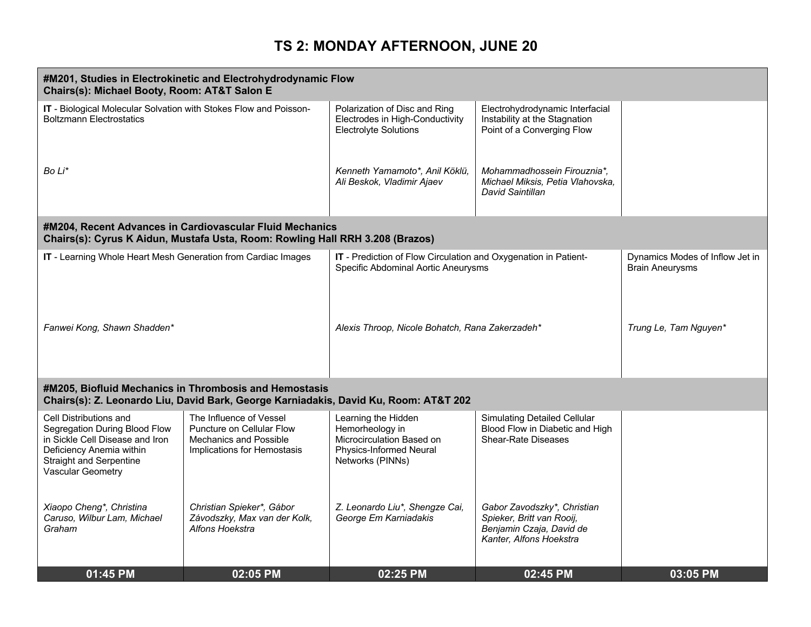|                                                                                                                                                                                      | #M201, Studies in Electrokinetic and Electrohydrodynamic Flow<br>Chairs(s): Michael Booty, Room: AT&T Salon E                                  |                                                                                                                    |                                                                                                                 |                                                           |  |
|--------------------------------------------------------------------------------------------------------------------------------------------------------------------------------------|------------------------------------------------------------------------------------------------------------------------------------------------|--------------------------------------------------------------------------------------------------------------------|-----------------------------------------------------------------------------------------------------------------|-----------------------------------------------------------|--|
| IT - Biological Molecular Solvation with Stokes Flow and Poisson-<br><b>Boltzmann Electrostatics</b>                                                                                 |                                                                                                                                                | Polarization of Disc and Ring<br>Electrodes in High-Conductivity<br><b>Electrolyte Solutions</b>                   | Electrohydrodynamic Interfacial<br>Instability at the Stagnation<br>Point of a Converging Flow                  |                                                           |  |
| Bo Li*                                                                                                                                                                               |                                                                                                                                                | Kenneth Yamamoto*, Anil Köklü,<br>Ali Beskok, Vladimir Ajaev                                                       | Mohammadhossein Firouznia*,<br>Michael Miksis, Petia Vlahovska,<br>David Saintillan                             |                                                           |  |
|                                                                                                                                                                                      | #M204, Recent Advances in Cardiovascular Fluid Mechanics<br>Chairs(s): Cyrus K Aidun, Mustafa Usta, Room: Rowling Hall RRH 3.208 (Brazos)      |                                                                                                                    |                                                                                                                 |                                                           |  |
| IT - Learning Whole Heart Mesh Generation from Cardiac Images                                                                                                                        |                                                                                                                                                | IT - Prediction of Flow Circulation and Oxygenation in Patient-<br>Specific Abdominal Aortic Aneurysms             |                                                                                                                 | Dynamics Modes of Inflow Jet in<br><b>Brain Aneurysms</b> |  |
| Fanwei Kong, Shawn Shadden*                                                                                                                                                          |                                                                                                                                                | Alexis Throop, Nicole Bohatch, Rana Zakerzadeh*                                                                    |                                                                                                                 | Trung Le, Tam Nguyen*                                     |  |
|                                                                                                                                                                                      | #M205, Biofluid Mechanics in Thrombosis and Hemostasis<br>Chairs(s): Z. Leonardo Liu, David Bark, George Karniadakis, David Ku, Room: AT&T 202 |                                                                                                                    |                                                                                                                 |                                                           |  |
| Cell Distributions and<br>Segregation During Blood Flow<br>in Sickle Cell Disease and Iron<br>Deficiency Anemia within<br><b>Straight and Serpentine</b><br><b>Vascular Geometry</b> | The Influence of Vessel<br>Puncture on Cellular Flow<br><b>Mechanics and Possible</b><br>Implications for Hemostasis                           | Learning the Hidden<br>Hemorheology in<br>Microcirculation Based on<br>Physics-Informed Neural<br>Networks (PINNs) | <b>Simulating Detailed Cellular</b><br>Blood Flow in Diabetic and High<br><b>Shear-Rate Diseases</b>            |                                                           |  |
| Xiaopo Cheng*, Christina<br>Caruso, Wilbur Lam, Michael<br>Graham                                                                                                                    | Christian Spieker*, Gábor<br>Závodszky, Max van der Kolk,<br>Alfons Hoekstra                                                                   | Z. Leonardo Liu*, Shengze Cai,<br>George Em Karniadakis                                                            | Gabor Zavodszky*, Christian<br>Spieker, Britt van Rooij,<br>Benjamin Czaja, David de<br>Kanter, Alfons Hoekstra |                                                           |  |
| 01:45 PM                                                                                                                                                                             | 02:05 PM                                                                                                                                       | 02:25 PM                                                                                                           | 02:45 PM                                                                                                        | 03:05 PM                                                  |  |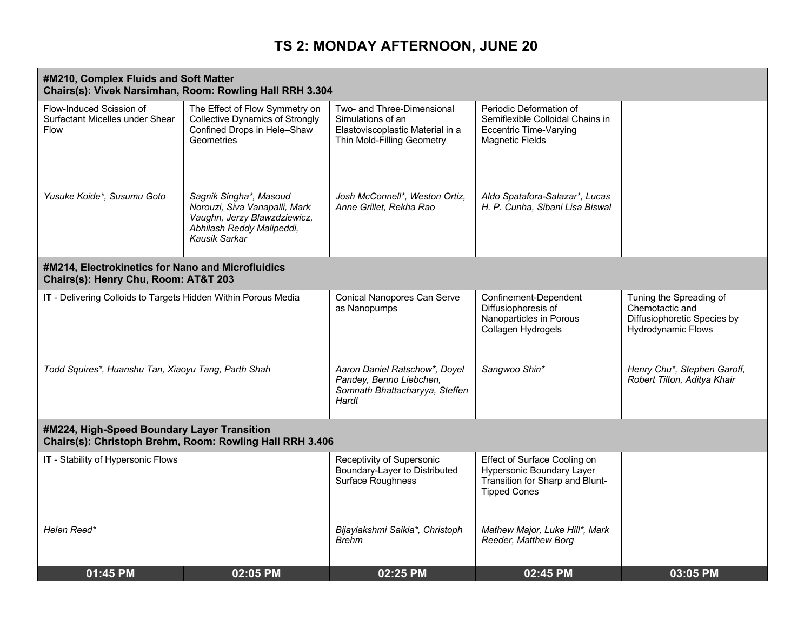| #M210, Complex Fluids and Soft Matter<br>Chairs(s): Vivek Narsimhan, Room: Rowling Hall RRH 3.304       |                                                                                                                                       |                                                                                                                   |                                                                                                                            |                                                                                                        |  |
|---------------------------------------------------------------------------------------------------------|---------------------------------------------------------------------------------------------------------------------------------------|-------------------------------------------------------------------------------------------------------------------|----------------------------------------------------------------------------------------------------------------------------|--------------------------------------------------------------------------------------------------------|--|
| Flow-Induced Scission of<br>Surfactant Micelles under Shear<br>Flow                                     | The Effect of Flow Symmetry on<br><b>Collective Dynamics of Strongly</b><br>Confined Drops in Hele-Shaw<br>Geometries                 | Two- and Three-Dimensional<br>Simulations of an<br>Elastoviscoplastic Material in a<br>Thin Mold-Filling Geometry | Periodic Deformation of<br>Semiflexible Colloidal Chains in<br><b>Eccentric Time-Varying</b><br><b>Magnetic Fields</b>     |                                                                                                        |  |
| Yusuke Koide*, Susumu Goto                                                                              | Sagnik Singha*, Masoud<br>Norouzi, Siva Vanapalli, Mark<br>Vaughn, Jerzy Blawzdziewicz,<br>Abhilash Reddy Malipeddi,<br>Kausik Sarkar | Josh McConnell*, Weston Ortiz,<br>Anne Grillet, Rekha Rao                                                         | Aldo Spatafora-Salazar*, Lucas<br>H. P. Cunha, Sibani Lisa Biswal                                                          |                                                                                                        |  |
| #M214, Electrokinetics for Nano and Microfluidics<br>Chairs(s): Henry Chu, Room: AT&T 203               |                                                                                                                                       |                                                                                                                   |                                                                                                                            |                                                                                                        |  |
| IT - Delivering Colloids to Targets Hidden Within Porous Media                                          |                                                                                                                                       | <b>Conical Nanopores Can Serve</b><br>as Nanopumps                                                                | Confinement-Dependent<br>Diffusiophoresis of<br>Nanoparticles in Porous<br>Collagen Hydrogels                              | Tuning the Spreading of<br>Chemotactic and<br>Diffusiophoretic Species by<br><b>Hydrodynamic Flows</b> |  |
| Todd Squires*, Huanshu Tan, Xiaoyu Tang, Parth Shah                                                     |                                                                                                                                       | Aaron Daniel Ratschow*, Doyel<br>Pandey, Benno Liebchen,<br>Somnath Bhattacharyya, Steffen<br>Hardt               | Sangwoo Shin*                                                                                                              | Henry Chu*, Stephen Garoff,<br>Robert Tilton, Aditya Khair                                             |  |
| #M224, High-Speed Boundary Layer Transition<br>Chairs(s): Christoph Brehm, Room: Rowling Hall RRH 3.406 |                                                                                                                                       |                                                                                                                   |                                                                                                                            |                                                                                                        |  |
| IT - Stability of Hypersonic Flows                                                                      |                                                                                                                                       | Receptivity of Supersonic<br>Boundary-Layer to Distributed<br><b>Surface Roughness</b>                            | Effect of Surface Cooling on<br><b>Hypersonic Boundary Layer</b><br>Transition for Sharp and Blunt-<br><b>Tipped Cones</b> |                                                                                                        |  |
| Helen Reed*                                                                                             |                                                                                                                                       | Bijaylakshmi Saikia*, Christoph<br>Brehm                                                                          | Mathew Major, Luke Hill*, Mark<br>Reeder, Matthew Borg                                                                     |                                                                                                        |  |
| 01:45 PM                                                                                                | 02:05 PM                                                                                                                              | 02:25 PM                                                                                                          | 02:45 PM                                                                                                                   | 03:05 PM                                                                                               |  |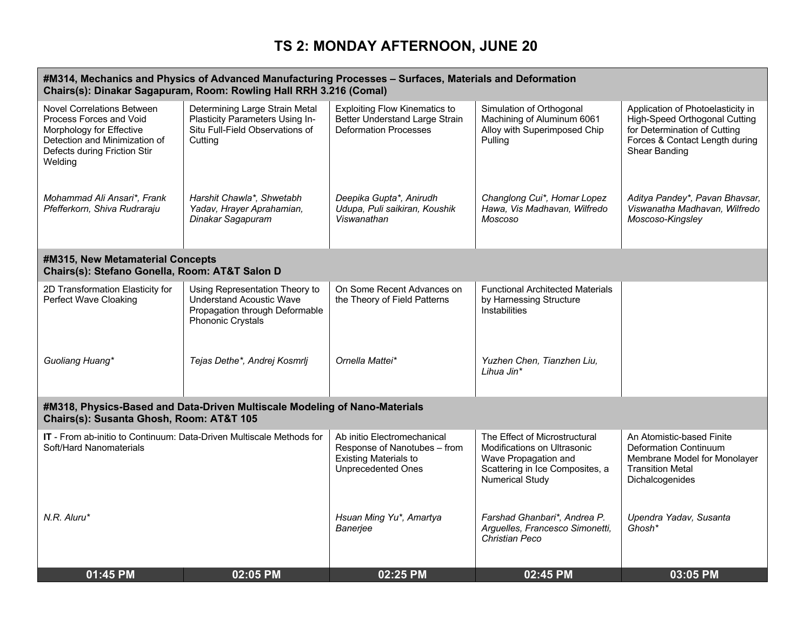| #M314, Mechanics and Physics of Advanced Manufacturing Processes - Surfaces, Materials and Deformation<br>Chairs(s): Dinakar Sagapuram, Room: Rowling Hall RRH 3.216 (Comal) |                                                                                                                          |                                                                                                                          |                                                                                                                                                   |                                                                                                                                                       |
|------------------------------------------------------------------------------------------------------------------------------------------------------------------------------|--------------------------------------------------------------------------------------------------------------------------|--------------------------------------------------------------------------------------------------------------------------|---------------------------------------------------------------------------------------------------------------------------------------------------|-------------------------------------------------------------------------------------------------------------------------------------------------------|
| <b>Novel Correlations Between</b><br>Process Forces and Void<br>Morphology for Effective<br>Detection and Minimization of<br>Defects during Friction Stir<br>Welding         | Determining Large Strain Metal<br>Plasticity Parameters Using In-<br>Situ Full-Field Observations of<br>Cutting          | <b>Exploiting Flow Kinematics to</b><br>Better Understand Large Strain<br><b>Deformation Processes</b>                   | Simulation of Orthogonal<br>Machining of Aluminum 6061<br>Alloy with Superimposed Chip<br>Pulling                                                 | Application of Photoelasticity in<br>High-Speed Orthogonal Cutting<br>for Determination of Cutting<br>Forces & Contact Length during<br>Shear Banding |
| Mohammad Ali Ansari*, Frank<br>Pfefferkorn, Shiva Rudraraju                                                                                                                  | Harshit Chawla*, Shwetabh<br>Yadav, Hrayer Aprahamian,<br>Dinakar Sagapuram                                              | Deepika Gupta*, Anirudh<br>Udupa, Puli saikiran, Koushik<br>Viswanathan                                                  | Changlong Cui*, Homar Lopez<br>Hawa, Vis Madhavan, Wilfredo<br>Moscoso                                                                            | Aditya Pandey*, Pavan Bhavsar,<br>Viswanatha Madhavan, Wilfredo<br>Moscoso-Kingsley                                                                   |
| #M315, New Metamaterial Concepts<br>Chairs(s): Stefano Gonella, Room: AT&T Salon D                                                                                           |                                                                                                                          |                                                                                                                          |                                                                                                                                                   |                                                                                                                                                       |
| 2D Transformation Elasticity for<br><b>Perfect Wave Cloaking</b>                                                                                                             | Using Representation Theory to<br><b>Understand Acoustic Wave</b><br>Propagation through Deformable<br>Phononic Crystals | On Some Recent Advances on<br>the Theory of Field Patterns                                                               | <b>Functional Architected Materials</b><br>by Harnessing Structure<br>Instabilities                                                               |                                                                                                                                                       |
| Guoliang Huang*                                                                                                                                                              | Tejas Dethe*, Andrej Kosmrlj                                                                                             | Ornella Mattei*                                                                                                          | Yuzhen Chen, Tianzhen Liu,<br>Lihua Jin*                                                                                                          |                                                                                                                                                       |
| #M318, Physics-Based and Data-Driven Multiscale Modeling of Nano-Materials<br>Chairs(s): Susanta Ghosh, Room: AT&T 105                                                       |                                                                                                                          |                                                                                                                          |                                                                                                                                                   |                                                                                                                                                       |
| IT - From ab-initio to Continuum: Data-Driven Multiscale Methods for<br>Soft/Hard Nanomaterials                                                                              |                                                                                                                          | Ab initio Electromechanical<br>Response of Nanotubes - from<br><b>Existing Materials to</b><br><b>Unprecedented Ones</b> | The Effect of Microstructural<br>Modifications on Ultrasonic<br>Wave Propagation and<br>Scattering in Ice Composites, a<br><b>Numerical Study</b> | An Atomistic-based Finite<br>Deformation Continuum<br>Membrane Model for Monolayer<br><b>Transition Metal</b><br>Dichalcogenides                      |
| N.R. Aluru*                                                                                                                                                                  |                                                                                                                          | Hsuan Ming Yu*, Amartya<br>Banerjee                                                                                      | Farshad Ghanbari*, Andrea P.<br>Arguelles, Francesco Simonetti,<br><b>Christian Peco</b>                                                          | Upendra Yadav, Susanta<br>Ghosh*                                                                                                                      |
| 01:45 PM                                                                                                                                                                     | 02:05 PM                                                                                                                 | 02:25 PM                                                                                                                 | 02:45 PM                                                                                                                                          | 03:05 PM                                                                                                                                              |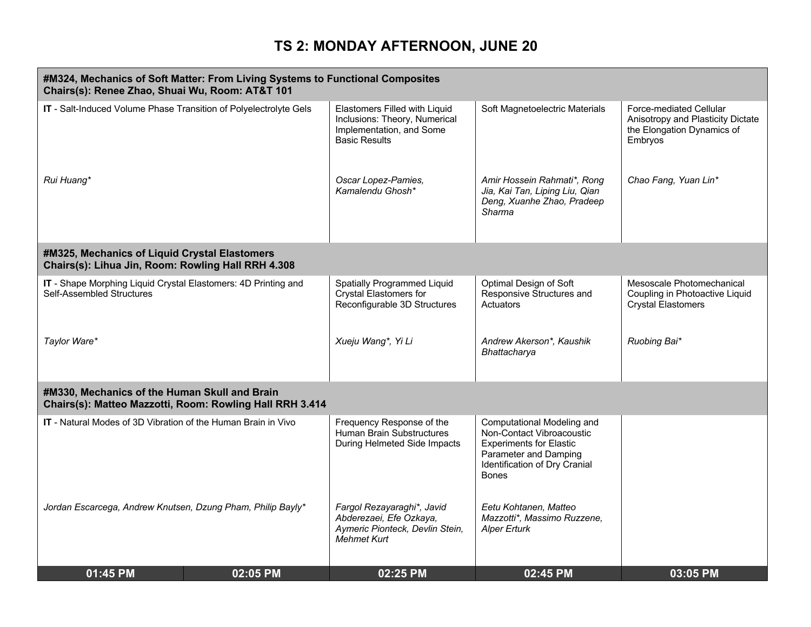| #M324, Mechanics of Soft Matter: From Living Systems to Functional Composites<br>Chairs(s): Renee Zhao, Shuai Wu, Room: AT&T 101 |                                                          |                                                                                                                    |                                                                                                                                                                     |                                                                                                       |
|----------------------------------------------------------------------------------------------------------------------------------|----------------------------------------------------------|--------------------------------------------------------------------------------------------------------------------|---------------------------------------------------------------------------------------------------------------------------------------------------------------------|-------------------------------------------------------------------------------------------------------|
| IT - Salt-Induced Volume Phase Transition of Polyelectrolyte Gels                                                                |                                                          | Elastomers Filled with Liquid<br>Inclusions: Theory, Numerical<br>Implementation, and Some<br><b>Basic Results</b> | Soft Magnetoelectric Materials                                                                                                                                      | Force-mediated Cellular<br>Anisotropy and Plasticity Dictate<br>the Elongation Dynamics of<br>Embryos |
| Rui Huang*                                                                                                                       |                                                          | Oscar Lopez-Pamies,<br>Kamalendu Ghosh*                                                                            | Amir Hossein Rahmati*, Rong<br>Jia, Kai Tan, Liping Liu, Qian<br>Deng, Xuanhe Zhao, Pradeep<br>Sharma                                                               | Chao Fang, Yuan Lin*                                                                                  |
| #M325, Mechanics of Liquid Crystal Elastomers<br>Chairs(s): Lihua Jin, Room: Rowling Hall RRH 4.308                              |                                                          |                                                                                                                    |                                                                                                                                                                     |                                                                                                       |
| IT - Shape Morphing Liquid Crystal Elastomers: 4D Printing and<br>Self-Assembled Structures                                      |                                                          | <b>Spatially Programmed Liquid</b><br>Crystal Elastomers for<br>Reconfigurable 3D Structures                       | Optimal Design of Soft<br>Responsive Structures and<br>Actuators                                                                                                    | Mesoscale Photomechanical<br>Coupling in Photoactive Liquid<br><b>Crystal Elastomers</b>              |
| Taylor Ware*                                                                                                                     |                                                          | Xueju Wang*, Yi Li                                                                                                 | Andrew Akerson*, Kaushik<br>Bhattacharya                                                                                                                            | Ruobing Bai*                                                                                          |
| #M330, Mechanics of the Human Skull and Brain                                                                                    | Chairs(s): Matteo Mazzotti, Room: Rowling Hall RRH 3.414 |                                                                                                                    |                                                                                                                                                                     |                                                                                                       |
| <b>IT</b> - Natural Modes of 3D Vibration of the Human Brain in Vivo                                                             |                                                          | Frequency Response of the<br>Human Brain Substructures<br>During Helmeted Side Impacts                             | Computational Modeling and<br>Non-Contact Vibroacoustic<br><b>Experiments for Elastic</b><br>Parameter and Damping<br>Identification of Dry Cranial<br><b>Bones</b> |                                                                                                       |
| Jordan Escarcega, Andrew Knutsen, Dzung Pham, Philip Bayly*                                                                      |                                                          | Fargol Rezayaraghi*, Javid<br>Abderezaei, Efe Ozkaya,<br>Aymeric Pionteck, Devlin Stein,<br><b>Mehmet Kurt</b>     | Eetu Kohtanen, Matteo<br>Mazzotti*, Massimo Ruzzene,<br><b>Alper Erturk</b>                                                                                         |                                                                                                       |
| 01:45 PM                                                                                                                         | 02:05 PM                                                 | 02:25 PM                                                                                                           | 02:45 PM                                                                                                                                                            | 03:05 PM                                                                                              |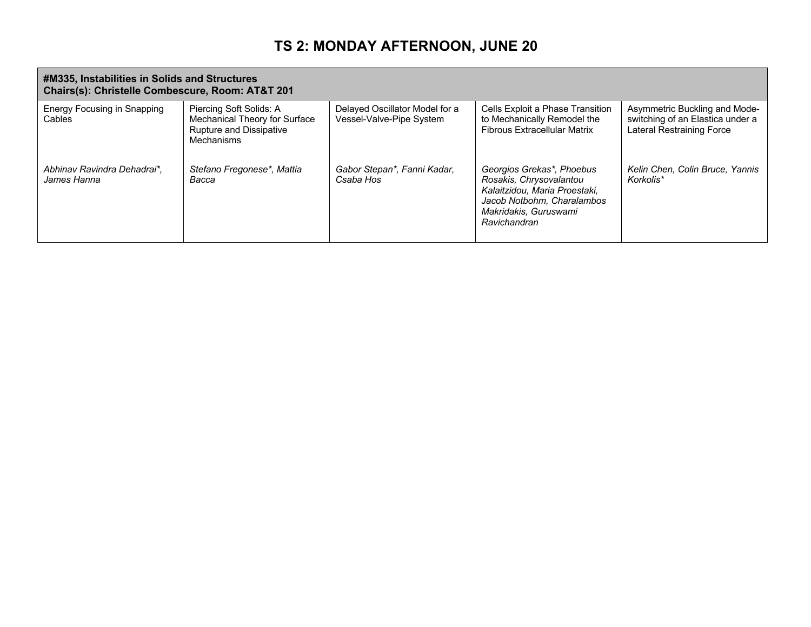| #M335, Instabilities in Solids and Structures<br>Chairs(s): Christelle Combescure, Room: AT&T 201 |                                                                                                          |                                                            |                                                                                                                                                              |                                                                                                       |
|---------------------------------------------------------------------------------------------------|----------------------------------------------------------------------------------------------------------|------------------------------------------------------------|--------------------------------------------------------------------------------------------------------------------------------------------------------------|-------------------------------------------------------------------------------------------------------|
| Energy Focusing in Snapping<br>Cables                                                             | Piercing Soft Solids: A<br>Mechanical Theory for Surface<br><b>Rupture and Dissipative</b><br>Mechanisms | Delayed Oscillator Model for a<br>Vessel-Valve-Pipe System | Cells Exploit a Phase Transition<br>to Mechanically Remodel the<br><b>Fibrous Extracellular Matrix</b>                                                       | Asymmetric Buckling and Mode-<br>switching of an Elastica under a<br><b>Lateral Restraining Force</b> |
| Abhinav Ravindra Dehadrai*,<br>James Hanna                                                        | Stefano Fregonese*, Mattia<br>Bacca                                                                      | Gabor Stepan*, Fanni Kadar,<br>Csaba Hos                   | Georgios Grekas*, Phoebus<br>Rosakis, Chrysovalantou<br>Kalaitzidou, Maria Proestaki,<br>Jacob Notbohm, Charalambos<br>Makridakis, Guruswami<br>Ravichandran | Kelin Chen, Colin Bruce, Yannis<br>Korkolis*                                                          |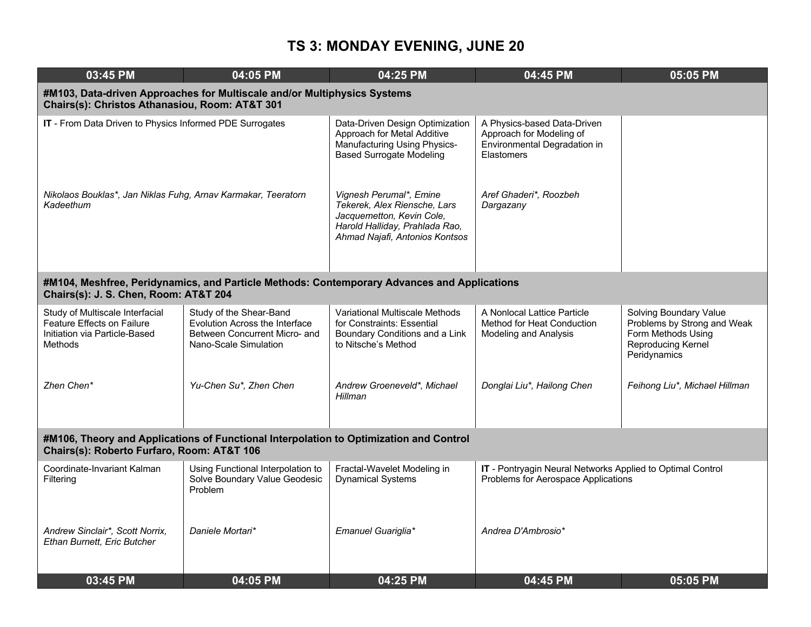| 03:45 PM                                                                                                                             | 04:05 PM                                                                                                                   | 04:25 PM                                                                                                                                                 | 04:45 PM                                                                                              | 05:05 PM                                                                                                          |  |  |  |
|--------------------------------------------------------------------------------------------------------------------------------------|----------------------------------------------------------------------------------------------------------------------------|----------------------------------------------------------------------------------------------------------------------------------------------------------|-------------------------------------------------------------------------------------------------------|-------------------------------------------------------------------------------------------------------------------|--|--|--|
|                                                                                                                                      | #M103, Data-driven Approaches for Multiscale and/or Multiphysics Systems<br>Chairs(s): Christos Athanasiou, Room: AT&T 301 |                                                                                                                                                          |                                                                                                       |                                                                                                                   |  |  |  |
| IT - From Data Driven to Physics Informed PDE Surrogates                                                                             |                                                                                                                            | Data-Driven Design Optimization<br>Approach for Metal Additive<br>Manufacturing Using Physics-<br><b>Based Surrogate Modeling</b>                        | A Physics-based Data-Driven<br>Approach for Modeling of<br>Environmental Degradation in<br>Elastomers |                                                                                                                   |  |  |  |
| Nikolaos Bouklas*, Jan Niklas Fuhg, Arnav Karmakar, Teeratorn<br>Kadeethum                                                           |                                                                                                                            | Vignesh Perumal*, Emine<br>Tekerek, Alex Riensche, Lars<br>Jacquemetton, Kevin Cole,<br>Harold Halliday, Prahlada Rao,<br>Ahmad Najafi, Antonios Kontsos | Aref Ghaderi*, Roozbeh<br>Dargazany                                                                   |                                                                                                                   |  |  |  |
| Chairs(s): J. S. Chen, Room: AT&T 204                                                                                                | #M104, Meshfree, Peridynamics, and Particle Methods: Contemporary Advances and Applications                                |                                                                                                                                                          |                                                                                                       |                                                                                                                   |  |  |  |
| Study of Multiscale Interfacial<br>Feature Effects on Failure<br>Initiation via Particle-Based<br><b>Methods</b>                     | Study of the Shear-Band<br>Evolution Across the Interface<br>Between Concurrent Micro- and<br>Nano-Scale Simulation        | Variational Multiscale Methods<br>for Constraints: Essential<br>Boundary Conditions and a Link<br>to Nitsche's Method                                    | A Nonlocal Lattice Particle<br>Method for Heat Conduction<br>Modeling and Analysis                    | Solving Boundary Value<br>Problems by Strong and Weak<br>Form Methods Using<br>Reproducing Kernel<br>Peridynamics |  |  |  |
| Zhen Chen*                                                                                                                           | Yu-Chen Su*, Zhen Chen                                                                                                     | Andrew Groeneveld*, Michael<br>Hillman                                                                                                                   | Donglai Liu*, Hailong Chen                                                                            | Feihong Liu*, Michael Hillman                                                                                     |  |  |  |
| #M106, Theory and Applications of Functional Interpolation to Optimization and Control<br>Chairs(s): Roberto Furfaro, Room: AT&T 106 |                                                                                                                            |                                                                                                                                                          |                                                                                                       |                                                                                                                   |  |  |  |
| Coordinate-Invariant Kalman<br>Filtering                                                                                             | Using Functional Interpolation to<br>Solve Boundary Value Geodesic<br>Problem                                              | Fractal-Wavelet Modeling in<br><b>Dynamical Systems</b>                                                                                                  | IT - Pontryagin Neural Networks Applied to Optimal Control<br>Problems for Aerospace Applications     |                                                                                                                   |  |  |  |
| Andrew Sinclair*, Scott Norrix,<br>Ethan Burnett, Eric Butcher                                                                       | Daniele Mortari*                                                                                                           | Emanuel Guariglia*                                                                                                                                       | Andrea D'Ambrosio*                                                                                    |                                                                                                                   |  |  |  |
| 03:45 PM                                                                                                                             | 04:05 PM                                                                                                                   | 04:25 PM                                                                                                                                                 | 04:45 PM                                                                                              | 05:05 PM                                                                                                          |  |  |  |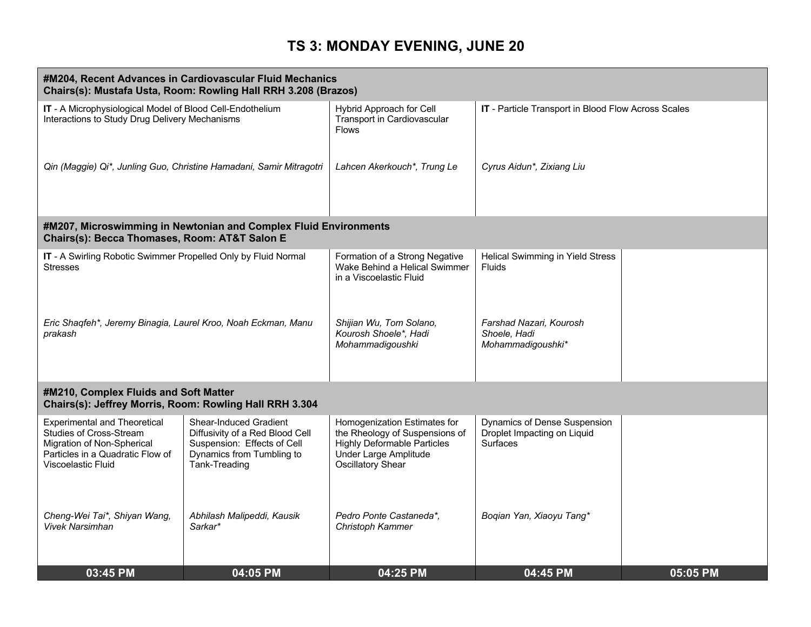| #M204, Recent Advances in Cardiovascular Fluid Mechanics<br>Chairs(s): Mustafa Usta, Room: Rowling Hall RRH 3.208 (Brazos)                                           |                                                                                                                                        |                                                                                                                                                                  |                                                                                |          |
|----------------------------------------------------------------------------------------------------------------------------------------------------------------------|----------------------------------------------------------------------------------------------------------------------------------------|------------------------------------------------------------------------------------------------------------------------------------------------------------------|--------------------------------------------------------------------------------|----------|
| IT - A Microphysiological Model of Blood Cell-Endothelium<br>Interactions to Study Drug Delivery Mechanisms                                                          |                                                                                                                                        | Hybrid Approach for Cell<br>Transport in Cardiovascular<br><b>Flows</b>                                                                                          | IT - Particle Transport in Blood Flow Across Scales                            |          |
|                                                                                                                                                                      | Qin (Maggie) Qi*, Junling Guo, Christine Hamadani, Samir Mitragotri                                                                    | Lahcen Akerkouch*, Trung Le                                                                                                                                      | Cyrus Aidun*, Zixiang Liu                                                      |          |
| Chairs(s): Becca Thomases, Room: AT&T Salon E                                                                                                                        | #M207, Microswimming in Newtonian and Complex Fluid Environments                                                                       |                                                                                                                                                                  |                                                                                |          |
| IT - A Swirling Robotic Swimmer Propelled Only by Fluid Normal<br><b>Stresses</b>                                                                                    |                                                                                                                                        | Formation of a Strong Negative<br>Wake Behind a Helical Swimmer<br>in a Viscoelastic Fluid                                                                       | Helical Swimming in Yield Stress<br>Fluids                                     |          |
| Eric Shaqfeh*, Jeremy Binagia, Laurel Kroo, Noah Eckman, Manu<br>prakash                                                                                             |                                                                                                                                        | Shijian Wu, Tom Solano,<br>Kourosh Shoele*, Hadi<br>Mohammadigoushki                                                                                             | Farshad Nazari, Kourosh<br>Shoele, Hadi<br>Mohammadigoushki*                   |          |
| #M210, Complex Fluids and Soft Matter<br>Chairs(s): Jeffrey Morris, Room: Rowling Hall RRH 3.304                                                                     |                                                                                                                                        |                                                                                                                                                                  |                                                                                |          |
| <b>Experimental and Theoretical</b><br><b>Studies of Cross-Stream</b><br>Migration of Non-Spherical<br>Particles in a Quadratic Flow of<br><b>Viscoelastic Fluid</b> | Shear-Induced Gradient<br>Diffusivity of a Red Blood Cell<br>Suspension: Effects of Cell<br>Dynamics from Tumbling to<br>Tank-Treading | Homogenization Estimates for<br>the Rheology of Suspensions of<br><b>Highly Deformable Particles</b><br><b>Under Large Amplitude</b><br><b>Oscillatory Shear</b> | Dynamics of Dense Suspension<br>Droplet Impacting on Liquid<br><b>Surfaces</b> |          |
| Cheng-Wei Tai*, Shiyan Wang,<br><b>Vivek Narsimhan</b>                                                                                                               | Abhilash Malipeddi, Kausik<br>Sarkar*                                                                                                  | Pedro Ponte Castaneda*,<br>Christoph Kammer                                                                                                                      | Boqian Yan, Xiaoyu Tang*                                                       |          |
| 03:45 PM                                                                                                                                                             | 04:05 PM                                                                                                                               | 04:25 PM                                                                                                                                                         | 04:45 PM                                                                       | 05:05 PM |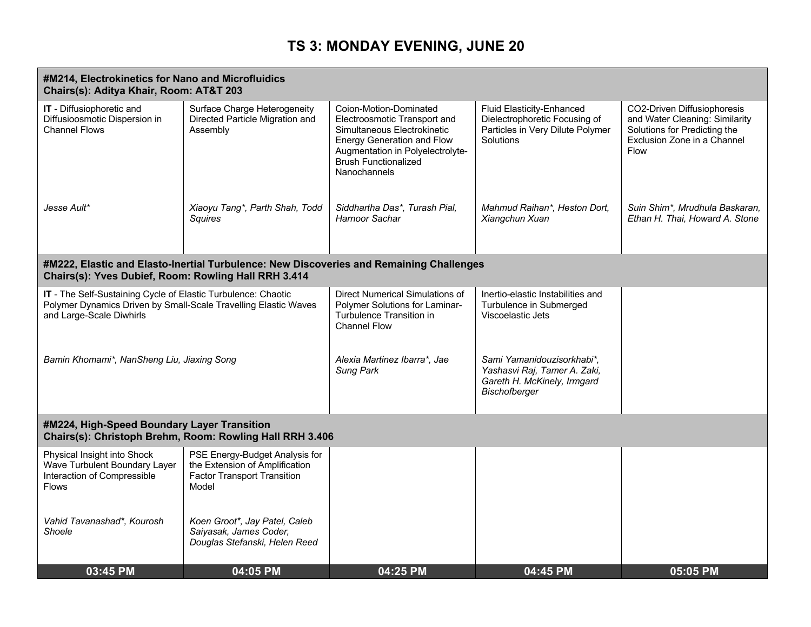|                                                                                                                                                              | #M214, Electrokinetics for Nano and Microfluidics<br>Chairs(s): Aditya Khair, Room: AT&T 203                    |                                                                                                                                                                                                               |                                                                                                                    |                                                                                                                                             |  |  |
|--------------------------------------------------------------------------------------------------------------------------------------------------------------|-----------------------------------------------------------------------------------------------------------------|---------------------------------------------------------------------------------------------------------------------------------------------------------------------------------------------------------------|--------------------------------------------------------------------------------------------------------------------|---------------------------------------------------------------------------------------------------------------------------------------------|--|--|
| IT - Diffusiophoretic and<br>Diffusioosmotic Dispersion in<br><b>Channel Flows</b>                                                                           | Surface Charge Heterogeneity<br>Directed Particle Migration and<br>Assembly                                     | Coion-Motion-Dominated<br>Electroosmotic Transport and<br>Simultaneous Electrokinetic<br><b>Energy Generation and Flow</b><br>Augmentation in Polyelectrolyte-<br><b>Brush Functionalized</b><br>Nanochannels | <b>Fluid Elasticity-Enhanced</b><br>Dielectrophoretic Focusing of<br>Particles in Very Dilute Polymer<br>Solutions | CO2-Driven Diffusiophoresis<br>and Water Cleaning: Similarity<br>Solutions for Predicting the<br>Exclusion Zone in a Channel<br><b>Flow</b> |  |  |
| Jesse Ault*                                                                                                                                                  | Xiaoyu Tang*, Parth Shah, Todd<br>Squires                                                                       | Siddhartha Das*, Turash Pial,<br>Harnoor Sachar                                                                                                                                                               | Mahmud Raihan*, Heston Dort,<br>Xiangchun Xuan                                                                     | Suin Shim*, Mrudhula Baskaran,<br>Ethan H. Thai, Howard A. Stone                                                                            |  |  |
| Chairs(s): Yves Dubief, Room: Rowling Hall RRH 3.414                                                                                                         | #M222, Elastic and Elasto-Inertial Turbulence: New Discoveries and Remaining Challenges                         |                                                                                                                                                                                                               |                                                                                                                    |                                                                                                                                             |  |  |
| IT - The Self-Sustaining Cycle of Elastic Turbulence: Chaotic<br>Polymer Dynamics Driven by Small-Scale Travelling Elastic Waves<br>and Large-Scale Diwhirls |                                                                                                                 | Direct Numerical Simulations of<br><b>Polymer Solutions for Laminar-</b><br>Turbulence Transition in<br><b>Channel Flow</b>                                                                                   | Inertio-elastic Instabilities and<br>Turbulence in Submerged<br>Viscoelastic Jets                                  |                                                                                                                                             |  |  |
| Bamin Khomami*, NanSheng Liu, Jiaxing Song                                                                                                                   |                                                                                                                 | Alexia Martinez Ibarra*, Jae<br>Sung Park                                                                                                                                                                     | Sami Yamanidouzisorkhabi*,<br>Yashasvi Raj, Tamer A. Zaki,<br>Gareth H. McKinely, Irmgard<br><b>Bischofberger</b>  |                                                                                                                                             |  |  |
| #M224, High-Speed Boundary Layer Transition                                                                                                                  | Chairs(s): Christoph Brehm, Room: Rowling Hall RRH 3.406                                                        |                                                                                                                                                                                                               |                                                                                                                    |                                                                                                                                             |  |  |
| Physical Insight into Shock<br>Wave Turbulent Boundary Layer<br>Interaction of Compressible<br><b>Flows</b>                                                  | PSE Energy-Budget Analysis for<br>the Extension of Amplification<br><b>Factor Transport Transition</b><br>Model |                                                                                                                                                                                                               |                                                                                                                    |                                                                                                                                             |  |  |
| Vahid Tavanashad*, Kourosh<br>Shoele                                                                                                                         | Koen Groot*, Jay Patel, Caleb<br>Saiyasak, James Coder,<br>Douglas Stefanski, Helen Reed                        |                                                                                                                                                                                                               |                                                                                                                    |                                                                                                                                             |  |  |
| 03:45 PM                                                                                                                                                     | 04:05 PM                                                                                                        | 04:25 PM                                                                                                                                                                                                      | 04:45 PM                                                                                                           | 05:05 PM                                                                                                                                    |  |  |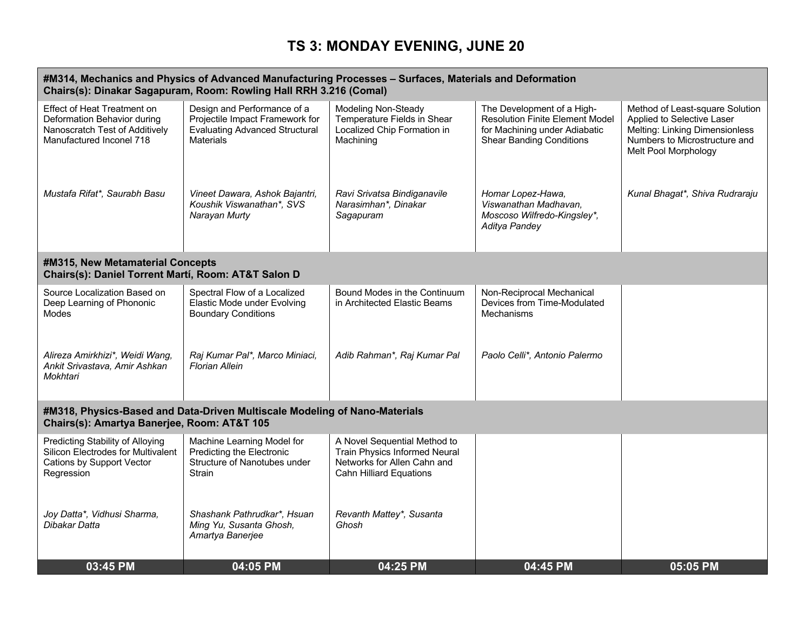#### **#M314, Mechanics and Physics of Advanced Manufacturing Processes – Surfaces, Materials and Deformation Chairs(s): Dinakar Sagapuram, Room: Rowling Hall RRH 3.216 (Comal)** Effect of Heat Treatment on Deformation Behavior during Nanoscratch Test of Additively Manufactured Inconel 718 Design and Performance of a Projectile Impact Framework for Evaluating Advanced Structural **Materials** Modeling Non-Steady Temperature Fields in Shear Localized Chip Formation in Machining The Development of a High-Resolution Finite Element Model for Machining under Adiabatic Shear Banding Conditions Method of Least-square Solution Applied to Selective Laser Melting: Linking Dimensionless Numbers to Microstructure and Melt Pool Morphology *Mustafa Rifat\*, Saurabh Basu Vineet Dawara, Ashok Bajantri, Koushik Viswanathan\*, SVS Narayan Murty Ravi Srivatsa Bindiganavile Narasimhan\*, Dinakar Sagapuram Homar Lopez-Hawa, Viswanathan Madhavan, Moscoso Wilfredo-Kingsley\*, Aditya Pandey Kunal Bhagat\*, Shiva Rudraraju* **#M315, New Metamaterial Concepts Chairs(s): Daniel Torrent Martí, Room: AT&T Salon D** Source Localization Based on Deep Learning of Phononic Modes Spectral Flow of a Localized Elastic Mode under Evolving Boundary Conditions Bound Modes in the Continuum in Architected Elastic Beams Non-Reciprocal Mechanical Devices from Time-Modulated Mechanisms *Alireza Amirkhizi\*, Weidi Wang, Ankit Srivastava, Amir Ashkan Mokhtari Raj Kumar Pal\*, Marco Miniaci, Florian Allein Adib Rahman\*, Raj Kumar Pal Paolo Celli\*, Antonio Palermo* **#M318, Physics-Based and Data-Driven Multiscale Modeling of Nano-Materials Chairs(s): Amartya Banerjee, Room: AT&T 105** Predicting Stability of Alloying Silicon Electrodes for Multivalent Cations by Support Vector Regression Machine Learning Model for Predicting the Electronic Structure of Nanotubes under **Strain** A Novel Sequential Method to Train Physics Informed Neural Networks for Allen Cahn and Cahn Hilliard Equations *Joy Datta\*, Vidhusi Sharma, Dibakar Datta Shashank Pathrudkar\*, Hsuan Ming Yu, Susanta Ghosh, Amartya Banerjee Revanth Mattey\*, Susanta Ghosh* **03:45 PM 04:05 PM 04:25 PM 04:45 PM 05:05 PM**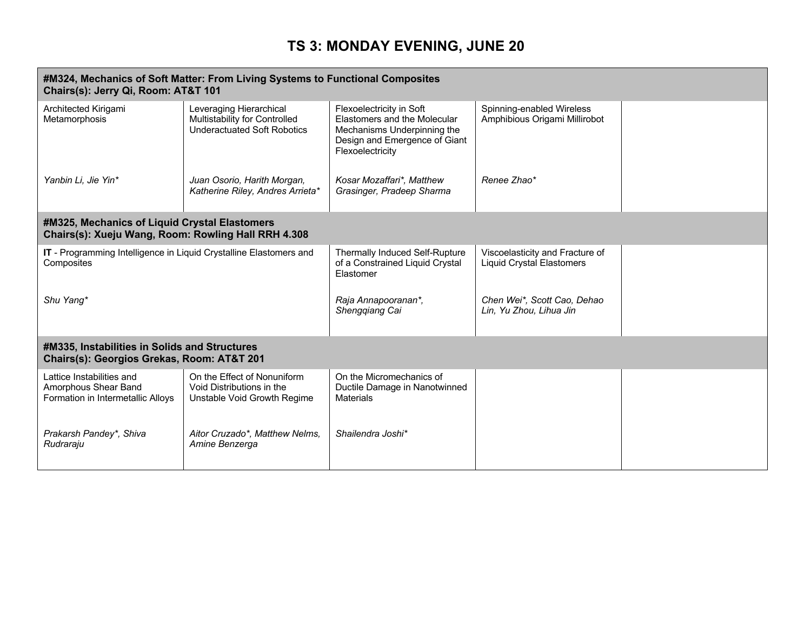| Chairs(s): Jerry Qi, Room: AT&T 101                                                                  | #M324, Mechanics of Soft Matter: From Living Systems to Functional Composites                  |                                                                                                                                              |                                                                     |  |
|------------------------------------------------------------------------------------------------------|------------------------------------------------------------------------------------------------|----------------------------------------------------------------------------------------------------------------------------------------------|---------------------------------------------------------------------|--|
| Architected Kirigami<br>Metamorphosis                                                                | Leveraging Hierarchical<br>Multistability for Controlled<br><b>Underactuated Soft Robotics</b> | Flexoelectricity in Soft<br>Elastomers and the Molecular<br>Mechanisms Underpinning the<br>Design and Emergence of Giant<br>Flexoelectricity | Spinning-enabled Wireless<br>Amphibious Origami Millirobot          |  |
| Yanbin Li, Jie Yin*                                                                                  | Juan Osorio, Harith Morgan,<br>Katherine Riley, Andres Arrieta*                                | Kosar Mozaffari*, Matthew<br>Grasinger, Pradeep Sharma                                                                                       | Renee Zhao*                                                         |  |
| #M325, Mechanics of Liquid Crystal Elastomers<br>Chairs(s): Xueju Wang, Room: Rowling Hall RRH 4.308 |                                                                                                |                                                                                                                                              |                                                                     |  |
| IT - Programming Intelligence in Liquid Crystalline Elastomers and<br>Composites                     |                                                                                                | <b>Thermally Induced Self-Rupture</b><br>of a Constrained Liquid Crystal<br>Elastomer                                                        | Viscoelasticity and Fracture of<br><b>Liquid Crystal Elastomers</b> |  |
| Shu Yang*                                                                                            |                                                                                                | Raja Annapooranan*,<br>Shengqiang Cai                                                                                                        | Chen Wei*, Scott Cao, Dehao<br>Lin, Yu Zhou, Lihua Jin              |  |
| #M335, Instabilities in Solids and Structures<br>Chairs(s): Georgios Grekas, Room: AT&T 201          |                                                                                                |                                                                                                                                              |                                                                     |  |
| Lattice Instabilities and<br>Amorphous Shear Band<br>Formation in Intermetallic Alloys               | On the Effect of Nonuniform<br>Void Distributions in the<br>Unstable Void Growth Regime        | On the Micromechanics of<br>Ductile Damage in Nanotwinned<br><b>Materials</b>                                                                |                                                                     |  |
| Prakarsh Pandey*, Shiva<br>Rudraraju                                                                 | Aitor Cruzado*, Matthew Nelms,<br>Amine Benzerga                                               | Shailendra Joshi*                                                                                                                            |                                                                     |  |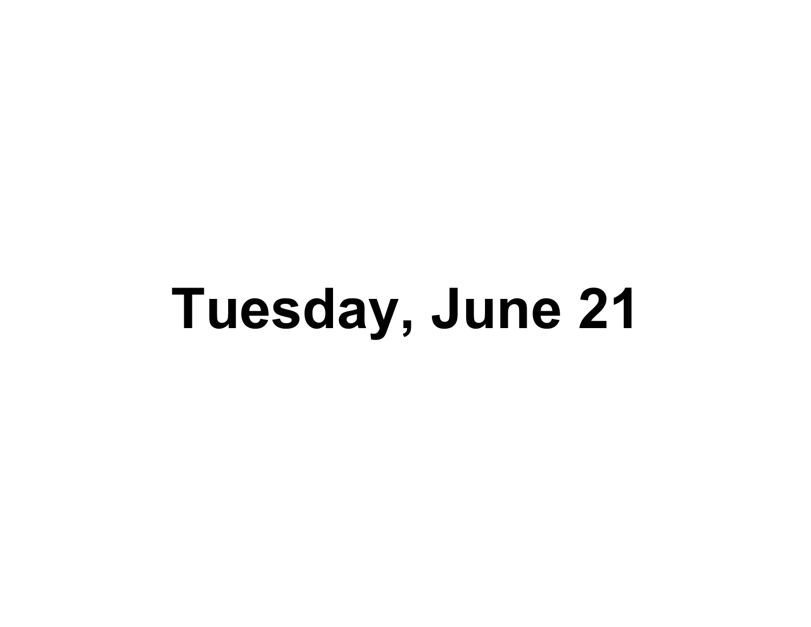# **Tuesday, June 21**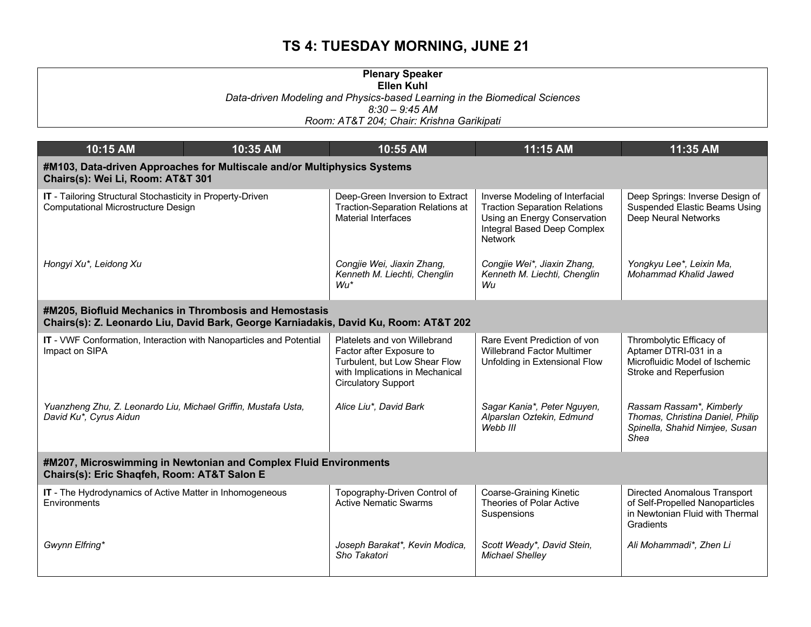|                                                                                                                                                | <b>Plenary Speaker</b><br><b>Ellen Kuhl</b>                                                                                                                |                                                                                                                                                   |                                                                                                                 |  |
|------------------------------------------------------------------------------------------------------------------------------------------------|------------------------------------------------------------------------------------------------------------------------------------------------------------|---------------------------------------------------------------------------------------------------------------------------------------------------|-----------------------------------------------------------------------------------------------------------------|--|
|                                                                                                                                                | Data-driven Modeling and Physics-based Learning in the Biomedical Sciences                                                                                 |                                                                                                                                                   |                                                                                                                 |  |
|                                                                                                                                                | $8:30 - 9:45$ AM<br>Room: AT&T 204; Chair: Krishna Garikipati                                                                                              |                                                                                                                                                   |                                                                                                                 |  |
|                                                                                                                                                |                                                                                                                                                            |                                                                                                                                                   |                                                                                                                 |  |
| 10:15 AM<br>10:35 AM                                                                                                                           | 10:55 AM                                                                                                                                                   | 11:15 AM                                                                                                                                          | 11:35 AM                                                                                                        |  |
| #M103, Data-driven Approaches for Multiscale and/or Multiphysics Systems<br>Chairs(s): Wei Li, Room: AT&T 301                                  |                                                                                                                                                            |                                                                                                                                                   |                                                                                                                 |  |
| IT - Tailoring Structural Stochasticity in Property-Driven<br><b>Computational Microstructure Design</b>                                       | Deep-Green Inversion to Extract<br><b>Traction-Separation Relations at</b><br><b>Material Interfaces</b>                                                   | Inverse Modeling of Interfacial<br><b>Traction Separation Relations</b><br>Using an Energy Conservation<br>Integral Based Deep Complex<br>Network | Deep Springs: Inverse Design of<br><b>Suspended Elastic Beams Using</b><br>Deep Neural Networks                 |  |
| Hongyi Xu*, Leidong Xu                                                                                                                         | Congjie Wei, Jiaxin Zhang,<br>Kenneth M. Liechti, Chenglin<br>$Wu^*$                                                                                       | Congjie Wei*, Jiaxin Zhang,<br>Kenneth M. Liechti, Chenglin<br>Wu                                                                                 | Yongkyu Lee*, Leixin Ma,<br>Mohammad Khalid Jawed                                                               |  |
| #M205, Biofluid Mechanics in Thrombosis and Hemostasis<br>Chairs(s): Z. Leonardo Liu, David Bark, George Karniadakis, David Ku, Room: AT&T 202 |                                                                                                                                                            |                                                                                                                                                   |                                                                                                                 |  |
| IT - VWF Conformation, Interaction with Nanoparticles and Potential<br>Impact on SIPA                                                          | Platelets and von Willebrand<br>Factor after Exposure to<br>Turbulent, but Low Shear Flow<br>with Implications in Mechanical<br><b>Circulatory Support</b> | Rare Event Prediction of von<br><b>Willebrand Factor Multimer</b><br>Unfolding in Extensional Flow                                                | Thrombolytic Efficacy of<br>Aptamer DTRI-031 in a<br>Microfluidic Model of Ischemic<br>Stroke and Reperfusion   |  |
| Yuanzheng Zhu, Z. Leonardo Liu, Michael Griffin, Mustafa Usta,<br>David Ku*, Cyrus Aidun                                                       | Alice Liu*, David Bark                                                                                                                                     | Sagar Kania*, Peter Nguyen,<br>Alparslan Oztekin, Edmund<br>Webb III                                                                              | Rassam Rassam*, Kimberly<br>Thomas, Christina Daniel, Philip<br>Spinella, Shahid Nimjee, Susan<br>Shea          |  |
| #M207, Microswimming in Newtonian and Complex Fluid Environments<br>Chairs(s): Eric Shaqfeh, Room: AT&T Salon E                                |                                                                                                                                                            |                                                                                                                                                   |                                                                                                                 |  |
| <b>IT</b> - The Hydrodynamics of Active Matter in Inhomogeneous<br>Environments                                                                | Topography-Driven Control of<br><b>Active Nematic Swarms</b>                                                                                               | <b>Coarse-Graining Kinetic</b><br>Theories of Polar Active<br>Suspensions                                                                         | Directed Anomalous Transport<br>of Self-Propelled Nanoparticles<br>in Newtonian Fluid with Thermal<br>Gradients |  |
| Gwynn Elfring*                                                                                                                                 | Joseph Barakat*, Kevin Modica,<br>Sho Takatori                                                                                                             | Scott Weady*, David Stein,<br><b>Michael Shelley</b>                                                                                              | Ali Mohammadi*, Zhen Li                                                                                         |  |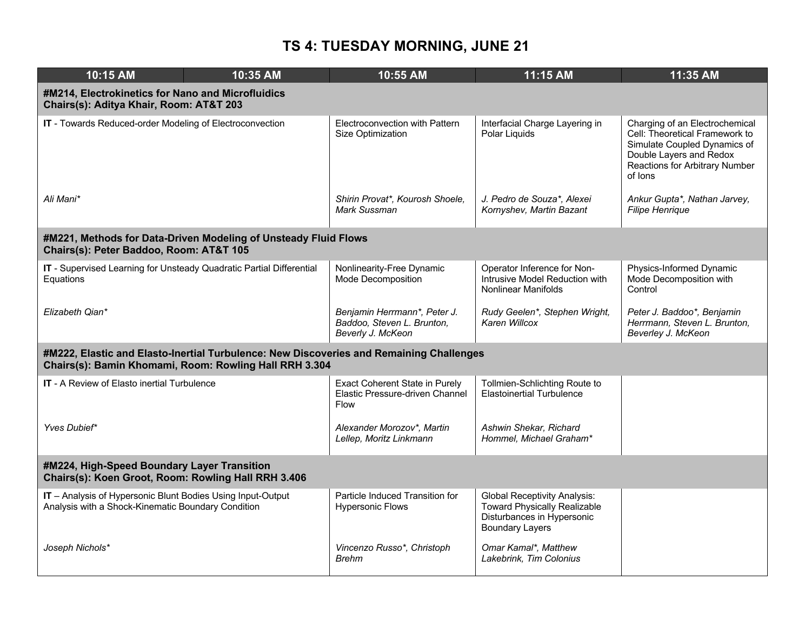| 10:15 AM                                                                                                          | 10:35 AM                                                                                                                                          | 10:55 AM                                                                                | 11:15 AM                                                                                                                           | 11:35 AM                                                                                                                                                                 |
|-------------------------------------------------------------------------------------------------------------------|---------------------------------------------------------------------------------------------------------------------------------------------------|-----------------------------------------------------------------------------------------|------------------------------------------------------------------------------------------------------------------------------------|--------------------------------------------------------------------------------------------------------------------------------------------------------------------------|
| #M214, Electrokinetics for Nano and Microfluidics<br>Chairs(s): Aditya Khair, Room: AT&T 203                      |                                                                                                                                                   |                                                                                         |                                                                                                                                    |                                                                                                                                                                          |
| IT - Towards Reduced-order Modeling of Electroconvection                                                          |                                                                                                                                                   | Electroconvection with Pattern<br>Size Optimization                                     | Interfacial Charge Layering in<br>Polar Liquids                                                                                    | Charging of an Electrochemical<br>Cell: Theoretical Framework to<br>Simulate Coupled Dynamics of<br>Double Layers and Redox<br>Reactions for Arbitrary Number<br>of lons |
| Ali Mani*                                                                                                         |                                                                                                                                                   | Shirin Provat*, Kourosh Shoele,<br>Mark Sussman                                         | J. Pedro de Souza*, Alexei<br>Kornyshev, Martin Bazant                                                                             | Ankur Gupta*, Nathan Jarvey,<br><b>Filipe Henrique</b>                                                                                                                   |
| Chairs(s): Peter Baddoo, Room: AT&T 105                                                                           | #M221, Methods for Data-Driven Modeling of Unsteady Fluid Flows                                                                                   |                                                                                         |                                                                                                                                    |                                                                                                                                                                          |
| Equations                                                                                                         | IT - Supervised Learning for Unsteady Quadratic Partial Differential                                                                              | Nonlinearity-Free Dynamic<br>Mode Decomposition                                         | Operator Inference for Non-<br>Intrusive Model Reduction with<br><b>Nonlinear Manifolds</b>                                        | Physics-Informed Dynamic<br>Mode Decomposition with<br>Control                                                                                                           |
| Elizabeth Qian*                                                                                                   |                                                                                                                                                   | Benjamin Herrmann*, Peter J.<br>Baddoo, Steven L. Brunton,<br>Beverly J. McKeon         | Rudy Geelen*, Stephen Wright,<br>Karen Willcox                                                                                     | Peter J. Baddoo*, Benjamin<br>Herrmann, Steven L. Brunton,<br>Beverley J. McKeon                                                                                         |
|                                                                                                                   | #M222, Elastic and Elasto-Inertial Turbulence: New Discoveries and Remaining Challenges<br>Chairs(s): Bamin Khomami, Room: Rowling Hall RRH 3.304 |                                                                                         |                                                                                                                                    |                                                                                                                                                                          |
| <b>IT - A Review of Elasto inertial Turbulence</b>                                                                |                                                                                                                                                   | <b>Exact Coherent State in Purely</b><br>Elastic Pressure-driven Channel<br><b>Flow</b> | Tollmien-Schlichting Route to<br><b>Elastoinertial Turbulence</b>                                                                  |                                                                                                                                                                          |
| Yves Dubief*                                                                                                      |                                                                                                                                                   | Alexander Morozov*, Martin<br>Lellep, Moritz Linkmann                                   | Ashwin Shekar, Richard<br>Hommel, Michael Graham*                                                                                  |                                                                                                                                                                          |
| #M224, High-Speed Boundary Layer Transition<br>Chairs(s): Koen Groot, Room: Rowling Hall RRH 3.406                |                                                                                                                                                   |                                                                                         |                                                                                                                                    |                                                                                                                                                                          |
| IT - Analysis of Hypersonic Blunt Bodies Using Input-Output<br>Analysis with a Shock-Kinematic Boundary Condition |                                                                                                                                                   | Particle Induced Transition for<br><b>Hypersonic Flows</b>                              | <b>Global Receptivity Analysis:</b><br><b>Toward Physically Realizable</b><br>Disturbances in Hypersonic<br><b>Boundary Layers</b> |                                                                                                                                                                          |
| Joseph Nichols*                                                                                                   |                                                                                                                                                   | Vincenzo Russo*, Christoph<br><b>Brehm</b>                                              | Omar Kamal*, Matthew<br>Lakebrink, Tim Colonius                                                                                    |                                                                                                                                                                          |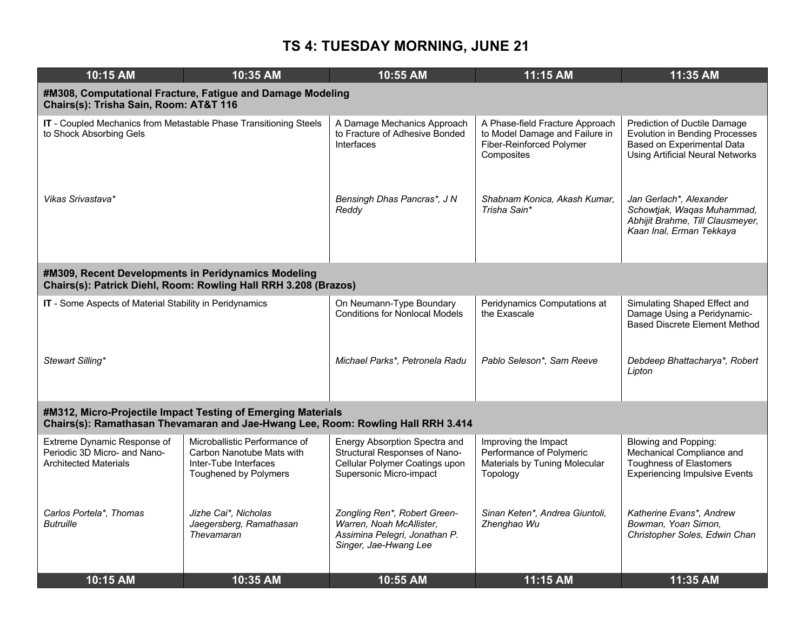| 10:15 AM                                                                                    | 10:35 AM                                                                                                                                         | 10:55 AM                                                                                                                    | 11:15 AM                                                                                                    | 11:35 AM                                                                                                                                       |
|---------------------------------------------------------------------------------------------|--------------------------------------------------------------------------------------------------------------------------------------------------|-----------------------------------------------------------------------------------------------------------------------------|-------------------------------------------------------------------------------------------------------------|------------------------------------------------------------------------------------------------------------------------------------------------|
| Chairs(s): Trisha Sain, Room: AT&T 116                                                      | #M308, Computational Fracture, Fatigue and Damage Modeling                                                                                       |                                                                                                                             |                                                                                                             |                                                                                                                                                |
| to Shock Absorbing Gels                                                                     | IT - Coupled Mechanics from Metastable Phase Transitioning Steels                                                                                | A Damage Mechanics Approach<br>to Fracture of Adhesive Bonded<br>Interfaces                                                 | A Phase-field Fracture Approach<br>to Model Damage and Failure in<br>Fiber-Reinforced Polymer<br>Composites | Prediction of Ductile Damage<br><b>Evolution in Bending Processes</b><br>Based on Experimental Data<br><b>Using Artificial Neural Networks</b> |
| Vikas Srivastava*                                                                           |                                                                                                                                                  | Bensingh Dhas Pancras*, J N<br>Reddy                                                                                        | Shabnam Konica, Akash Kumar,<br>Trisha Sain*                                                                | Jan Gerlach*, Alexander<br>Schowtjak, Waqas Muhammad,<br>Abhijit Brahme, Till Clausmeyer,<br>Kaan Inal, Erman Tekkaya                          |
| #M309, Recent Developments in Peridynamics Modeling                                         | Chairs(s): Patrick Diehl, Room: Rowling Hall RRH 3.208 (Brazos)                                                                                  |                                                                                                                             |                                                                                                             |                                                                                                                                                |
| IT - Some Aspects of Material Stability in Peridynamics                                     |                                                                                                                                                  | On Neumann-Type Boundary<br><b>Conditions for Nonlocal Models</b>                                                           | Peridynamics Computations at<br>the Exascale                                                                | Simulating Shaped Effect and<br>Damage Using a Peridynamic-<br><b>Based Discrete Element Method</b>                                            |
| Stewart Silling*                                                                            |                                                                                                                                                  | Michael Parks*, Petronela Radu                                                                                              | Pablo Seleson*, Sam Reeve                                                                                   | Debdeep Bhattacharya*, Robert<br>Lipton                                                                                                        |
|                                                                                             | #M312, Micro-Projectile Impact Testing of Emerging Materials<br>Chairs(s): Ramathasan Thevamaran and Jae-Hwang Lee, Room: Rowling Hall RRH 3.414 |                                                                                                                             |                                                                                                             |                                                                                                                                                |
| Extreme Dynamic Response of<br>Periodic 3D Micro- and Nano-<br><b>Architected Materials</b> | Microballistic Performance of<br>Carbon Nanotube Mats with<br>Inter-Tube Interfaces<br>Toughened by Polymers                                     | Energy Absorption Spectra and<br>Structural Responses of Nano-<br>Cellular Polymer Coatings upon<br>Supersonic Micro-impact | Improving the Impact<br>Performance of Polymeric<br>Materials by Tuning Molecular<br>Topology               | Blowing and Popping:<br>Mechanical Compliance and<br><b>Toughness of Elastomers</b><br><b>Experiencing Impulsive Events</b>                    |
| Carlos Portela*, Thomas<br><b>Butruille</b>                                                 | Jizhe Cai*, Nicholas<br>Jaegersberg, Ramathasan<br>Thevamaran                                                                                    | Zongling Ren*, Robert Green-<br>Warren, Noah McAllister,<br>Assimina Pelegri, Jonathan P.<br>Singer, Jae-Hwang Lee          | Sinan Keten*, Andrea Giuntoli,<br>Zhenghao Wu                                                               | Katherine Evans*, Andrew<br>Bowman, Yoan Simon,<br>Christopher Soles, Edwin Chan                                                               |
| $10:15$ AM                                                                                  | $10:35$ AM                                                                                                                                       | 10:55 AM                                                                                                                    | 11:15 AM                                                                                                    | 11:35 AM                                                                                                                                       |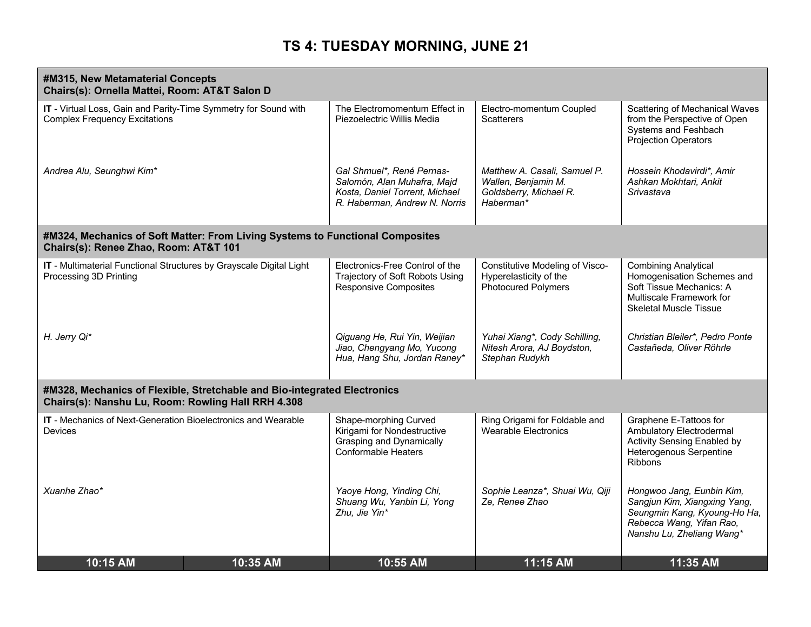|                                                                                                         | #M315, New Metamaterial Concepts<br>Chairs(s): Ornella Mattei, Room: AT&T Salon D |                                                                                                                             |                                                                                            |                                                                                                                                                    |  |
|---------------------------------------------------------------------------------------------------------|-----------------------------------------------------------------------------------|-----------------------------------------------------------------------------------------------------------------------------|--------------------------------------------------------------------------------------------|----------------------------------------------------------------------------------------------------------------------------------------------------|--|
| IT - Virtual Loss, Gain and Parity-Time Symmetry for Sound with<br><b>Complex Frequency Excitations</b> |                                                                                   | The Electromomentum Effect in<br>Piezoelectric Willis Media                                                                 | Electro-momentum Coupled<br><b>Scatterers</b>                                              | Scattering of Mechanical Waves<br>from the Perspective of Open<br>Systems and Feshbach<br>Projection Operators                                     |  |
| Andrea Alu, Seunghwi Kim*                                                                               |                                                                                   | Gal Shmuel*, René Pernas-<br>Salomón, Alan Muhafra, Majd<br>Kosta, Daniel Torrent, Michael<br>R. Haberman, Andrew N. Norris | Matthew A. Casali, Samuel P.<br>Wallen, Benjamin M.<br>Goldsberry, Michael R.<br>Haberman* | Hossein Khodavirdi*, Amir<br>Ashkan Mokhtari, Ankit<br>Srivastava                                                                                  |  |
| Chairs(s): Renee Zhao, Room: AT&T 101                                                                   | #M324, Mechanics of Soft Matter: From Living Systems to Functional Composites     |                                                                                                                             |                                                                                            |                                                                                                                                                    |  |
| IT - Multimaterial Functional Structures by Grayscale Digital Light<br>Processing 3D Printing           |                                                                                   | Electronics-Free Control of the<br>Trajectory of Soft Robots Using<br><b>Responsive Composites</b>                          | Constitutive Modeling of Visco-<br>Hyperelasticity of the<br><b>Photocured Polymers</b>    | <b>Combining Analytical</b><br>Homogenisation Schemes and<br>Soft Tissue Mechanics: A<br>Multiscale Framework for<br><b>Skeletal Muscle Tissue</b> |  |
| H. Jerry Qi*                                                                                            |                                                                                   | Qiguang He, Rui Yin, Weijian<br>Jiao, Chengyang Mo, Yucong<br>Hua, Hang Shu, Jordan Raney*                                  | Yuhai Xiang*, Cody Schilling,<br>Nitesh Arora, AJ Boydston,<br>Stephan Rudykh              | Christian Bleiler*, Pedro Ponte<br>Castañeda, Oliver Röhrle                                                                                        |  |
| Chairs(s): Nanshu Lu, Room: Rowling Hall RRH 4.308                                                      | #M328, Mechanics of Flexible, Stretchable and Bio-integrated Electronics          |                                                                                                                             |                                                                                            |                                                                                                                                                    |  |
| IT - Mechanics of Next-Generation Bioelectronics and Wearable<br><b>Devices</b>                         |                                                                                   | Shape-morphing Curved<br>Kirigami for Nondestructive<br>Grasping and Dynamically<br><b>Conformable Heaters</b>              | Ring Origami for Foldable and<br>Wearable Electronics                                      | Graphene E-Tattoos for<br>Ambulatory Electrodermal<br>Activity Sensing Enabled by<br>Heterogenous Serpentine<br><b>Ribbons</b>                     |  |
| Xuanhe Zhao*                                                                                            |                                                                                   | Yaoye Hong, Yinding Chi,<br>Shuang Wu, Yanbin Li, Yong<br>Zhu, Jie Yin*                                                     | Sophie Leanza*, Shuai Wu, Qiji<br>Ze, Renee Zhao                                           | Hongwoo Jang, Eunbin Kim,<br>Sangjun Kim, Xiangxing Yang,<br>Seungmin Kang, Kyoung-Ho Ha,<br>Rebecca Wang, Yifan Rao,<br>Nanshu Lu, Zheliang Wang* |  |
| 10:15 AM                                                                                                | 10:35 AM                                                                          | 10:55 AM                                                                                                                    | 11:15 AM                                                                                   | 11:35 AM                                                                                                                                           |  |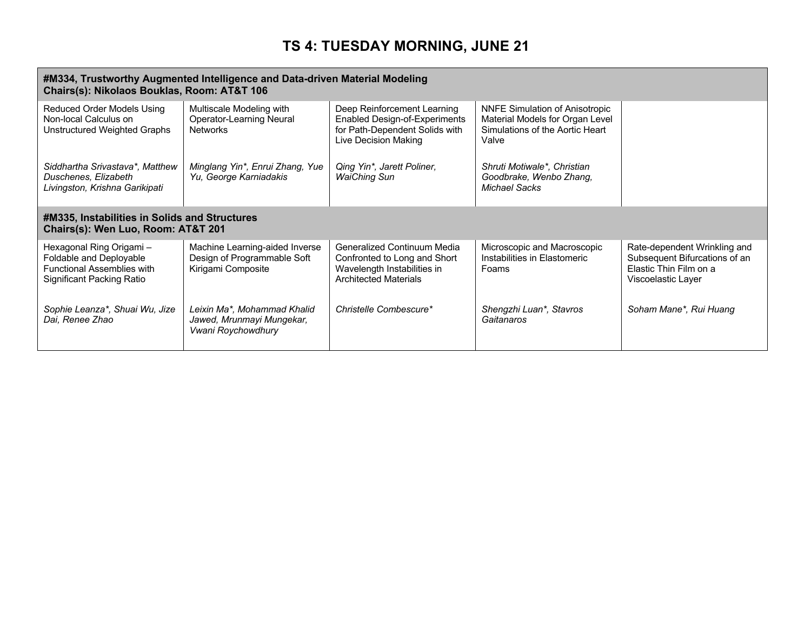#### **#M334, Trustworthy Augmented Intelligence and Data-driven Material Modeling Chairs(s): Nikolaos Bouklas, Room: AT&T 106**

| Reduced Order Models Using<br>Non-local Calculus on<br>Unstructured Weighted Graphs                                   | Multiscale Modeling with<br>Operator-Learning Neural<br><b>Networks</b>             | Deep Reinforcement Learning<br><b>Enabled Design-of-Experiments</b><br>for Path-Dependent Solids with<br>Live Decision Making | <b>NNFE Simulation of Anisotropic</b><br>Material Models for Organ Level<br>Simulations of the Aortic Heart<br>Valve |                                                                                                               |
|-----------------------------------------------------------------------------------------------------------------------|-------------------------------------------------------------------------------------|-------------------------------------------------------------------------------------------------------------------------------|----------------------------------------------------------------------------------------------------------------------|---------------------------------------------------------------------------------------------------------------|
| Siddhartha Srivastava*, Matthew<br>Duschenes, Elizabeth<br>Livingston, Krishna Garikipati                             | Minglang Yin*, Enrui Zhang, Yue<br>Yu, George Karniadakis                           | Qing Yin*, Jarett Poliner,<br><b>WaiChing Sun</b>                                                                             | Shruti Motiwale*, Christian<br>Goodbrake, Wenbo Zhang,<br>Michael Sacks                                              |                                                                                                               |
| #M335, Instabilities in Solids and Structures<br>Chairs(s): Wen Luo, Room: AT&T 201                                   |                                                                                     |                                                                                                                               |                                                                                                                      |                                                                                                               |
| Hexagonal Ring Origami -<br>Foldable and Deployable<br><b>Functional Assemblies with</b><br>Significant Packing Ratio | Machine Learning-aided Inverse<br>Design of Programmable Soft<br>Kirigami Composite | Generalized Continuum Media<br>Confronted to Long and Short<br>Wavelength Instabilities in<br><b>Architected Materials</b>    | Microscopic and Macroscopic<br>Instabilities in Elastomeric<br>Foams                                                 | Rate-dependent Wrinkling and<br>Subsequent Bifurcations of an<br>Elastic Thin Film on a<br>Viscoelastic Layer |
| Sophie Leanza*, Shuai Wu, Jize<br>Dai, Renee Zhao                                                                     | Leixin Ma*, Mohammad Khalid<br>Jawed, Mrunmayi Mungekar,<br>Vwani Roychowdhury      | Christelle Combescure*                                                                                                        | Shengzhi Luan*, Stavros<br>Gaitanaros                                                                                | Soham Mane*, Rui Huang                                                                                        |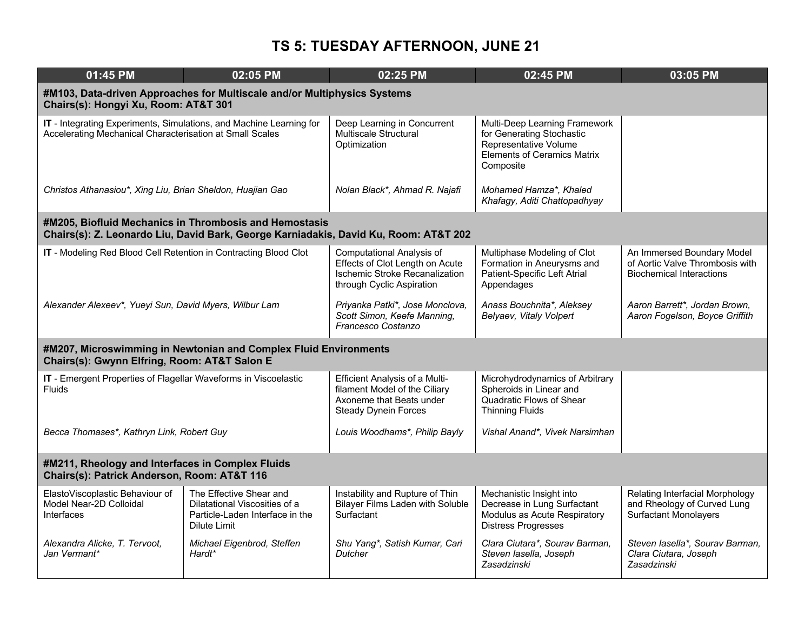| 01:45 PM                                                                                                                        | 02:05 PM                                                                                                                                       | 02:25 PM                                                                                                                           | 02:45 PM                                                                                                                               | 03:05 PM                                                                                         |
|---------------------------------------------------------------------------------------------------------------------------------|------------------------------------------------------------------------------------------------------------------------------------------------|------------------------------------------------------------------------------------------------------------------------------------|----------------------------------------------------------------------------------------------------------------------------------------|--------------------------------------------------------------------------------------------------|
| Chairs(s): Hongyi Xu, Room: AT&T 301                                                                                            | #M103, Data-driven Approaches for Multiscale and/or Multiphysics Systems                                                                       |                                                                                                                                    |                                                                                                                                        |                                                                                                  |
| IT - Integrating Experiments, Simulations, and Machine Learning for<br>Accelerating Mechanical Characterisation at Small Scales |                                                                                                                                                | Deep Learning in Concurrent<br>Multiscale Structural<br>Optimization                                                               | Multi-Deep Learning Framework<br>for Generating Stochastic<br>Representative Volume<br><b>Elements of Ceramics Matrix</b><br>Composite |                                                                                                  |
| Christos Athanasiou*, Xing Liu, Brian Sheldon, Huajian Gao                                                                      |                                                                                                                                                | Nolan Black*, Ahmad R. Najafi                                                                                                      | Mohamed Hamza*, Khaled<br>Khafagy, Aditi Chattopadhyay                                                                                 |                                                                                                  |
|                                                                                                                                 | #M205, Biofluid Mechanics in Thrombosis and Hemostasis<br>Chairs(s): Z. Leonardo Liu, David Bark, George Karniadakis, David Ku, Room: AT&T 202 |                                                                                                                                    |                                                                                                                                        |                                                                                                  |
| IT - Modeling Red Blood Cell Retention in Contracting Blood Clot                                                                |                                                                                                                                                | Computational Analysis of<br>Effects of Clot Length on Acute<br><b>Ischemic Stroke Recanalization</b><br>through Cyclic Aspiration | Multiphase Modeling of Clot<br>Formation in Aneurysms and<br>Patient-Specific Left Atrial<br>Appendages                                | An Immersed Boundary Model<br>of Aortic Valve Thrombosis with<br><b>Biochemical Interactions</b> |
| Alexander Alexeev*, Yueyi Sun, David Myers, Wilbur Lam                                                                          |                                                                                                                                                | Priyanka Patki*, Jose Monclova,<br>Scott Simon, Keefe Manning,<br>Francesco Costanzo                                               | Anass Bouchnita*, Aleksey<br>Belyaev, Vitaly Volpert                                                                                   | Aaron Barrett*, Jordan Brown,<br>Aaron Fogelson, Boyce Griffith                                  |
| Chairs(s): Gwynn Elfring, Room: AT&T Salon E                                                                                    | #M207, Microswimming in Newtonian and Complex Fluid Environments                                                                               |                                                                                                                                    |                                                                                                                                        |                                                                                                  |
| IT - Emergent Properties of Flagellar Waveforms in Viscoelastic<br>Fluids                                                       |                                                                                                                                                | <b>Efficient Analysis of a Multi-</b><br>filament Model of the Ciliary<br>Axoneme that Beats under<br><b>Steady Dynein Forces</b>  | Microhydrodynamics of Arbitrary<br>Spheroids in Linear and<br>Quadratic Flows of Shear<br><b>Thinning Fluids</b>                       |                                                                                                  |
| Becca Thomases*, Kathryn Link, Robert Guy                                                                                       |                                                                                                                                                | Louis Woodhams*, Philip Bayly                                                                                                      | Vishal Anand*, Vivek Narsimhan                                                                                                         |                                                                                                  |
| #M211, Rheology and Interfaces in Complex Fluids<br>Chairs(s): Patrick Anderson, Room: AT&T 116                                 |                                                                                                                                                |                                                                                                                                    |                                                                                                                                        |                                                                                                  |
| ElastoViscoplastic Behaviour of<br>Model Near-2D Colloidal<br>Interfaces                                                        | The Effective Shear and<br>Dilatational Viscosities of a<br>Particle-Laden Interface in the<br>Dilute Limit                                    | Instability and Rupture of Thin<br><b>Bilayer Films Laden with Soluble</b><br>Surfactant                                           | Mechanistic Insight into<br>Decrease in Lung Surfactant<br>Modulus as Acute Respiratory<br><b>Distress Progresses</b>                  | Relating Interfacial Morphology<br>and Rheology of Curved Lung<br><b>Surfactant Monolayers</b>   |
| Alexandra Alicke, T. Tervoot,<br>Jan Vermant*                                                                                   | Michael Eigenbrod, Steffen<br>Hardt*                                                                                                           | Shu Yang*, Satish Kumar, Cari<br><b>Dutcher</b>                                                                                    | Clara Ciutara*, Sourav Barman,<br>Steven lasella, Joseph<br>Zasadzinski                                                                | Steven lasella*, Sourav Barman,<br>Clara Ciutara, Joseph<br>Zasadzinski                          |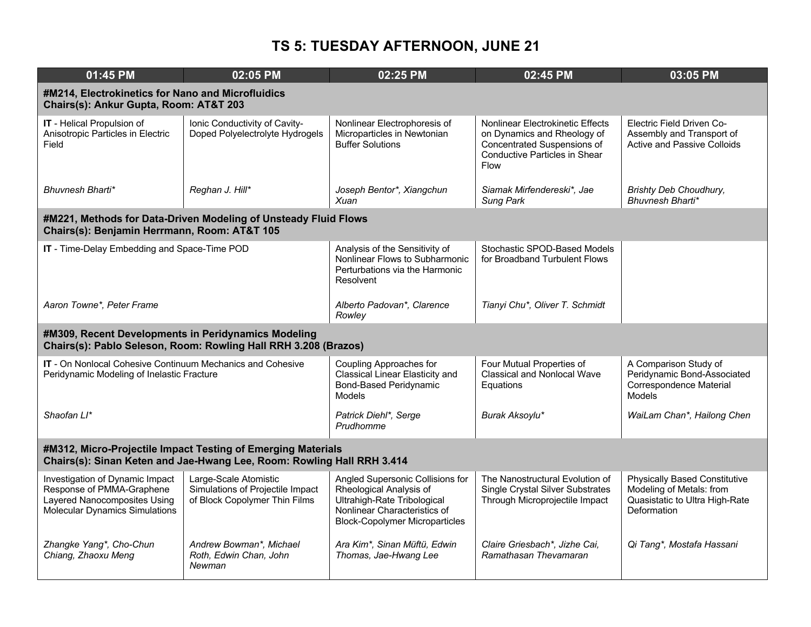| 01:45 PM                                                                                                                               | 02:05 PM                                                                                   | 02:25 PM                                                                                                                                                            | 02:45 PM                                                                                                                                       | 03:05 PM                                                                                                          |  |
|----------------------------------------------------------------------------------------------------------------------------------------|--------------------------------------------------------------------------------------------|---------------------------------------------------------------------------------------------------------------------------------------------------------------------|------------------------------------------------------------------------------------------------------------------------------------------------|-------------------------------------------------------------------------------------------------------------------|--|
| #M214, Electrokinetics for Nano and Microfluidics<br>Chairs(s): Ankur Gupta, Room: AT&T 203                                            |                                                                                            |                                                                                                                                                                     |                                                                                                                                                |                                                                                                                   |  |
| IT - Helical Propulsion of<br>Anisotropic Particles in Electric<br>Field                                                               | Ionic Conductivity of Cavity-<br>Doped Polyelectrolyte Hydrogels                           | Nonlinear Electrophoresis of<br>Microparticles in Newtonian<br><b>Buffer Solutions</b>                                                                              | Nonlinear Electrokinetic Effects<br>on Dynamics and Rheology of<br>Concentrated Suspensions of<br><b>Conductive Particles in Shear</b><br>Flow | Electric Field Driven Co-<br>Assembly and Transport of<br><b>Active and Passive Colloids</b>                      |  |
| Bhuvnesh Bharti*                                                                                                                       | Reghan J. Hill*                                                                            | Joseph Bentor*, Xiangchun<br>Xuan                                                                                                                                   | Siamak Mirfendereski*, Jae<br><b>Sung Park</b>                                                                                                 | Brishty Deb Choudhury,<br>Bhuvnesh Bharti*                                                                        |  |
| Chairs(s): Benjamin Herrmann, Room: AT&T 105                                                                                           | #M221, Methods for Data-Driven Modeling of Unsteady Fluid Flows                            |                                                                                                                                                                     |                                                                                                                                                |                                                                                                                   |  |
| IT - Time-Delay Embedding and Space-Time POD                                                                                           |                                                                                            | Analysis of the Sensitivity of<br>Nonlinear Flows to Subharmonic<br>Perturbations via the Harmonic<br><b>Resolvent</b>                                              | Stochastic SPOD-Based Models<br>for Broadband Turbulent Flows                                                                                  |                                                                                                                   |  |
| Aaron Towne*, Peter Frame                                                                                                              |                                                                                            | Alberto Padovan*, Clarence<br>Rowley                                                                                                                                | Tianyi Chu*, Oliver T. Schmidt                                                                                                                 |                                                                                                                   |  |
| #M309, Recent Developments in Peridynamics Modeling                                                                                    | Chairs(s): Pablo Seleson, Room: Rowling Hall RRH 3.208 (Brazos)                            |                                                                                                                                                                     |                                                                                                                                                |                                                                                                                   |  |
| <b>IT</b> - On Nonlocal Cohesive Continuum Mechanics and Cohesive<br>Peridynamic Modeling of Inelastic Fracture                        |                                                                                            | Coupling Approaches for<br>Classical Linear Elasticity and<br>Bond-Based Peridynamic<br><b>Models</b>                                                               | Four Mutual Properties of<br><b>Classical and Nonlocal Wave</b><br>Equations                                                                   | A Comparison Study of<br>Peridynamic Bond-Associated<br>Correspondence Material<br><b>Models</b>                  |  |
| Shaofan Ll*                                                                                                                            |                                                                                            | Patrick Diehl*, Serge<br>Prudhomme                                                                                                                                  | Burak Aksoylu*                                                                                                                                 | WaiLam Chan*, Hailong Chen                                                                                        |  |
| #M312, Micro-Projectile Impact Testing of Emerging Materials<br>Chairs(s): Sinan Keten and Jae-Hwang Lee, Room: Rowling Hall RRH 3.414 |                                                                                            |                                                                                                                                                                     |                                                                                                                                                |                                                                                                                   |  |
| Investigation of Dynamic Impact<br>Response of PMMA-Graphene<br>Layered Nanocomposites Using<br>Molecular Dynamics Simulations         | Large-Scale Atomistic<br>Simulations of Projectile Impact<br>of Block Copolymer Thin Films | Angled Supersonic Collisions for<br>Rheological Analysis of<br>Ultrahigh-Rate Tribological<br>Nonlinear Characteristics of<br><b>Block-Copolymer Microparticles</b> | The Nanostructural Evolution of<br><b>Single Crystal Silver Substrates</b><br>Through Microprojectile Impact                                   | <b>Physically Based Constitutive</b><br>Modeling of Metals: from<br>Quasistatic to Ultra High-Rate<br>Deformation |  |
| Zhangke Yang*, Cho-Chun<br>Chiang, Zhaoxu Meng                                                                                         | Andrew Bowman*, Michael<br>Roth, Edwin Chan, John<br>Newman                                | Ara Kim*, Sinan Müftü, Edwin<br>Thomas, Jae-Hwang Lee                                                                                                               | Claire Griesbach*, Jizhe Cai,<br>Ramathasan Thevamaran                                                                                         | Qi Tang*, Mostafa Hassani                                                                                         |  |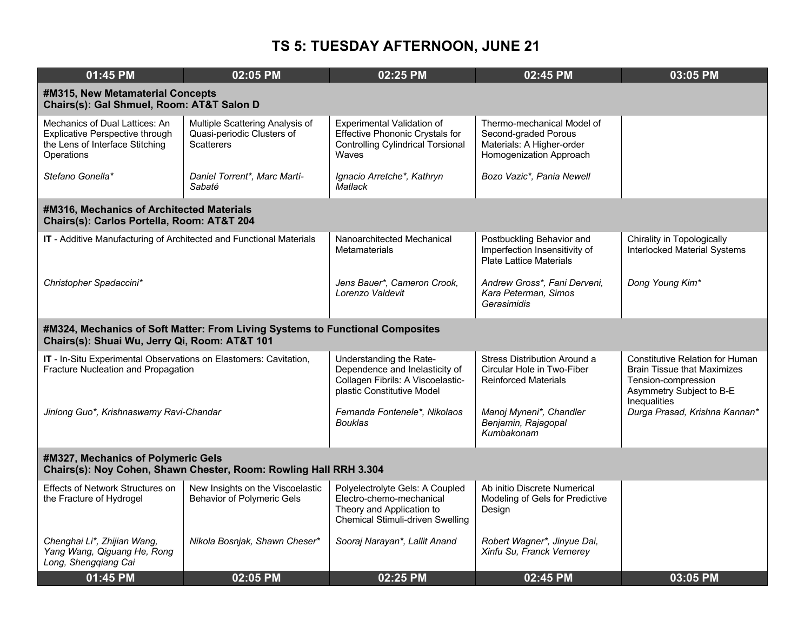| 01:45 PM                                                                                                                  | 02:05 PM                                                                                                | 02:25 PM                                                                                                                            | 02:45 PM                                                                                                   | 03:05 PM                                                                                                                                        |  |
|---------------------------------------------------------------------------------------------------------------------------|---------------------------------------------------------------------------------------------------------|-------------------------------------------------------------------------------------------------------------------------------------|------------------------------------------------------------------------------------------------------------|-------------------------------------------------------------------------------------------------------------------------------------------------|--|
| #M315, New Metamaterial Concepts<br>Chairs(s): Gal Shmuel, Room: AT&T Salon D                                             |                                                                                                         |                                                                                                                                     |                                                                                                            |                                                                                                                                                 |  |
| Mechanics of Dual Lattices: An<br><b>Explicative Perspective through</b><br>the Lens of Interface Stitching<br>Operations | Multiple Scattering Analysis of<br>Quasi-periodic Clusters of<br><b>Scatterers</b>                      | Experimental Validation of<br><b>Effective Phononic Crystals for</b><br><b>Controlling Cylindrical Torsional</b><br>Waves           | Thermo-mechanical Model of<br>Second-graded Porous<br>Materials: A Higher-order<br>Homogenization Approach |                                                                                                                                                 |  |
| Stefano Gonella*                                                                                                          | Daniel Torrent*, Marc Martí-<br>Sabaté                                                                  | Ignacio Arretche*, Kathryn<br>Matlack                                                                                               | Bozo Vazic*, Pania Newell                                                                                  |                                                                                                                                                 |  |
| #M316, Mechanics of Architected Materials<br>Chairs(s): Carlos Portella, Room: AT&T 204                                   |                                                                                                         |                                                                                                                                     |                                                                                                            |                                                                                                                                                 |  |
| IT - Additive Manufacturing of Architected and Functional Materials                                                       |                                                                                                         | Nanoarchitected Mechanical<br><b>Metamaterials</b>                                                                                  | Postbuckling Behavior and<br>Imperfection Insensitivity of<br><b>Plate Lattice Materials</b>               | Chirality in Topologically<br><b>Interlocked Material Systems</b>                                                                               |  |
| Christopher Spadaccini*                                                                                                   |                                                                                                         | Jens Bauer*, Cameron Crook,<br>Lorenzo Valdevit                                                                                     | Andrew Gross*, Fani Derveni,<br>Kara Peterman, Simos<br>Gerasimidis                                        | Dong Young Kim*                                                                                                                                 |  |
| Chairs(s): Shuai Wu, Jerry Qi, Room: AT&T 101                                                                             | #M324, Mechanics of Soft Matter: From Living Systems to Functional Composites                           |                                                                                                                                     |                                                                                                            |                                                                                                                                                 |  |
| IT - In-Situ Experimental Observations on Elastomers: Cavitation,<br>Fracture Nucleation and Propagation                  |                                                                                                         | Understanding the Rate-<br>Dependence and Inelasticity of<br>Collagen Fibrils: A Viscoelastic-<br>plastic Constitutive Model        | Stress Distribution Around a<br>Circular Hole in Two-Fiber<br><b>Reinforced Materials</b>                  | <b>Constitutive Relation for Human</b><br><b>Brain Tissue that Maximizes</b><br>Tension-compression<br>Asymmetry Subject to B-E<br>Inequalities |  |
| Jinlong Guo*, Krishnaswamy Ravi-Chandar                                                                                   |                                                                                                         | Fernanda Fontenele*, Nikolaos<br><b>Bouklas</b>                                                                                     | Manoj Myneni*, Chandler<br>Benjamin, Rajagopal<br>Kumbakonam                                               | Durga Prasad, Krishna Kannan*                                                                                                                   |  |
|                                                                                                                           | #M327, Mechanics of Polymeric Gels<br>Chairs(s): Noy Cohen, Shawn Chester, Room: Rowling Hall RRH 3.304 |                                                                                                                                     |                                                                                                            |                                                                                                                                                 |  |
| Effects of Network Structures on<br>the Fracture of Hydrogel                                                              | New Insights on the Viscoelastic<br>Behavior of Polymeric Gels                                          | Polyelectrolyte Gels: A Coupled<br>Electro-chemo-mechanical<br>Theory and Application to<br><b>Chemical Stimuli-driven Swelling</b> | Ab initio Discrete Numerical<br>Modeling of Gels for Predictive<br>Design                                  |                                                                                                                                                 |  |
| Chenghai Li*, Zhijian Wang,<br>Yang Wang, Qiguang He, Rong<br>Long, Shengqiang Cai                                        | Nikola Bosnjak, Shawn Cheser*                                                                           | Sooraj Narayan*, Lallit Anand                                                                                                       | Robert Wagner*, Jinyue Dai,<br>Xinfu Su, Franck Vernerey                                                   |                                                                                                                                                 |  |
| 01:45 PM                                                                                                                  | 02:05 PM                                                                                                | 02:25 PM                                                                                                                            | 02:45 PM                                                                                                   | 03:05 PM                                                                                                                                        |  |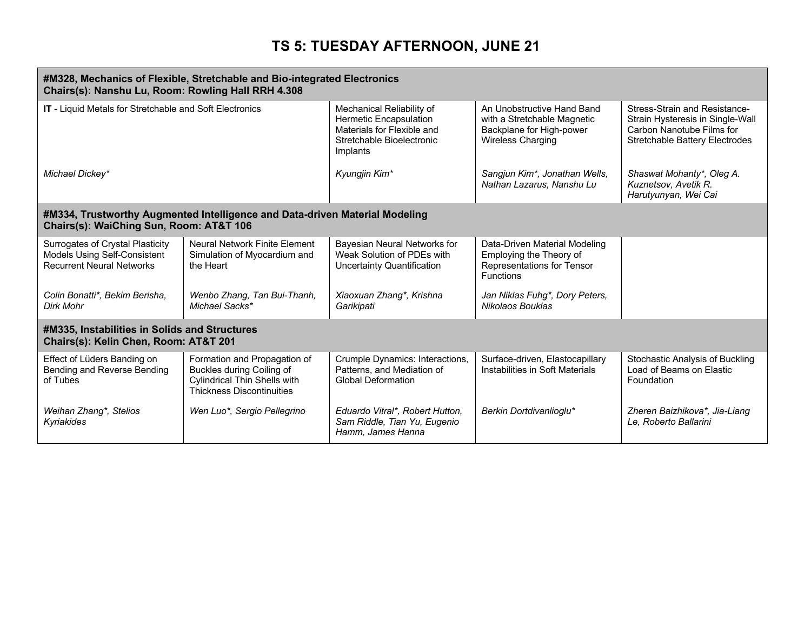| #M328, Mechanics of Flexible, Stretchable and Bio-integrated Electronics<br>Chairs(s): Nanshu Lu, Room: Rowling Hall RRH 4.308 |                                                                                                                                      |                                                                                                                            |                                                                                                                   |                                                                                                                                         |
|--------------------------------------------------------------------------------------------------------------------------------|--------------------------------------------------------------------------------------------------------------------------------------|----------------------------------------------------------------------------------------------------------------------------|-------------------------------------------------------------------------------------------------------------------|-----------------------------------------------------------------------------------------------------------------------------------------|
| IT - Liquid Metals for Stretchable and Soft Electronics                                                                        |                                                                                                                                      | Mechanical Reliability of<br>Hermetic Encapsulation<br>Materials for Flexible and<br>Stretchable Bioelectronic<br>Implants | An Unobstructive Hand Band<br>with a Stretchable Magnetic<br>Backplane for High-power<br><b>Wireless Charging</b> | Stress-Strain and Resistance-<br>Strain Hysteresis in Single-Wall<br>Carbon Nanotube Films for<br><b>Stretchable Battery Electrodes</b> |
| Michael Dickey*                                                                                                                |                                                                                                                                      | Kyungjin Kim*                                                                                                              | Sangjun Kim*, Jonathan Wells,<br>Nathan Lazarus, Nanshu Lu                                                        | Shaswat Mohanty*, Oleg A.<br>Kuznetsov, Avetik R.<br>Harutyunyan, Wei Cai                                                               |
| #M334, Trustworthy Augmented Intelligence and Data-driven Material Modeling<br>Chairs(s): WaiChing Sun, Room: AT&T 106         |                                                                                                                                      |                                                                                                                            |                                                                                                                   |                                                                                                                                         |
| Surrogates of Crystal Plasticity<br>Models Using Self-Consistent<br><b>Recurrent Neural Networks</b>                           | <b>Neural Network Finite Element</b><br>Simulation of Myocardium and<br>the Heart                                                    | Bayesian Neural Networks for<br>Weak Solution of PDEs with<br><b>Uncertainty Quantification</b>                            | Data-Driven Material Modeling<br>Employing the Theory of<br>Representations for Tensor<br><b>Functions</b>        |                                                                                                                                         |
| Colin Bonatti*, Bekim Berisha,<br>Dirk Mohr                                                                                    | Wenbo Zhang, Tan Bui-Thanh,<br>Michael Sacks*                                                                                        | Xiaoxuan Zhang*, Krishna<br>Garikipati                                                                                     | Jan Niklas Fuhg*, Dory Peters,<br>Nikolaos Bouklas                                                                |                                                                                                                                         |
| #M335, Instabilities in Solids and Structures<br>Chairs(s): Kelin Chen, Room: AT&T 201                                         |                                                                                                                                      |                                                                                                                            |                                                                                                                   |                                                                                                                                         |
| Effect of Lüders Banding on<br>Bending and Reverse Bending<br>of Tubes                                                         | Formation and Propagation of<br>Buckles during Coiling of<br><b>Cylindrical Thin Shells with</b><br><b>Thickness Discontinuities</b> | Crumple Dynamics: Interactions,<br>Patterns, and Mediation of<br><b>Global Deformation</b>                                 | Surface-driven, Elastocapillary<br>Instabilities in Soft Materials                                                | Stochastic Analysis of Buckling<br>Load of Beams on Elastic<br>Foundation                                                               |
| Weihan Zhang*, Stelios<br>Kyriakides                                                                                           | Wen Luo*, Sergio Pellegrino                                                                                                          | Eduardo Vitral*, Robert Hutton,<br>Sam Riddle, Tian Yu, Eugenio<br>Hamm, James Hanna                                       | Berkin Dortdivanlioglu*                                                                                           | Zheren Baizhikova*, Jia-Liang<br>Le, Roberto Ballarini                                                                                  |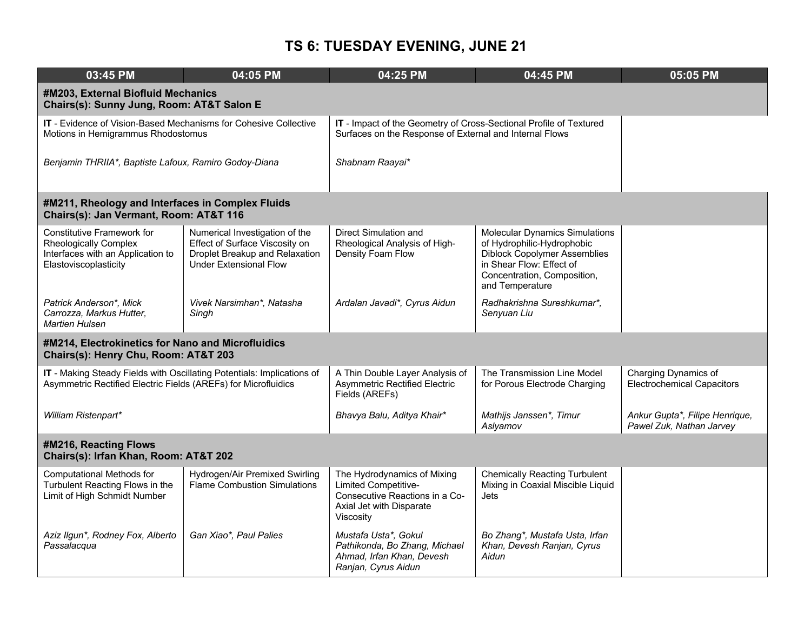| 03:45 PM                                                                                                                                 | 04:05 PM                                                                                                                            | 04:25 PM                                                                                                                       | 04:45 PM                                                                                                                                                                                 | 05:05 PM                                                   |
|------------------------------------------------------------------------------------------------------------------------------------------|-------------------------------------------------------------------------------------------------------------------------------------|--------------------------------------------------------------------------------------------------------------------------------|------------------------------------------------------------------------------------------------------------------------------------------------------------------------------------------|------------------------------------------------------------|
| #M203, External Biofluid Mechanics<br>Chairs(s): Sunny Jung, Room: AT&T Salon E                                                          |                                                                                                                                     |                                                                                                                                |                                                                                                                                                                                          |                                                            |
| IT - Evidence of Vision-Based Mechanisms for Cohesive Collective<br>Motions in Hemigrammus Rhodostomus                                   |                                                                                                                                     | IT - Impact of the Geometry of Cross-Sectional Profile of Textured<br>Surfaces on the Response of External and Internal Flows  |                                                                                                                                                                                          |                                                            |
| Benjamin THRIIA*, Baptiste Lafoux, Ramiro Godoy-Diana                                                                                    |                                                                                                                                     | Shabnam Raayai*                                                                                                                |                                                                                                                                                                                          |                                                            |
| #M211, Rheology and Interfaces in Complex Fluids<br>Chairs(s): Jan Vermant, Room: AT&T 116                                               |                                                                                                                                     |                                                                                                                                |                                                                                                                                                                                          |                                                            |
| <b>Constitutive Framework for</b><br><b>Rheologically Complex</b><br>Interfaces with an Application to<br>Elastoviscoplasticity          | Numerical Investigation of the<br>Effect of Surface Viscosity on<br>Droplet Breakup and Relaxation<br><b>Under Extensional Flow</b> | Direct Simulation and<br>Rheological Analysis of High-<br>Density Foam Flow                                                    | <b>Molecular Dynamics Simulations</b><br>of Hydrophilic-Hydrophobic<br><b>Diblock Copolymer Assemblies</b><br>in Shear Flow: Effect of<br>Concentration, Composition,<br>and Temperature |                                                            |
| Patrick Anderson*, Mick<br>Carrozza, Markus Hutter,<br>Martien Hulsen                                                                    | Vivek Narsimhan*, Natasha<br>Singh                                                                                                  | Ardalan Javadi*, Cyrus Aidun                                                                                                   | Radhakrishna Sureshkumar*,<br>Senyuan Liu                                                                                                                                                |                                                            |
| #M214, Electrokinetics for Nano and Microfluidics<br>Chairs(s): Henry Chu, Room: AT&T 203                                                |                                                                                                                                     |                                                                                                                                |                                                                                                                                                                                          |                                                            |
| IT - Making Steady Fields with Oscillating Potentials: Implications of<br>Asymmetric Rectified Electric Fields (AREFs) for Microfluidics |                                                                                                                                     | A Thin Double Layer Analysis of<br><b>Asymmetric Rectified Electric</b><br>Fields (AREFs)                                      | The Transmission Line Model<br>for Porous Electrode Charging                                                                                                                             | Charging Dynamics of<br><b>Electrochemical Capacitors</b>  |
| William Ristenpart*                                                                                                                      |                                                                                                                                     | Bhavya Balu, Aditya Khair*                                                                                                     | Mathijs Janssen*, Timur<br>Aslyamov                                                                                                                                                      | Ankur Gupta*, Filipe Henrique,<br>Pawel Zuk, Nathan Jarvey |
| #M216, Reacting Flows<br>Chairs(s): Irfan Khan, Room: AT&T 202                                                                           |                                                                                                                                     |                                                                                                                                |                                                                                                                                                                                          |                                                            |
| Computational Methods for<br>Turbulent Reacting Flows in the<br>Limit of High Schmidt Number                                             | Hydrogen/Air Premixed Swirling<br><b>Flame Combustion Simulations</b>                                                               | The Hydrodynamics of Mixing<br>Limited Competitive-<br>Consecutive Reactions in a Co-<br>Axial Jet with Disparate<br>Viscosity | <b>Chemically Reacting Turbulent</b><br>Mixing in Coaxial Miscible Liquid<br>Jets                                                                                                        |                                                            |
| Aziz Ilgun*, Rodney Fox, Alberto<br>Passalacqua                                                                                          | Gan Xiao*, Paul Palies                                                                                                              | Mustafa Usta*, Gokul<br>Pathikonda, Bo Zhang, Michael<br>Ahmad, Irfan Khan, Devesh<br>Ranjan, Cyrus Aidun                      | Bo Zhang*, Mustafa Usta, Irfan<br>Khan, Devesh Ranjan, Cyrus<br>Aidun                                                                                                                    |                                                            |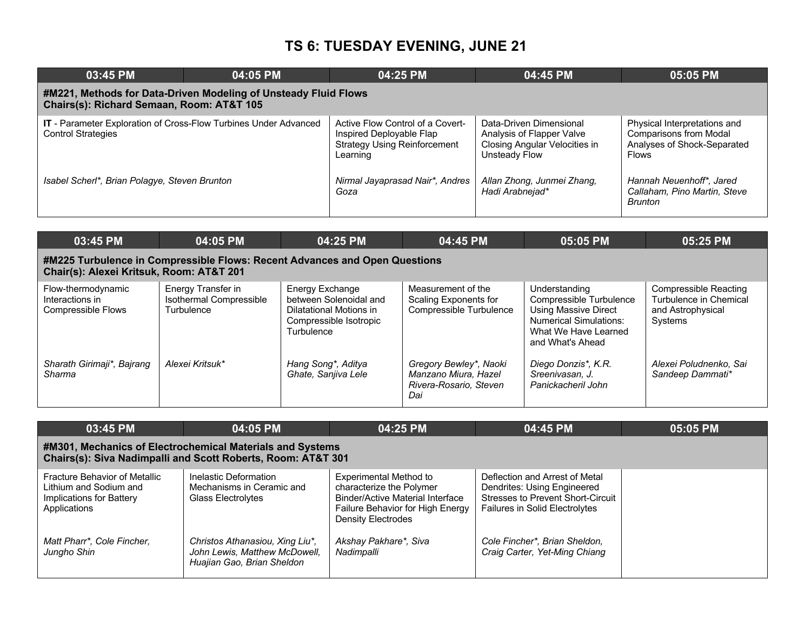| 03:45 PM                                                                                                     | 04:05 PM | 04:25 PM                                                                                                        | 04:45 PM                                                                                               | 05:05 PM                                                                                                     |  |  |
|--------------------------------------------------------------------------------------------------------------|----------|-----------------------------------------------------------------------------------------------------------------|--------------------------------------------------------------------------------------------------------|--------------------------------------------------------------------------------------------------------------|--|--|
| #M221, Methods for Data-Driven Modeling of Unsteady Fluid Flows<br>Chairs(s): Richard Semaan, Room: AT&T 105 |          |                                                                                                                 |                                                                                                        |                                                                                                              |  |  |
| IT - Parameter Exploration of Cross-Flow Turbines Under Advanced<br><b>Control Strategies</b>                |          | Active Flow Control of a Covert-<br>Inspired Deployable Flap<br><b>Strategy Using Reinforcement</b><br>Learning | Data-Driven Dimensional<br>Analysis of Flapper Valve<br>Closing Angular Velocities in<br>Unsteady Flow | Physical Interpretations and<br><b>Comparisons from Modal</b><br>Analyses of Shock-Separated<br><b>Flows</b> |  |  |
| Isabel Scherl*, Brian Polagye, Steven Brunton                                                                |          | Nirmal Jayaprasad Nair*, Andres<br>Goza                                                                         | Allan Zhong, Junmei Zhang,<br>Hadi Arabnejad*                                                          | Hannah Neuenhoff*, Jared<br>Callaham, Pino Martin, Steve<br><b>Brunton</b>                                   |  |  |

| 03:45 PM                                                                                                               | 04:05 PM                                                    | 04:25 PM                                                                                                     | 04:45 PM                                                                        | 05:05 PM                                                                                                                                             | 05:25 PM                                                                               |  |  |
|------------------------------------------------------------------------------------------------------------------------|-------------------------------------------------------------|--------------------------------------------------------------------------------------------------------------|---------------------------------------------------------------------------------|------------------------------------------------------------------------------------------------------------------------------------------------------|----------------------------------------------------------------------------------------|--|--|
| #M225 Turbulence in Compressible Flows: Recent Advances and Open Questions<br>Chair(s): Alexei Kritsuk, Room: AT&T 201 |                                                             |                                                                                                              |                                                                                 |                                                                                                                                                      |                                                                                        |  |  |
| Flow-thermodynamic<br>Interactions in<br><b>Compressible Flows</b>                                                     | Energy Transfer in<br>Isothermal Compressible<br>Turbulence | Energy Exchange<br>between Solenoidal and<br>Dilatational Motions in<br>Compressible Isotropic<br>Turbulence | Measurement of the<br>Scaling Exponents for<br>Compressible Turbulence          | Understanding<br>Compressible Turbulence<br><b>Using Massive Direct</b><br><b>Numerical Simulations:</b><br>What We Have Learned<br>and What's Ahead | <b>Compressible Reacting</b><br>Turbulence in Chemical<br>and Astrophysical<br>Systems |  |  |
| Sharath Girimaji*, Bajrang<br>Sharma                                                                                   | Alexei Kritsuk*                                             | Hang Song*, Aditya<br>Ghate, Sanjiva Lele                                                                    | Gregory Bewley*, Naoki<br>Manzano Miura, Hazel<br>Rivera-Rosario, Steven<br>Dai | Diego Donzis*, K.R.<br>Sreenivasan, J.<br>Panickacheril John                                                                                         | Alexei Poludnenko, Sai<br>Sandeep Dammati*                                             |  |  |

| 03:45 PM                                                                                                                  | 04:05 PM                                                                                       | 04:25 PM                                                                                                                                                              | 04:45 PM                                                                                                                                    | 05:05 PM |  |  |  |
|---------------------------------------------------------------------------------------------------------------------------|------------------------------------------------------------------------------------------------|-----------------------------------------------------------------------------------------------------------------------------------------------------------------------|---------------------------------------------------------------------------------------------------------------------------------------------|----------|--|--|--|
| #M301, Mechanics of Electrochemical Materials and Systems<br>Chairs(s): Siva Nadimpalli and Scott Roberts, Room: AT&T 301 |                                                                                                |                                                                                                                                                                       |                                                                                                                                             |          |  |  |  |
| Fracture Behavior of Metallic<br>Lithium and Sodium and<br>Implications for Battery<br>Applications                       | Inelastic Deformation<br>Mechanisms in Ceramic and<br>Glass Electrolytes                       | <b>Experimental Method to</b><br>characterize the Polymer<br><b>Binder/Active Material Interface</b><br><b>Failure Behavior for High Energy</b><br>Density Electrodes | Deflection and Arrest of Metal<br>Dendrites: Using Engineered<br>Stresses to Prevent Short-Circuit<br><b>Failures in Solid Electrolytes</b> |          |  |  |  |
| Matt Pharr*, Cole Fincher,<br>Jungho Shin                                                                                 | Christos Athanasiou, Xing Liu*,<br>John Lewis, Matthew McDowell,<br>Huajian Gao, Brian Sheldon | Akshay Pakhare*, Siva<br>Nadimpalli                                                                                                                                   | Cole Fincher*, Brian Sheldon,<br>Craig Carter, Yet-Ming Chiang                                                                              |          |  |  |  |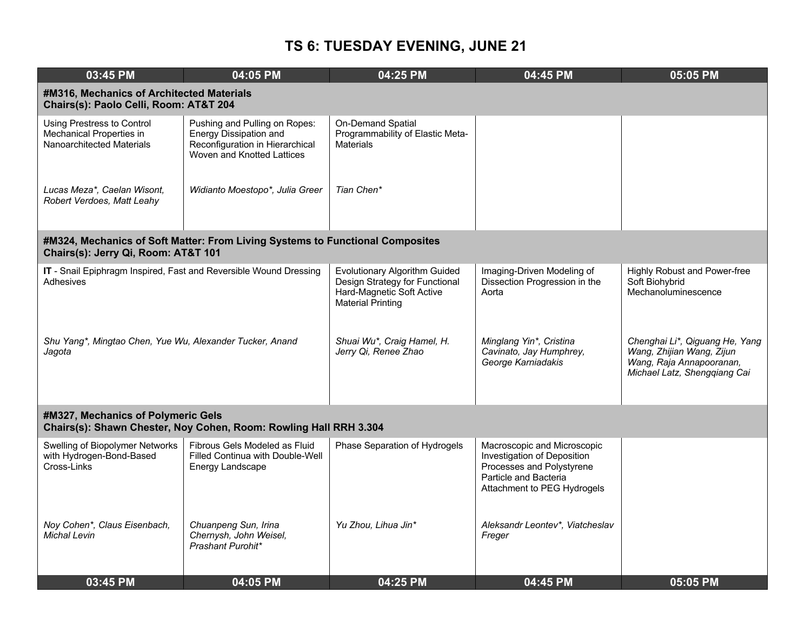| 03:45 PM                                                                            | 04:05 PM                                                                                                                 | 04:25 PM                                                                                                                 | 04:45 PM                                                                                                                                        | 05:05 PM                                                                                                                |  |  |  |
|-------------------------------------------------------------------------------------|--------------------------------------------------------------------------------------------------------------------------|--------------------------------------------------------------------------------------------------------------------------|-------------------------------------------------------------------------------------------------------------------------------------------------|-------------------------------------------------------------------------------------------------------------------------|--|--|--|
|                                                                                     | #M316, Mechanics of Architected Materials<br>Chairs(s): Paolo Celli, Room: AT&T 204                                      |                                                                                                                          |                                                                                                                                                 |                                                                                                                         |  |  |  |
| Using Prestress to Control<br>Mechanical Properties in<br>Nanoarchitected Materials | Pushing and Pulling on Ropes:<br>Energy Dissipation and<br>Reconfiguration in Hierarchical<br>Woven and Knotted Lattices | On-Demand Spatial<br>Programmability of Elastic Meta-<br><b>Materials</b>                                                |                                                                                                                                                 |                                                                                                                         |  |  |  |
| Lucas Meza*, Caelan Wisont,<br>Robert Verdoes, Matt Leahy                           | Widianto Moestopo*, Julia Greer                                                                                          | Tian Chen*                                                                                                               |                                                                                                                                                 |                                                                                                                         |  |  |  |
| Chairs(s): Jerry Qi, Room: AT&T 101                                                 | #M324, Mechanics of Soft Matter: From Living Systems to Functional Composites                                            |                                                                                                                          |                                                                                                                                                 |                                                                                                                         |  |  |  |
| IT - Snail Epiphragm Inspired, Fast and Reversible Wound Dressing<br>Adhesives      |                                                                                                                          | Evolutionary Algorithm Guided<br>Design Strategy for Functional<br>Hard-Magnetic Soft Active<br><b>Material Printing</b> | Imaging-Driven Modeling of<br>Dissection Progression in the<br>Aorta                                                                            | Highly Robust and Power-free<br>Soft Biohybrid<br>Mechanoluminescence                                                   |  |  |  |
| Shu Yang*, Mingtao Chen, Yue Wu, Alexander Tucker, Anand<br>Jagota                  |                                                                                                                          | Shuai Wu*, Craig Hamel, H.<br>Jerry Qi, Renee Zhao                                                                       | Minglang Yin*, Cristina<br>Cavinato, Jay Humphrey,<br>George Karniadakis                                                                        | Chenghai Li*, Qiguang He, Yang<br>Wang, Zhijian Wang, Zijun<br>Wang, Raja Annapooranan,<br>Michael Latz, Shengqiang Cai |  |  |  |
| #M327, Mechanics of Polymeric Gels                                                  | Chairs(s): Shawn Chester, Noy Cohen, Room: Rowling Hall RRH 3.304                                                        |                                                                                                                          |                                                                                                                                                 |                                                                                                                         |  |  |  |
| Swelling of Biopolymer Networks<br>with Hydrogen-Bond-Based<br>Cross-Links          | Fibrous Gels Modeled as Fluid<br>Filled Continua with Double-Well<br>Energy Landscape                                    | Phase Separation of Hydrogels                                                                                            | Macroscopic and Microscopic<br>Investigation of Deposition<br>Processes and Polystyrene<br>Particle and Bacteria<br>Attachment to PEG Hydrogels |                                                                                                                         |  |  |  |
| Noy Cohen*, Claus Eisenbach,<br><b>Michal Levin</b>                                 | Chuanpeng Sun, Irina<br>Chernysh, John Weisel,<br>Prashant Purohit*                                                      | Yu Zhou, Lihua Jin*                                                                                                      | Aleksandr Leontev*, Viatcheslav<br>Freger                                                                                                       |                                                                                                                         |  |  |  |
| 03:45 PM                                                                            | 04:05 PM                                                                                                                 | 04:25 PM                                                                                                                 | 04:45 PM                                                                                                                                        | 05:05 PM                                                                                                                |  |  |  |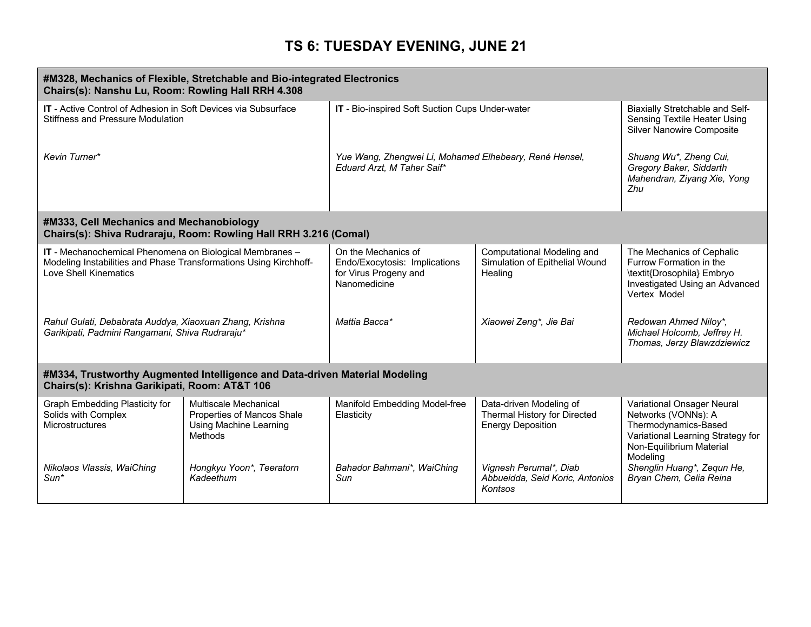| #M328, Mechanics of Flexible, Stretchable and Bio-integrated Electronics<br>Chairs(s): Nanshu Lu, Room: Rowling Hall RRH 4.308                         |                                                                                                                              |                                                                                               |                                                                                     |                                                                                                                                                        |  |  |
|--------------------------------------------------------------------------------------------------------------------------------------------------------|------------------------------------------------------------------------------------------------------------------------------|-----------------------------------------------------------------------------------------------|-------------------------------------------------------------------------------------|--------------------------------------------------------------------------------------------------------------------------------------------------------|--|--|
| <b>IT</b> - Active Control of Adhesion in Soft Devices via Subsurface<br>Stiffness and Pressure Modulation                                             |                                                                                                                              | IT - Bio-inspired Soft Suction Cups Under-water                                               |                                                                                     | Biaxially Stretchable and Self-<br><b>Sensing Textile Heater Using</b><br><b>Silver Nanowire Composite</b>                                             |  |  |
| Kevin Turner*                                                                                                                                          |                                                                                                                              | Yue Wang, Zhengwei Li, Mohamed Elhebeary, René Hensel,<br>Eduard Arzt, M Taher Saif*          |                                                                                     | Shuang Wu*, Zheng Cui,<br>Gregory Baker, Siddarth<br>Mahendran, Ziyang Xie, Yong<br><b>7hu</b>                                                         |  |  |
| #M333, Cell Mechanics and Mechanobiology                                                                                                               | Chairs(s): Shiva Rudraraju, Room: Rowling Hall RRH 3.216 (Comal)                                                             |                                                                                               |                                                                                     |                                                                                                                                                        |  |  |
| IT - Mechanochemical Phenomena on Biological Membranes -<br>Modeling Instabilities and Phase Transformations Using Kirchhoff-<br>Love Shell Kinematics |                                                                                                                              | On the Mechanics of<br>Endo/Exocytosis: Implications<br>for Virus Progeny and<br>Nanomedicine | Computational Modeling and<br>Simulation of Epithelial Wound<br>Healing             | The Mechanics of Cephalic<br>Furrow Formation in the<br>\textit{Drosophila} Embryo<br>Investigated Using an Advanced<br>Vertex Model                   |  |  |
| Rahul Gulati, Debabrata Auddya, Xiaoxuan Zhang, Krishna<br>Garikipati, Padmini Rangamani, Shiva Rudraraju*                                             |                                                                                                                              | Mattia Bacca*                                                                                 | Xiaowei Zeng*, Jie Bai                                                              | Redowan Ahmed Niloy*,<br>Michael Holcomb, Jeffrey H.<br>Thomas, Jerzy Blawzdziewicz                                                                    |  |  |
|                                                                                                                                                        | #M334, Trustworthy Augmented Intelligence and Data-driven Material Modeling<br>Chairs(s): Krishna Garikipati, Room: AT&T 106 |                                                                                               |                                                                                     |                                                                                                                                                        |  |  |
| Graph Embedding Plasticity for<br>Solids with Complex<br>Microstructures                                                                               | Multiscale Mechanical<br>Properties of Mancos Shale<br>Using Machine Learning<br>Methods                                     | Manifold Embedding Model-free<br>Elasticity                                                   | Data-driven Modeling of<br>Thermal History for Directed<br><b>Energy Deposition</b> | Variational Onsager Neural<br>Networks (VONNs): A<br>Thermodynamics-Based<br>Variational Learning Strategy for<br>Non-Equilibrium Material<br>Modeling |  |  |
| Nikolaos Vlassis, WaiChing<br>$Sun*$                                                                                                                   | Hongkyu Yoon*, Teeratorn<br>Kadeethum                                                                                        | Bahador Bahmani*, WaiChing<br>Sun                                                             | Vignesh Perumal*, Diab<br>Abbueidda, Seid Koric, Antonios<br>Kontsos                | Shenglin Huang*, Zequn He,<br>Bryan Chem, Celia Reina                                                                                                  |  |  |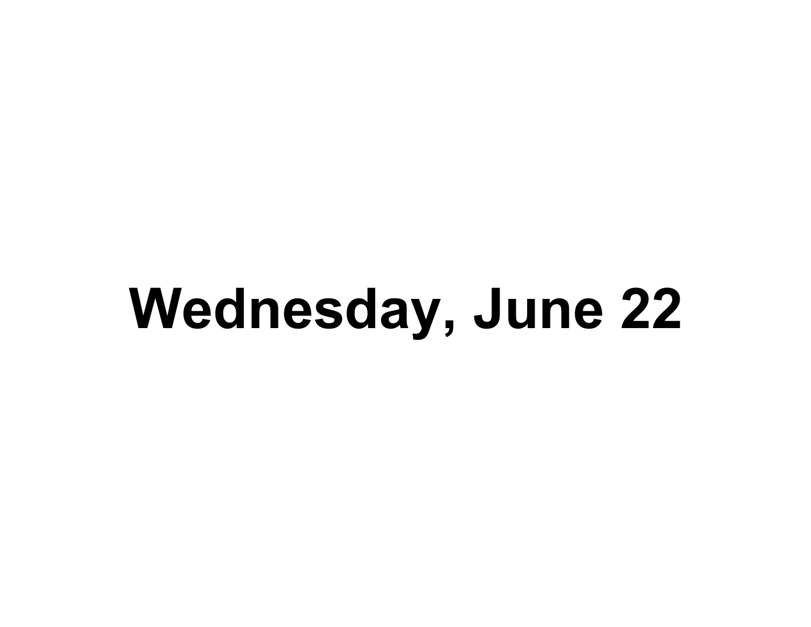# **Wednesday, June 22**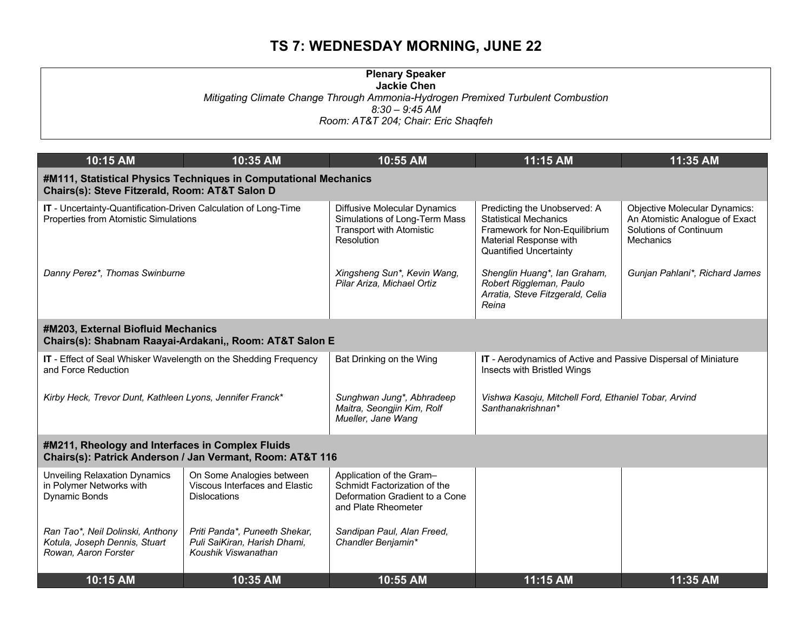# **TS 7: WEDNESDAY MORNING, JUNE 22**

| <b>Plenary Speaker</b><br>Jackie Chen                                                              |
|----------------------------------------------------------------------------------------------------|
| Mitigating Climate Change Through Ammonia-Hydrogen Premixed Turbulent Combustion<br>8:30 – 9:45 AM |
| Room: AT&T 204; Chair: Eric Shaqfeh                                                                |

| 10:15 AM                                                                                                           | 10:35 AM                                                                             | 10:55 AM                                                                                                              | 11:15 AM                                                                                                                                                 | 11:35 AM                                                                                                      |  |  |
|--------------------------------------------------------------------------------------------------------------------|--------------------------------------------------------------------------------------|-----------------------------------------------------------------------------------------------------------------------|----------------------------------------------------------------------------------------------------------------------------------------------------------|---------------------------------------------------------------------------------------------------------------|--|--|
| #M111, Statistical Physics Techniques in Computational Mechanics<br>Chairs(s): Steve Fitzerald, Room: AT&T Salon D |                                                                                      |                                                                                                                       |                                                                                                                                                          |                                                                                                               |  |  |
| IT - Uncertainty-Quantification-Driven Calculation of Long-Time<br>Properties from Atomistic Simulations           |                                                                                      | <b>Diffusive Molecular Dynamics</b><br>Simulations of Long-Term Mass<br><b>Transport with Atomistic</b><br>Resolution | Predicting the Unobserved: A<br><b>Statistical Mechanics</b><br>Framework for Non-Equilibrium<br>Material Response with<br><b>Quantified Uncertainty</b> | <b>Objective Molecular Dynamics:</b><br>An Atomistic Analogue of Exact<br>Solutions of Continuum<br>Mechanics |  |  |
| Danny Perez*, Thomas Swinburne                                                                                     |                                                                                      | Xingsheng Sun*, Kevin Wang,<br>Pilar Ariza, Michael Ortiz                                                             | Shenglin Huang*, Ian Graham,<br>Robert Riggleman, Paulo<br>Arratia, Steve Fitzgerald, Celia<br>Reina                                                     | Gunjan Pahlani*, Richard James                                                                                |  |  |
| #M203, External Biofluid Mechanics<br>Chairs(s): Shabnam Raayai-Ardakani,, Room: AT&T Salon E                      |                                                                                      |                                                                                                                       |                                                                                                                                                          |                                                                                                               |  |  |
| IT - Effect of Seal Whisker Wavelength on the Shedding Frequency<br>and Force Reduction                            |                                                                                      | Bat Drinking on the Wing                                                                                              | IT - Aerodynamics of Active and Passive Dispersal of Miniature<br>Insects with Bristled Wings                                                            |                                                                                                               |  |  |
| Kirby Heck, Trevor Dunt, Kathleen Lyons, Jennifer Franck*                                                          |                                                                                      | Sunghwan Jung*, Abhradeep<br>Maitra, Seongjin Kim, Rolf<br>Mueller, Jane Wang                                         | Vishwa Kasoju, Mitchell Ford, Ethaniel Tobar, Arvind<br>Santhanakrishnan*                                                                                |                                                                                                               |  |  |
| #M211, Rheology and Interfaces in Complex Fluids                                                                   | Chairs(s): Patrick Anderson / Jan Vermant, Room: AT&T 116                            |                                                                                                                       |                                                                                                                                                          |                                                                                                               |  |  |
| <b>Unveiling Relaxation Dynamics</b><br>in Polymer Networks with<br>Dynamic Bonds                                  | On Some Analogies between<br>Viscous Interfaces and Elastic<br><b>Dislocations</b>   | Application of the Gram-<br>Schmidt Factorization of the<br>Deformation Gradient to a Cone<br>and Plate Rheometer     |                                                                                                                                                          |                                                                                                               |  |  |
| Ran Tao*, Neil Dolinski, Anthony<br>Kotula, Joseph Dennis, Stuart<br>Rowan, Aaron Forster                          | Priti Panda*, Puneeth Shekar,<br>Puli SaiKiran, Harish Dhami,<br>Koushik Viswanathan | Sandipan Paul, Alan Freed,<br>Chandler Benjamin*                                                                      |                                                                                                                                                          |                                                                                                               |  |  |
| 10:15 AM                                                                                                           | 10:35 AM                                                                             | 10:55 AM                                                                                                              | 11:15 AM                                                                                                                                                 | 11:35 AM                                                                                                      |  |  |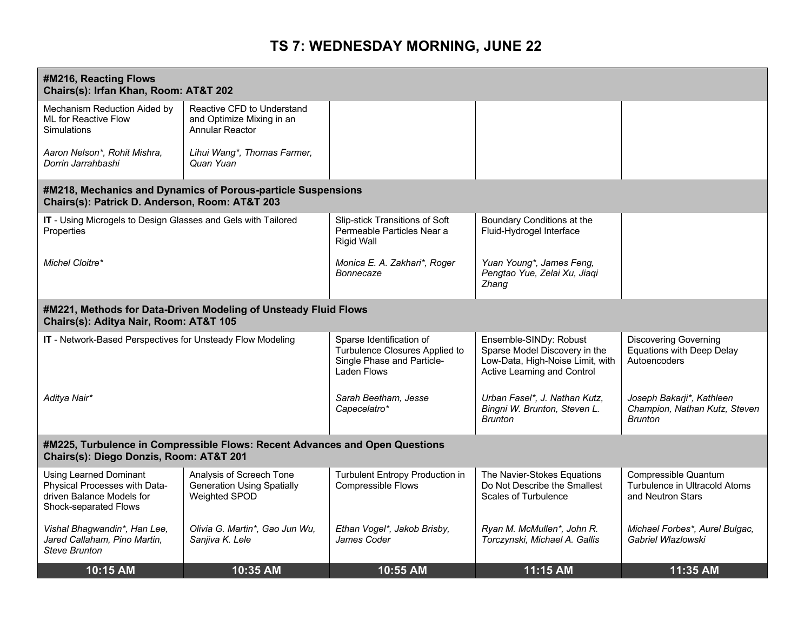# **TS 7: WEDNESDAY MORNING, JUNE 22**

| #M216, Reacting Flows<br>Chairs(s): Irfan Khan, Room: AT&T 202                                                         |                                                                                   |                                                                                                         |                                                                                                                                   |                                                                                  |  |
|------------------------------------------------------------------------------------------------------------------------|-----------------------------------------------------------------------------------|---------------------------------------------------------------------------------------------------------|-----------------------------------------------------------------------------------------------------------------------------------|----------------------------------------------------------------------------------|--|
| Mechanism Reduction Aided by<br><b>ML for Reactive Flow</b><br><b>Simulations</b>                                      | Reactive CFD to Understand<br>and Optimize Mixing in an<br><b>Annular Reactor</b> |                                                                                                         |                                                                                                                                   |                                                                                  |  |
| Aaron Nelson*, Rohit Mishra,<br>Dorrin Jarrahbashi                                                                     | Lihui Wang*, Thomas Farmer,<br>Quan Yuan                                          |                                                                                                         |                                                                                                                                   |                                                                                  |  |
| Chairs(s): Patrick D. Anderson, Room: AT&T 203                                                                         | #M218, Mechanics and Dynamics of Porous-particle Suspensions                      |                                                                                                         |                                                                                                                                   |                                                                                  |  |
| IT - Using Microgels to Design Glasses and Gels with Tailored<br>Properties                                            |                                                                                   | Slip-stick Transitions of Soft<br>Permeable Particles Near a<br><b>Rigid Wall</b>                       | Boundary Conditions at the<br>Fluid-Hydrogel Interface                                                                            |                                                                                  |  |
| Michel Cloitre*                                                                                                        |                                                                                   | Monica E. A. Zakhari*, Roger<br>Bonnecaze                                                               | Yuan Young*, James Feng,<br>Pengtao Yue, Zelai Xu, Jiaqi<br>Zhang                                                                 |                                                                                  |  |
| Chairs(s): Aditya Nair, Room: AT&T 105                                                                                 | #M221, Methods for Data-Driven Modeling of Unsteady Fluid Flows                   |                                                                                                         |                                                                                                                                   |                                                                                  |  |
| IT - Network-Based Perspectives for Unsteady Flow Modeling                                                             |                                                                                   | Sparse Identification of<br>Turbulence Closures Applied to<br>Single Phase and Particle-<br>Laden Flows | Ensemble-SINDy: Robust<br>Sparse Model Discovery in the<br>Low-Data, High-Noise Limit, with<br><b>Active Learning and Control</b> | <b>Discovering Governing</b><br><b>Equations with Deep Delay</b><br>Autoencoders |  |
| Aditya Nair*                                                                                                           |                                                                                   | Sarah Beetham, Jesse<br>Capecelatro*                                                                    | Urban Fasel*, J. Nathan Kutz,<br>Bingni W. Brunton, Steven L.<br><b>Brunton</b>                                                   | Joseph Bakarji*, Kathleen<br>Champion, Nathan Kutz, Steven<br><b>Brunton</b>     |  |
| #M225, Turbulence in Compressible Flows: Recent Advances and Open Questions<br>Chairs(s): Diego Donzis, Room: AT&T 201 |                                                                                   |                                                                                                         |                                                                                                                                   |                                                                                  |  |
| <b>Using Learned Dominant</b><br>Physical Processes with Data-<br>driven Balance Models for<br>Shock-separated Flows   | Analysis of Screech Tone<br><b>Generation Using Spatially</b><br>Weighted SPOD    | Turbulent Entropy Production in<br><b>Compressible Flows</b>                                            | The Navier-Stokes Equations<br>Do Not Describe the Smallest<br><b>Scales of Turbulence</b>                                        | Compressible Quantum<br>Turbulence in Ultracold Atoms<br>and Neutron Stars       |  |
| Vishal Bhagwandin*, Han Lee,<br>Jared Callaham, Pino Martin,<br><b>Steve Brunton</b>                                   | Olivia G. Martin*, Gao Jun Wu,<br>Sanjiva K. Lele                                 | Ethan Vogel*, Jakob Brisby,<br>James Coder                                                              | Ryan M. McMullen*, John R.<br>Torczynski, Michael A. Gallis                                                                       | Michael Forbes*, Aurel Bulgac,<br>Gabriel Wlazlowski                             |  |
| 10:15 AM                                                                                                               | 10:35 AM                                                                          | 10:55 AM                                                                                                | 11:15 AM                                                                                                                          | 11:35 AM                                                                         |  |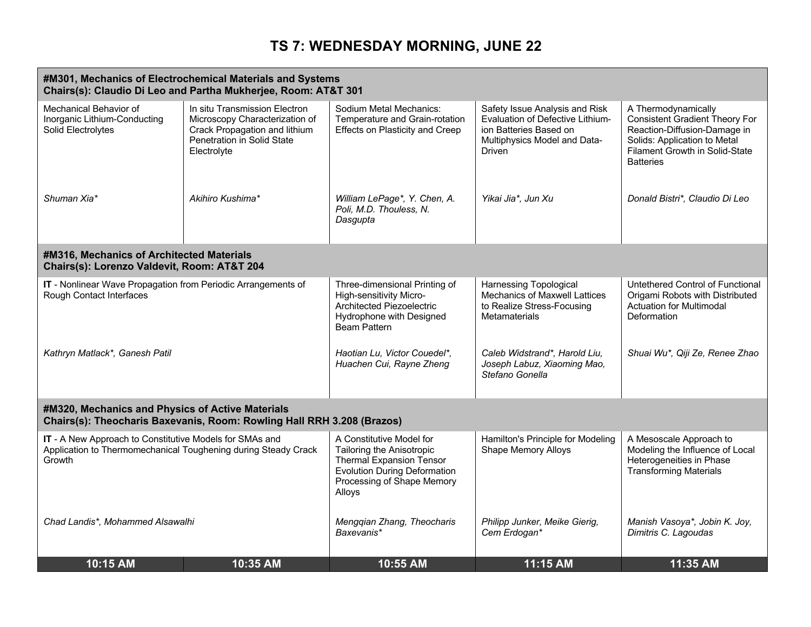# **TS 7: WEDNESDAY MORNING, JUNE 22**

| #M301, Mechanics of Electrochemical Materials and Systems<br>Chairs(s): Claudio Di Leo and Partha Mukherjee, Room: AT&T 301         |                                                                                                                                               |                                                                                                                                                                         |                                                                                                                                                      |                                                                                                                                                                                    |  |  |
|-------------------------------------------------------------------------------------------------------------------------------------|-----------------------------------------------------------------------------------------------------------------------------------------------|-------------------------------------------------------------------------------------------------------------------------------------------------------------------------|------------------------------------------------------------------------------------------------------------------------------------------------------|------------------------------------------------------------------------------------------------------------------------------------------------------------------------------------|--|--|
| Mechanical Behavior of<br>Inorganic Lithium-Conducting<br>Solid Electrolytes                                                        | In situ Transmission Electron<br>Microscopy Characterization of<br>Crack Propagation and lithium<br>Penetration in Solid State<br>Electrolyte | Sodium Metal Mechanics:<br>Temperature and Grain-rotation<br><b>Effects on Plasticity and Creep</b>                                                                     | Safety Issue Analysis and Risk<br><b>Evaluation of Defective Lithium-</b><br>ion Batteries Based on<br>Multiphysics Model and Data-<br><b>Driven</b> | A Thermodynamically<br><b>Consistent Gradient Theory For</b><br>Reaction-Diffusion-Damage in<br>Solids: Application to Metal<br>Filament Growth in Solid-State<br><b>Batteries</b> |  |  |
| Shuman Xia*                                                                                                                         | Akihiro Kushima*                                                                                                                              | William LePage*, Y. Chen, A.<br>Poli, M.D. Thouless, N.<br>Dasgupta                                                                                                     | Yikai Jia*, Jun Xu                                                                                                                                   | Donald Bistri*, Claudio Di Leo                                                                                                                                                     |  |  |
| #M316, Mechanics of Architected Materials<br>Chairs(s): Lorenzo Valdevit, Room: AT&T 204                                            |                                                                                                                                               |                                                                                                                                                                         |                                                                                                                                                      |                                                                                                                                                                                    |  |  |
| IT - Nonlinear Wave Propagation from Periodic Arrangements of<br>Rough Contact Interfaces                                           |                                                                                                                                               | Three-dimensional Printing of<br>High-sensitivity Micro-<br>Architected Piezoelectric<br>Hydrophone with Designed<br><b>Beam Pattern</b>                                | <b>Harnessing Topological</b><br><b>Mechanics of Maxwell Lattices</b><br>to Realize Stress-Focusing<br><b>Metamaterials</b>                          | Untethered Control of Functional<br>Origami Robots with Distributed<br><b>Actuation for Multimodal</b><br>Deformation                                                              |  |  |
| Kathryn Matlack*, Ganesh Patil                                                                                                      |                                                                                                                                               | Haotian Lu, Victor Couedel*,<br>Huachen Cui, Rayne Zheng                                                                                                                | Caleb Widstrand*, Harold Liu,<br>Joseph Labuz, Xiaoming Mao,<br>Stefano Gonella                                                                      | Shuai Wu*, Qiji Ze, Renee Zhao                                                                                                                                                     |  |  |
| #M320, Mechanics and Physics of Active Materials                                                                                    | Chairs(s): Theocharis Baxevanis, Room: Rowling Hall RRH 3.208 (Brazos)                                                                        |                                                                                                                                                                         |                                                                                                                                                      |                                                                                                                                                                                    |  |  |
| IT - A New Approach to Constitutive Models for SMAs and<br>Application to Thermomechanical Toughening during Steady Crack<br>Growth |                                                                                                                                               | A Constitutive Model for<br>Tailoring the Anisotropic<br><b>Thermal Expansion Tensor</b><br><b>Evolution During Deformation</b><br>Processing of Shape Memory<br>Alloys | Hamilton's Principle for Modeling<br><b>Shape Memory Alloys</b>                                                                                      | A Mesoscale Approach to<br>Modeling the Influence of Local<br>Heterogeneities in Phase<br><b>Transforming Materials</b>                                                            |  |  |
| Chad Landis*, Mohammed Alsawalhi                                                                                                    |                                                                                                                                               | Mengqian Zhang, Theocharis<br>Baxevanis*                                                                                                                                | Philipp Junker, Meike Gierig,<br>Cem Erdogan*                                                                                                        | Manish Vasoya*, Jobin K. Joy,<br>Dimitris C. Lagoudas                                                                                                                              |  |  |
| 10:15 AM                                                                                                                            | 10:35 AM                                                                                                                                      | 10:55 AM                                                                                                                                                                | 11:15 AM                                                                                                                                             | 11:35 AM                                                                                                                                                                           |  |  |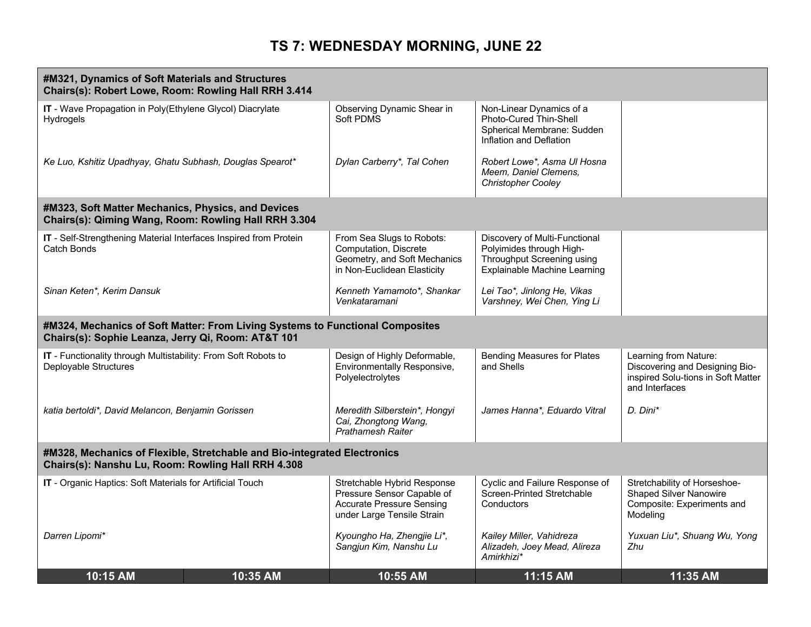# **TS 7: WEDNESDAY MORNING, JUNE 22**

| #M321, Dynamics of Soft Materials and Structures<br>Chairs(s): Robert Lowe, Room: Rowling Hall RRH 3.414   |                                                                                                                                |                                                                                                                             |                                                                                                                         |                                                                                                                 |  |
|------------------------------------------------------------------------------------------------------------|--------------------------------------------------------------------------------------------------------------------------------|-----------------------------------------------------------------------------------------------------------------------------|-------------------------------------------------------------------------------------------------------------------------|-----------------------------------------------------------------------------------------------------------------|--|
| IT - Wave Propagation in Poly(Ethylene Glycol) Diacrylate<br><b>Hydrogels</b>                              |                                                                                                                                | Observing Dynamic Shear in<br>Soft PDMS                                                                                     | Non-Linear Dynamics of a<br>Photo-Cured Thin-Shell<br>Spherical Membrane: Sudden<br>Inflation and Deflation             |                                                                                                                 |  |
| Ke Luo, Kshitiz Upadhyay, Ghatu Subhash, Douglas Spearot*                                                  |                                                                                                                                | Dylan Carberry*, Tal Cohen                                                                                                  | Robert Lowe*, Asma Ul Hosna<br>Meem, Daniel Clemens,<br><b>Christopher Cooley</b>                                       |                                                                                                                 |  |
| #M323, Soft Matter Mechanics, Physics, and Devices<br>Chairs(s): Qiming Wang, Room: Rowling Hall RRH 3.304 |                                                                                                                                |                                                                                                                             |                                                                                                                         |                                                                                                                 |  |
| IT - Self-Strengthening Material Interfaces Inspired from Protein<br>Catch Bonds                           |                                                                                                                                | From Sea Slugs to Robots:<br>Computation, Discrete<br>Geometry, and Soft Mechanics<br>in Non-Euclidean Elasticity           | Discovery of Multi-Functional<br>Polyimides through High-<br>Throughput Screening using<br>Explainable Machine Learning |                                                                                                                 |  |
| Sinan Keten*, Kerim Dansuk                                                                                 |                                                                                                                                | Kenneth Yamamoto*, Shankar<br>Venkataramani                                                                                 | Lei Tao*, Jinlong He, Vikas<br>Varshney, Wei Chen, Ying Li                                                              |                                                                                                                 |  |
| Chairs(s): Sophie Leanza, Jerry Qi, Room: AT&T 101                                                         | #M324, Mechanics of Soft Matter: From Living Systems to Functional Composites                                                  |                                                                                                                             |                                                                                                                         |                                                                                                                 |  |
| IT - Functionality through Multistability: From Soft Robots to<br>Deployable Structures                    |                                                                                                                                | Design of Highly Deformable,<br>Environmentally Responsive,<br>Polyelectrolytes                                             | <b>Bending Measures for Plates</b><br>and Shells                                                                        | Learning from Nature:<br>Discovering and Designing Bio-<br>inspired Solu-tions in Soft Matter<br>and Interfaces |  |
| katia bertoldi*, David Melancon, Benjamin Gorissen                                                         |                                                                                                                                | Meredith Silberstein*, Hongyi<br>Cai, Zhongtong Wang,<br><b>Prathamesh Raiter</b>                                           | James Hanna*, Eduardo Vitral                                                                                            | D. Dini*                                                                                                        |  |
|                                                                                                            | #M328, Mechanics of Flexible, Stretchable and Bio-integrated Electronics<br>Chairs(s): Nanshu Lu, Room: Rowling Hall RRH 4.308 |                                                                                                                             |                                                                                                                         |                                                                                                                 |  |
| IT - Organic Haptics: Soft Materials for Artificial Touch                                                  |                                                                                                                                | Stretchable Hybrid Response<br>Pressure Sensor Capable of<br><b>Accurate Pressure Sensing</b><br>under Large Tensile Strain | Cyclic and Failure Response of<br>Screen-Printed Stretchable<br>Conductors                                              | Stretchability of Horseshoe-<br><b>Shaped Silver Nanowire</b><br>Composite: Experiments and<br>Modeling         |  |
| Darren Lipomi*                                                                                             |                                                                                                                                | Kyoungho Ha, Zhengjie Li*,<br>Sangjun Kim, Nanshu Lu                                                                        | Kailey Miller, Vahidreza<br>Alizadeh, Joey Mead, Alireza<br>Amirkhizi*                                                  | Yuxuan Liu*, Shuang Wu, Yong<br>Zhu                                                                             |  |
| 10:15 AM                                                                                                   | 10:35 AM                                                                                                                       | 10:55 AM                                                                                                                    | 11:15 AM                                                                                                                | 11:35 AM                                                                                                        |  |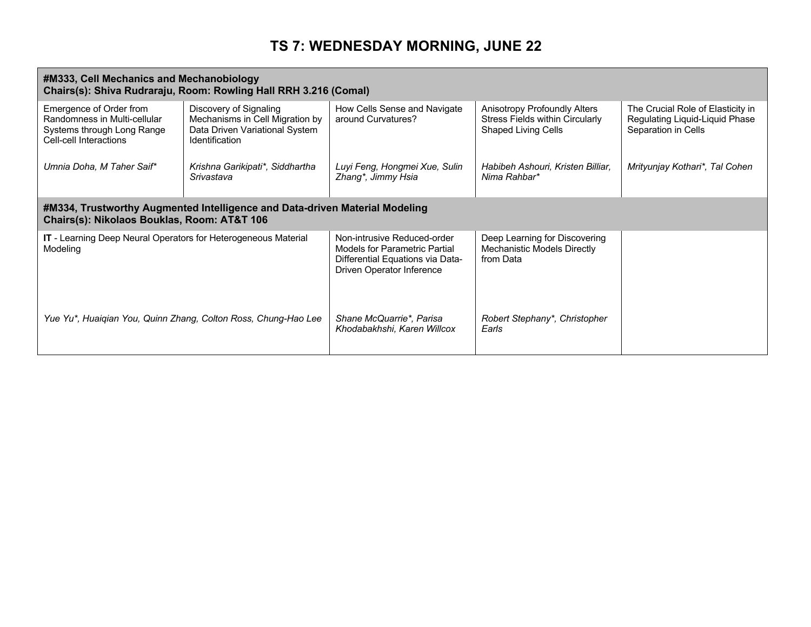# **TS 7: WEDNESDAY MORNING, JUNE 22**

| #M333, Cell Mechanics and Mechanobiology<br>Chairs(s): Shiva Rudraraju, Room: Rowling Hall RRH 3.216 (Comal)    |                                                                                                                      |                                                                                                                               |                                                                                                      |                                                                                            |
|-----------------------------------------------------------------------------------------------------------------|----------------------------------------------------------------------------------------------------------------------|-------------------------------------------------------------------------------------------------------------------------------|------------------------------------------------------------------------------------------------------|--------------------------------------------------------------------------------------------|
| Emergence of Order from<br>Randomness in Multi-cellular<br>Systems through Long Range<br>Cell-cell Interactions | Discovery of Signaling<br>Mechanisms in Cell Migration by<br>Data Driven Variational System<br><b>Identification</b> | How Cells Sense and Navigate<br>around Curvatures?                                                                            | Anisotropy Profoundly Alters<br><b>Stress Fields within Circularly</b><br><b>Shaped Living Cells</b> | The Crucial Role of Elasticity in<br>Regulating Liquid-Liquid Phase<br>Separation in Cells |
| Umnia Doha, M Taher Saif*                                                                                       | Krishna Garikipati*, Siddhartha<br>Srivastava                                                                        | Luyi Feng, Hongmei Xue, Sulin<br>Zhang*, Jimmy Hsia                                                                           | Habibeh Ashouri, Kristen Billiar,<br>Nima Rahbar*                                                    | Mrityunjay Kothari*, Tal Cohen                                                             |
| Chairs(s): Nikolaos Bouklas, Room: AT&T 106                                                                     | #M334, Trustworthy Augmented Intelligence and Data-driven Material Modeling                                          |                                                                                                                               |                                                                                                      |                                                                                            |
| IT - Learning Deep Neural Operators for Heterogeneous Material<br>Modeling                                      |                                                                                                                      | Non-intrusive Reduced-order<br>Models for Parametric Partial<br>Differential Equations via Data-<br>Driven Operator Inference | Deep Learning for Discovering<br>Mechanistic Models Directly<br>from Data                            |                                                                                            |
| Yue Yu*, Huaiqian You, Quinn Zhang, Colton Ross, Chung-Hao Lee                                                  |                                                                                                                      | Shane McQuarrie*, Parisa<br>Khodabakhshi, Karen Willcox                                                                       | Robert Stephany*, Christopher<br>Earls                                                               |                                                                                            |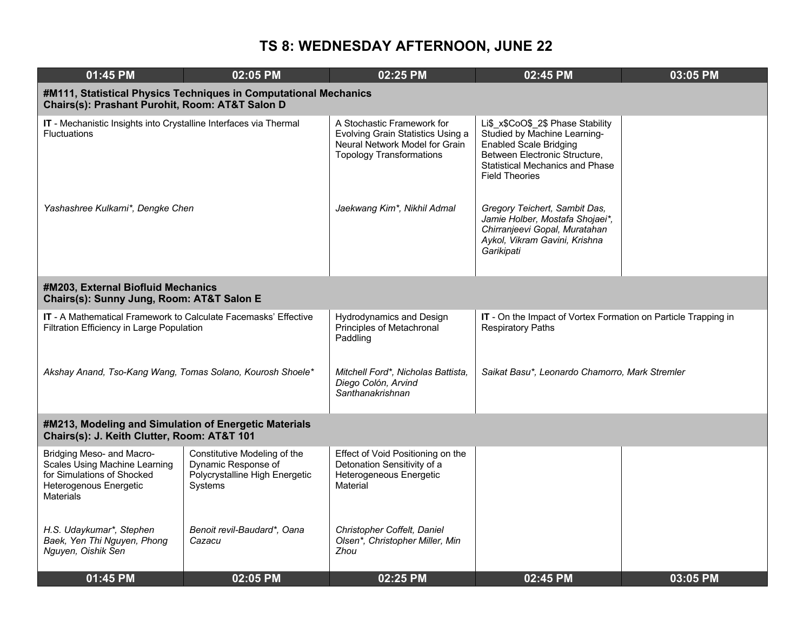| 01:45 PM                                                                                                                                      | 02:05 PM                                                                                                | 02:25 PM                                                                                                                             | 02:45 PM                                                                                                                                                                                               | 03:05 PM |  |  |
|-----------------------------------------------------------------------------------------------------------------------------------------------|---------------------------------------------------------------------------------------------------------|--------------------------------------------------------------------------------------------------------------------------------------|--------------------------------------------------------------------------------------------------------------------------------------------------------------------------------------------------------|----------|--|--|
| #M111, Statistical Physics Techniques in Computational Mechanics<br>Chairs(s): Prashant Purohit, Room: AT&T Salon D                           |                                                                                                         |                                                                                                                                      |                                                                                                                                                                                                        |          |  |  |
| IT - Mechanistic Insights into Crystalline Interfaces via Thermal<br><b>Fluctuations</b>                                                      |                                                                                                         | A Stochastic Framework for<br>Evolving Grain Statistics Using a<br>Neural Network Model for Grain<br><b>Topology Transformations</b> | Li\$ x\$CoO\$ 2\$ Phase Stability<br>Studied by Machine Learning-<br><b>Enabled Scale Bridging</b><br>Between Electronic Structure,<br><b>Statistical Mechanics and Phase</b><br><b>Field Theories</b> |          |  |  |
| Yashashree Kulkarni*, Dengke Chen                                                                                                             |                                                                                                         | Jaekwang Kim*, Nikhil Admal                                                                                                          | Gregory Teichert, Sambit Das,<br>Jamie Holber, Mostafa Shojaei*,<br>Chirranjeevi Gopal, Muratahan<br>Aykol, Vikram Gavini, Krishna<br>Garikipati                                                       |          |  |  |
| #M203, External Biofluid Mechanics<br>Chairs(s): Sunny Jung, Room: AT&T Salon E                                                               |                                                                                                         |                                                                                                                                      |                                                                                                                                                                                                        |          |  |  |
| <b>IT</b> - A Mathematical Framework to Calculate Facemasks' Effective<br>Filtration Efficiency in Large Population                           |                                                                                                         | <b>Hydrodynamics and Design</b><br>Principles of Metachronal<br>Paddling                                                             | IT - On the Impact of Vortex Formation on Particle Trapping in<br><b>Respiratory Paths</b>                                                                                                             |          |  |  |
| Akshay Anand, Tso-Kang Wang, Tomas Solano, Kourosh Shoele*                                                                                    |                                                                                                         | Mitchell Ford*, Nicholas Battista,<br>Diego Colón, Arvind<br>Santhanakrishnan                                                        | Saikat Basu*, Leonardo Chamorro, Mark Stremler                                                                                                                                                         |          |  |  |
| #M213, Modeling and Simulation of Energetic Materials<br>Chairs(s): J. Keith Clutter, Room: AT&T 101                                          |                                                                                                         |                                                                                                                                      |                                                                                                                                                                                                        |          |  |  |
| Bridging Meso- and Macro-<br><b>Scales Using Machine Learning</b><br>for Simulations of Shocked<br>Heterogenous Energetic<br><b>Materials</b> | Constitutive Modeling of the<br>Dynamic Response of<br>Polycrystalline High Energetic<br><b>Systems</b> | Effect of Void Positioning on the<br>Detonation Sensitivity of a<br>Heterogeneous Energetic<br>Material                              |                                                                                                                                                                                                        |          |  |  |
| H.S. Udaykumar*, Stephen<br>Baek, Yen Thi Nguyen, Phong<br>Nguyen, Oishik Sen                                                                 | Benoit revil-Baudard*, Oana<br>Cazacu                                                                   | Christopher Coffelt, Daniel<br>Olsen*, Christopher Miller, Min<br>Zhou                                                               |                                                                                                                                                                                                        |          |  |  |
| 01:45 PM                                                                                                                                      | 02:05 PM                                                                                                | 02:25 PM                                                                                                                             | 02:45 PM                                                                                                                                                                                               | 03:05 PM |  |  |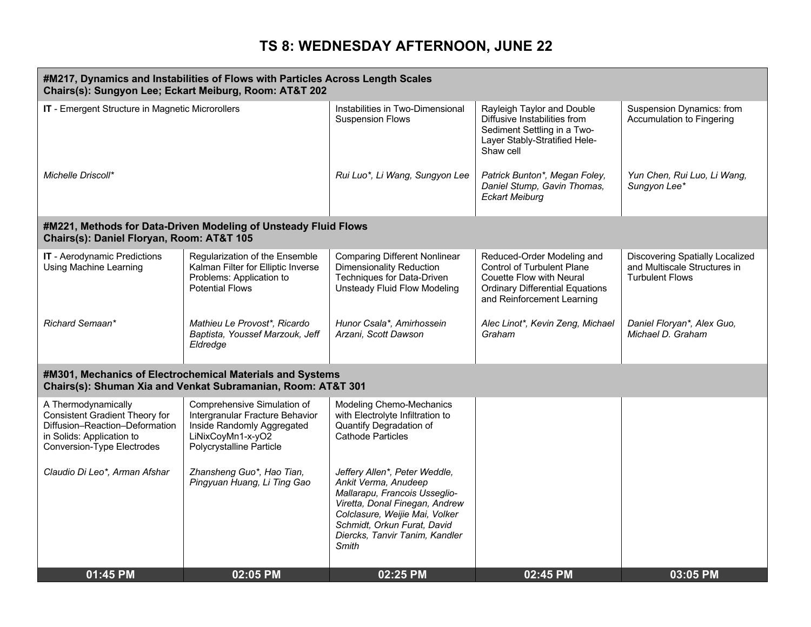| #M217, Dynamics and Instabilities of Flows with Particles Across Length Scales<br>Chairs(s): Sungyon Lee; Eckart Meiburg, Room: AT&T 202                  |                                                                                                                                               |                                                                                                                                                                                                                                      |                                                                                                                                                                     |                                                                                                  |
|-----------------------------------------------------------------------------------------------------------------------------------------------------------|-----------------------------------------------------------------------------------------------------------------------------------------------|--------------------------------------------------------------------------------------------------------------------------------------------------------------------------------------------------------------------------------------|---------------------------------------------------------------------------------------------------------------------------------------------------------------------|--------------------------------------------------------------------------------------------------|
| IT - Emergent Structure in Magnetic Microrollers                                                                                                          |                                                                                                                                               | Instabilities in Two-Dimensional<br><b>Suspension Flows</b>                                                                                                                                                                          | Rayleigh Taylor and Double<br>Diffusive Instabilities from<br>Sediment Settling in a Two-<br>Layer Stably-Stratified Hele-<br>Shaw cell                             | Suspension Dynamics: from<br>Accumulation to Fingering                                           |
| Michelle Driscoll*                                                                                                                                        |                                                                                                                                               | Rui Luo*, Li Wang, Sungyon Lee                                                                                                                                                                                                       | Patrick Bunton*, Megan Foley,<br>Daniel Stump, Gavin Thomas,<br><b>Eckart Meiburg</b>                                                                               | Yun Chen, Rui Luo, Li Wang,<br>Sungyon Lee*                                                      |
| Chairs(s): Daniel Floryan, Room: AT&T 105                                                                                                                 | #M221, Methods for Data-Driven Modeling of Unsteady Fluid Flows                                                                               |                                                                                                                                                                                                                                      |                                                                                                                                                                     |                                                                                                  |
| IT - Aerodynamic Predictions<br>Using Machine Learning                                                                                                    | Regularization of the Ensemble<br>Kalman Filter for Elliptic Inverse<br>Problems: Application to<br><b>Potential Flows</b>                    | <b>Comparing Different Nonlinear</b><br><b>Dimensionality Reduction</b><br>Techniques for Data-Driven<br><b>Unsteady Fluid Flow Modeling</b>                                                                                         | Reduced-Order Modeling and<br><b>Control of Turbulent Plane</b><br>Couette Flow with Neural<br><b>Ordinary Differential Equations</b><br>and Reinforcement Learning | <b>Discovering Spatially Localized</b><br>and Multiscale Structures in<br><b>Turbulent Flows</b> |
| Richard Semaan*                                                                                                                                           | Mathieu Le Provost*, Ricardo<br>Baptista, Youssef Marzouk, Jeff<br>Eldredge                                                                   | Hunor Csala*, Amirhossein<br>Arzani, Scott Dawson                                                                                                                                                                                    | Alec Linot*, Kevin Zeng, Michael<br>Graham                                                                                                                          | Daniel Floryan*, Alex Guo,<br>Michael D. Graham                                                  |
|                                                                                                                                                           | #M301, Mechanics of Electrochemical Materials and Systems<br>Chairs(s): Shuman Xia and Venkat Subramanian, Room: AT&T 301                     |                                                                                                                                                                                                                                      |                                                                                                                                                                     |                                                                                                  |
| A Thermodynamically<br>Consistent Gradient Theory for<br>Diffusion-Reaction-Deformation<br>in Solids: Application to<br><b>Conversion-Type Electrodes</b> | Comprehensive Simulation of<br>Intergranular Fracture Behavior<br>Inside Randomly Aggregated<br>LiNixCoyMn1-x-yO2<br>Polycrystalline Particle | <b>Modeling Chemo-Mechanics</b><br>with Electrolyte Infiltration to<br>Quantify Degradation of<br><b>Cathode Particles</b>                                                                                                           |                                                                                                                                                                     |                                                                                                  |
| Claudio Di Leo*, Arman Afshar                                                                                                                             | Zhansheng Guo*, Hao Tian,<br>Pingyuan Huang, Li Ting Gao                                                                                      | Jeffery Allen*, Peter Weddle,<br>Ankit Verma, Anudeep<br>Mallarapu, Francois Usseglio-<br>Viretta, Donal Finegan, Andrew<br>Colclasure, Weijie Mai, Volker<br>Schmidt, Orkun Furat, David<br>Diercks, Tanvir Tanim, Kandler<br>Smith |                                                                                                                                                                     |                                                                                                  |
| 01:45 PM                                                                                                                                                  | 02:05 PM                                                                                                                                      | 02:25 PM                                                                                                                                                                                                                             | 02:45 PM                                                                                                                                                            | 03:05 PM                                                                                         |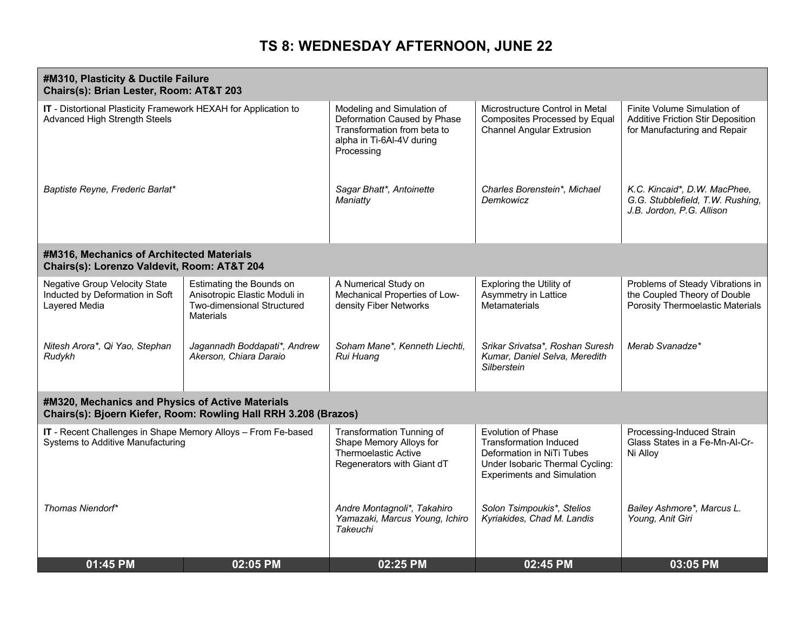| #M310, Plasticity & Ductile Failure<br>Chairs(s): Brian Lester, Room: AT&T 203                                      |                                                                                                                    |                                                                                                                                     |                                                                                                                                                          |                                                                                                         |
|---------------------------------------------------------------------------------------------------------------------|--------------------------------------------------------------------------------------------------------------------|-------------------------------------------------------------------------------------------------------------------------------------|----------------------------------------------------------------------------------------------------------------------------------------------------------|---------------------------------------------------------------------------------------------------------|
| IT - Distortional Plasticity Framework HEXAH for Application to<br><b>Advanced High Strength Steels</b>             |                                                                                                                    | Modeling and Simulation of<br>Deformation Caused by Phase<br>Transformation from beta to<br>alpha in Ti-6Al-4V during<br>Processing | Microstructure Control in Metal<br>Composites Processed by Equal<br><b>Channel Angular Extrusion</b>                                                     | Finite Volume Simulation of<br><b>Additive Friction Stir Deposition</b><br>for Manufacturing and Repair |
| Baptiste Reyne, Frederic Barlat*                                                                                    |                                                                                                                    | Sagar Bhatt*, Antoinette<br>Maniatty                                                                                                | Charles Borenstein*, Michael<br>Demkowicz                                                                                                                | K.C. Kincaid*, D.W. MacPhee,<br>G.G. Stubblefield, T.W. Rushing,<br>J.B. Jordon, P.G. Allison           |
| #M316, Mechanics of Architected Materials<br>Chairs(s): Lorenzo Valdevit, Room: AT&T 204                            |                                                                                                                    |                                                                                                                                     |                                                                                                                                                          |                                                                                                         |
| <b>Negative Group Velocity State</b><br>Inducted by Deformation in Soft<br>Layered Media                            | Estimating the Bounds on<br>Anisotropic Elastic Moduli in<br><b>Two-dimensional Structured</b><br><b>Materials</b> | A Numerical Study on<br>Mechanical Properties of Low-<br>density Fiber Networks                                                     | Exploring the Utility of<br>Asymmetry in Lattice<br>Metamaterials                                                                                        | Problems of Steady Vibrations in<br>the Coupled Theory of Double<br>Porosity Thermoelastic Materials    |
| Nitesh Arora*, Qi Yao, Stephan<br>Rudykh                                                                            | Jagannadh Boddapati*, Andrew<br>Akerson, Chiara Daraio                                                             | Soham Mane*, Kenneth Liechti,<br>Rui Huang                                                                                          | Srikar Srivatsa*, Roshan Suresh<br>Kumar, Daniel Selva, Meredith<br>Silberstein                                                                          | Merab Svanadze*                                                                                         |
| #M320, Mechanics and Physics of Active Materials<br>Chairs(s): Bjoern Kiefer, Room: Rowling Hall RRH 3.208 (Brazos) |                                                                                                                    |                                                                                                                                     |                                                                                                                                                          |                                                                                                         |
| IT - Recent Challenges in Shape Memory Alloys - From Fe-based<br><b>Systems to Additive Manufacturing</b>           |                                                                                                                    | Transformation Tunning of<br>Shape Memory Alloys for<br><b>Thermoelastic Active</b><br>Regenerators with Giant dT                   | Evolution of Phase<br><b>Transformation Induced</b><br>Deformation in NiTi Tubes<br>Under Isobaric Thermal Cycling:<br><b>Experiments and Simulation</b> | Processing-Induced Strain<br>Glass States in a Fe-Mn-Al-Cr-<br>Ni Alloy                                 |
| Thomas Niendorf*                                                                                                    |                                                                                                                    | Andre Montagnoli*, Takahiro<br>Yamazaki, Marcus Young, Ichiro<br>Takeuchi                                                           | Solon Tsimpoukis*, Stelios<br>Kyriakides, Chad M. Landis                                                                                                 | Bailey Ashmore*, Marcus L.<br>Young, Anit Giri                                                          |
| 01:45 PM                                                                                                            | 02:05 PM                                                                                                           | 02:25 PM                                                                                                                            | 02:45 PM                                                                                                                                                 | 03:05 PM                                                                                                |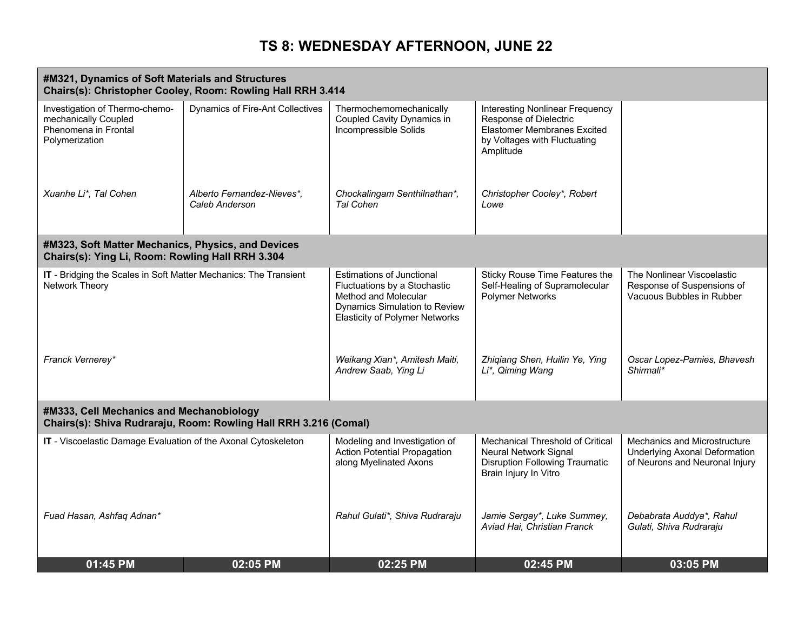| #M321, Dynamics of Soft Materials and Structures<br>Chairs(s): Christopher Cooley, Room: Rowling Hall RRH 3.414 |                                                                  |                                                                                                                                                                    |                                                                                                                                                     |                                                                                                        |  |
|-----------------------------------------------------------------------------------------------------------------|------------------------------------------------------------------|--------------------------------------------------------------------------------------------------------------------------------------------------------------------|-----------------------------------------------------------------------------------------------------------------------------------------------------|--------------------------------------------------------------------------------------------------------|--|
| Investigation of Thermo-chemo-<br>mechanically Coupled<br>Phenomena in Frontal<br>Polymerization                | <b>Dynamics of Fire-Ant Collectives</b>                          | Thermochemomechanically<br>Coupled Cavity Dynamics in<br>Incompressible Solids                                                                                     | <b>Interesting Nonlinear Frequency</b><br>Response of Dielectric<br><b>Elastomer Membranes Excited</b><br>by Voltages with Fluctuating<br>Amplitude |                                                                                                        |  |
| Xuanhe Li*, Tal Cohen                                                                                           | Alberto Fernandez-Nieves*,<br>Caleb Anderson                     | Chockalingam Senthilnathan*,<br><b>Tal Cohen</b>                                                                                                                   | Christopher Cooley*, Robert<br>Lowe                                                                                                                 |                                                                                                        |  |
| #M323, Soft Matter Mechanics, Physics, and Devices<br>Chairs(s): Ying Li, Room: Rowling Hall RRH 3.304          |                                                                  |                                                                                                                                                                    |                                                                                                                                                     |                                                                                                        |  |
| IT - Bridging the Scales in Soft Matter Mechanics: The Transient<br>Network Theory                              |                                                                  | <b>Estimations of Junctional</b><br>Fluctuations by a Stochastic<br>Method and Molecular<br>Dynamics Simulation to Review<br><b>Elasticity of Polymer Networks</b> | Sticky Rouse Time Features the<br>Self-Healing of Supramolecular<br>Polymer Networks                                                                | The Nonlinear Viscoelastic<br>Response of Suspensions of<br>Vacuous Bubbles in Rubber                  |  |
| Franck Vernerey*                                                                                                |                                                                  | Weikang Xian*, Amitesh Maiti,<br>Andrew Saab, Ying Li                                                                                                              | Zhiqiang Shen, Huilin Ye, Ying<br>Li*, Qiming Wang                                                                                                  | Oscar Lopez-Pamies, Bhavesh<br>Shirmali*                                                               |  |
| #M333, Cell Mechanics and Mechanobiology                                                                        | Chairs(s): Shiva Rudraraju, Room: Rowling Hall RRH 3.216 (Comal) |                                                                                                                                                                    |                                                                                                                                                     |                                                                                                        |  |
| IT - Viscoelastic Damage Evaluation of the Axonal Cytoskeleton                                                  |                                                                  | Modeling and Investigation of<br><b>Action Potential Propagation</b><br>along Myelinated Axons                                                                     | Mechanical Threshold of Critical<br>Neural Network Signal<br><b>Disruption Following Traumatic</b><br>Brain Injury In Vitro                         | Mechanics and Microstructure<br><b>Underlying Axonal Deformation</b><br>of Neurons and Neuronal Injury |  |
| Fuad Hasan, Ashfaq Adnan*                                                                                       |                                                                  | Rahul Gulati*, Shiva Rudraraju                                                                                                                                     | Jamie Sergay*, Luke Summey,<br>Aviad Hai, Christian Franck                                                                                          | Debabrata Auddya*, Rahul<br>Gulati, Shiva Rudraraju                                                    |  |
| 01:45 PM                                                                                                        | 02:05 PM                                                         | 02:25 PM                                                                                                                                                           | 02:45 PM                                                                                                                                            | 03:05 PM                                                                                               |  |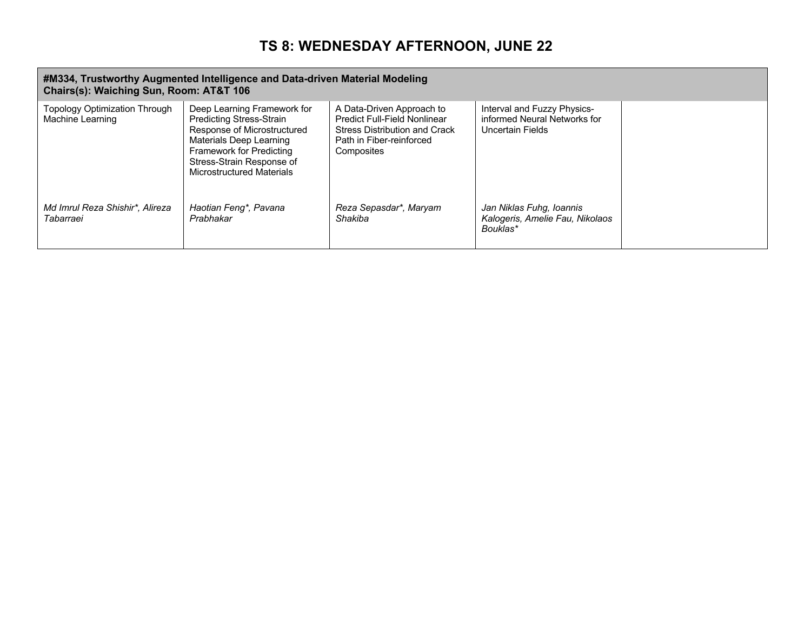#### **#M334, Trustworthy Augmented Intelligence and Data-driven Material Modeling Chairs(s): Waiching Sun, Room: AT&T 106**

| $O(nan \theta)$ . Haighing Odii, Room. AT&T TVV          |                                                                                                                                                                                                                |                                                                                                                                                    |                                                                                 |  |
|----------------------------------------------------------|----------------------------------------------------------------------------------------------------------------------------------------------------------------------------------------------------------------|----------------------------------------------------------------------------------------------------------------------------------------------------|---------------------------------------------------------------------------------|--|
| <b>Topology Optimization Through</b><br>Machine Learning | Deep Learning Framework for<br><b>Predicting Stress-Strain</b><br>Response of Microstructured<br>Materials Deep Learning<br>Framework for Predicting<br>Stress-Strain Response of<br>Microstructured Materials | A Data-Driven Approach to<br><b>Predict Full-Field Nonlinear</b><br><b>Stress Distribution and Crack</b><br>Path in Fiber-reinforced<br>Composites | Interval and Fuzzy Physics-<br>informed Neural Networks for<br>Uncertain Fields |  |
| Md Imrul Reza Shishir*, Alireza<br>Tabarraei             | Haotian Feng*, Pavana<br>Prabhakar                                                                                                                                                                             | Reza Sepasdar*, Maryam<br>Shakiba                                                                                                                  | Jan Niklas Fuhg, Ioannis<br>Kalogeris, Amelie Fau, Nikolaos<br>Bouklas*         |  |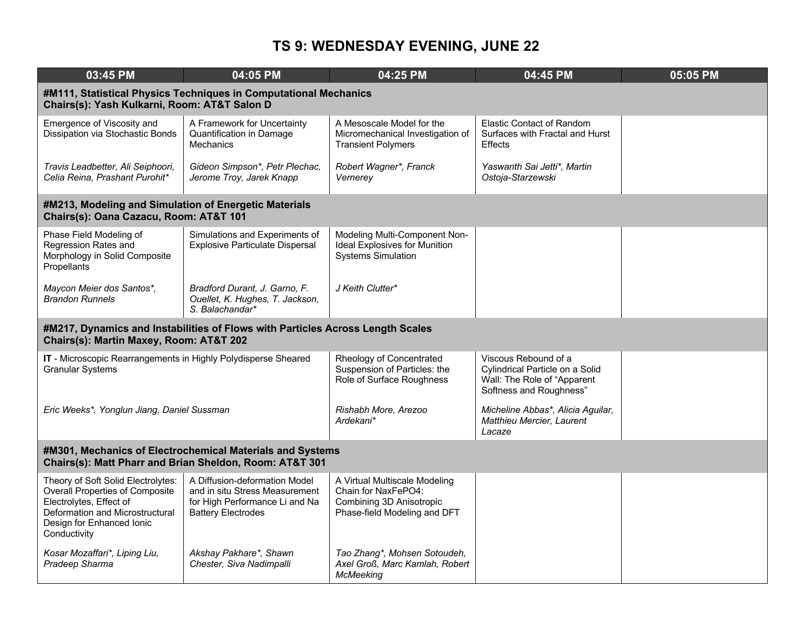| 03:45 PM                                                                                                                                                                                | 04:05 PM                                                                                                                       | 04:25 PM                                                                                                         | 04:45 PM                                                                                                          | 05:05 PM |  |
|-----------------------------------------------------------------------------------------------------------------------------------------------------------------------------------------|--------------------------------------------------------------------------------------------------------------------------------|------------------------------------------------------------------------------------------------------------------|-------------------------------------------------------------------------------------------------------------------|----------|--|
| #M111, Statistical Physics Techniques in Computational Mechanics<br>Chairs(s): Yash Kulkarni, Room: AT&T Salon D                                                                        |                                                                                                                                |                                                                                                                  |                                                                                                                   |          |  |
| Emergence of Viscosity and<br>Dissipation via Stochastic Bonds                                                                                                                          | A Framework for Uncertainty<br>Quantification in Damage<br><b>Mechanics</b>                                                    | A Mesoscale Model for the<br>Micromechanical Investigation of<br><b>Transient Polymers</b>                       | Elastic Contact of Random<br>Surfaces with Fractal and Hurst<br><b>Effects</b>                                    |          |  |
| Travis Leadbetter, Ali Seiphoori,<br>Celia Reina, Prashant Purohit*                                                                                                                     | Gideon Simpson*, Petr Plechac,<br>Jerome Troy, Jarek Knapp                                                                     | Robert Wagner*, Franck<br>Vernerey                                                                               | Yaswanth Sai Jetti*, Martin<br>Ostoja-Starzewski                                                                  |          |  |
| #M213, Modeling and Simulation of Energetic Materials<br>Chairs(s): Oana Cazacu, Room: AT&T 101                                                                                         |                                                                                                                                |                                                                                                                  |                                                                                                                   |          |  |
| Phase Field Modeling of<br>Regression Rates and<br>Morphology in Solid Composite<br>Propellants                                                                                         | Simulations and Experiments of<br><b>Explosive Particulate Dispersal</b>                                                       | Modeling Multi-Component Non-<br><b>Ideal Explosives for Munition</b><br><b>Systems Simulation</b>               |                                                                                                                   |          |  |
| Maycon Meier dos Santos*,<br><b>Brandon Runnels</b>                                                                                                                                     | Bradford Durant, J. Garno, F.<br>Ouellet, K. Hughes, T. Jackson,<br>S. Balachandar*                                            | J Keith Clutter*                                                                                                 |                                                                                                                   |          |  |
| Chairs(s): Martin Maxey, Room: AT&T 202                                                                                                                                                 | #M217, Dynamics and Instabilities of Flows with Particles Across Length Scales                                                 |                                                                                                                  |                                                                                                                   |          |  |
| IT - Microscopic Rearrangements in Highly Polydisperse Sheared<br><b>Granular Systems</b>                                                                                               |                                                                                                                                | Rheology of Concentrated<br>Suspension of Particles: the<br>Role of Surface Roughness                            | Viscous Rebound of a<br>Cylindrical Particle on a Solid<br>Wall: The Role of "Apparent<br>Softness and Roughness" |          |  |
| Eric Weeks*, Yonglun Jiang, Daniel Sussman                                                                                                                                              |                                                                                                                                | Rishabh More, Arezoo<br>Ardekani*                                                                                | Micheline Abbas*, Alicia Aguilar,<br>Matthieu Mercier, Laurent<br>Lacaze                                          |          |  |
| #M301, Mechanics of Electrochemical Materials and Systems<br>Chairs(s): Matt Pharr and Brian Sheldon, Room: AT&T 301                                                                    |                                                                                                                                |                                                                                                                  |                                                                                                                   |          |  |
| Theory of Soft Solid Electrolytes:<br><b>Overall Properties of Composite</b><br>Electrolytes, Effect of<br>Deformation and Microstructural<br>Design for Enhanced Ionic<br>Conductivity | A Diffusion-deformation Model<br>and in situ Stress Measurement<br>for High Performance Li and Na<br><b>Battery Electrodes</b> | A Virtual Multiscale Modeling<br>Chain for NaxFePO4:<br>Combining 3D Anisotropic<br>Phase-field Modeling and DFT |                                                                                                                   |          |  |
| Kosar Mozaffari*, Liping Liu,<br>Pradeep Sharma                                                                                                                                         | Akshay Pakhare*, Shawn<br>Chester, Siva Nadimpalli                                                                             | Tao Zhang*, Mohsen Sotoudeh,<br>Axel Groß, Marc Kamlah, Robert<br><b>McMeeking</b>                               |                                                                                                                   |          |  |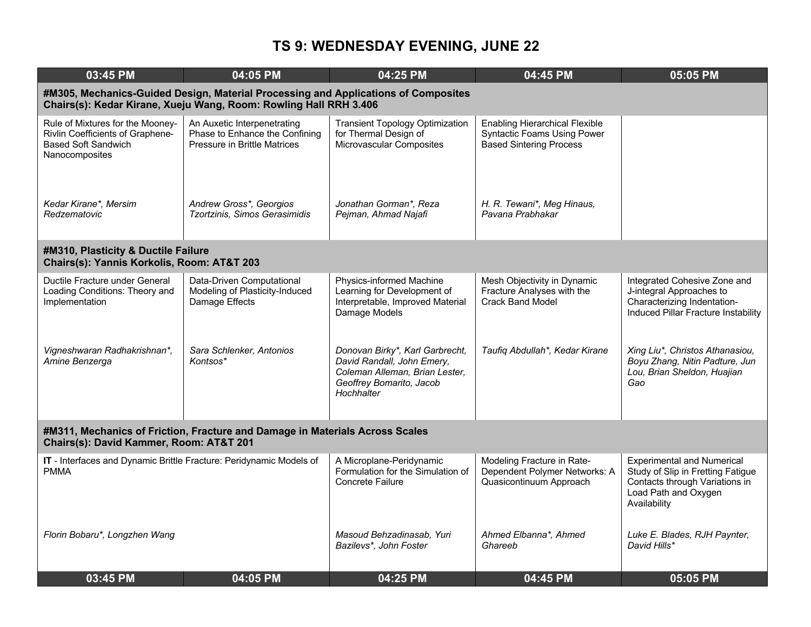| 03:45 PM                                                                                                                                                | 04:05 PM                                                                                             | 04:25 PM                                                                                                                                  | 04:45 PM                                                                                                      | 05:05 PM                                                                                                                                         |  |  |
|---------------------------------------------------------------------------------------------------------------------------------------------------------|------------------------------------------------------------------------------------------------------|-------------------------------------------------------------------------------------------------------------------------------------------|---------------------------------------------------------------------------------------------------------------|--------------------------------------------------------------------------------------------------------------------------------------------------|--|--|
| #M305, Mechanics-Guided Design, Material Processing and Applications of Composites<br>Chairs(s): Kedar Kirane, Xueju Wang, Room: Rowling Hall RRH 3.406 |                                                                                                      |                                                                                                                                           |                                                                                                               |                                                                                                                                                  |  |  |
| Rule of Mixtures for the Mooney-<br><b>Rivlin Coefficients of Graphene-</b><br><b>Based Soft Sandwich</b><br>Nanocomposites                             | An Auxetic Interpenetrating<br>Phase to Enhance the Confining<br><b>Pressure in Brittle Matrices</b> | <b>Transient Topology Optimization</b><br>for Thermal Design of<br>Microvascular Composites                                               | <b>Enabling Hierarchical Flexible</b><br><b>Syntactic Foams Using Power</b><br><b>Based Sintering Process</b> |                                                                                                                                                  |  |  |
| Kedar Kirane*, Mersim<br>Redzematovic                                                                                                                   | Andrew Gross*, Georgios<br>Tzortzinis, Simos Gerasimidis                                             | Jonathan Gorman*, Reza<br>Pejman, Ahmad Najafi                                                                                            | H. R. Tewani*, Meg Hinaus,<br>Pavana Prabhakar                                                                |                                                                                                                                                  |  |  |
| #M310, Plasticity & Ductile Failure<br>Chairs(s): Yannis Korkolis, Room: AT&T 203                                                                       |                                                                                                      |                                                                                                                                           |                                                                                                               |                                                                                                                                                  |  |  |
| Ductile Fracture under General<br>Loading Conditions: Theory and<br>Implementation                                                                      | Data-Driven Computational<br>Modeling of Plasticity-Induced<br>Damage Effects                        | Physics-informed Machine<br>Learning for Development of<br>Interpretable, Improved Material<br>Damage Models                              | Mesh Objectivity in Dynamic<br>Fracture Analyses with the<br><b>Crack Band Model</b>                          | Integrated Cohesive Zone and<br>J-integral Approaches to<br>Characterizing Indentation-<br>Induced Pillar Fracture Instability                   |  |  |
| Vigneshwaran Radhakrishnan*,<br>Amine Benzerga                                                                                                          | Sara Schlenker, Antonios<br>Kontsos*                                                                 | Donovan Birky*, Karl Garbrecht,<br>David Randall, John Emery,<br>Coleman Alleman, Brian Lester,<br>Geoffrey Bomarito, Jacob<br>Hochhalter | Taufiq Abdullah*, Kedar Kirane                                                                                | Xing Liu*, Christos Athanasiou,<br>Boyu Zhang, Nitin Padture, Jun<br>Lou, Brian Sheldon, Huajian<br>Gao                                          |  |  |
| #M311, Mechanics of Friction, Fracture and Damage in Materials Across Scales<br>Chairs(s): David Kammer, Room: AT&T 201                                 |                                                                                                      |                                                                                                                                           |                                                                                                               |                                                                                                                                                  |  |  |
| IT - Interfaces and Dynamic Brittle Fracture: Peridynamic Models of<br><b>PMMA</b>                                                                      |                                                                                                      | A Microplane-Peridynamic<br>Formulation for the Simulation of<br><b>Concrete Failure</b>                                                  | Modeling Fracture in Rate-<br>Dependent Polymer Networks: A<br>Quasicontinuum Approach                        | <b>Experimental and Numerical</b><br>Study of Slip in Fretting Fatigue<br>Contacts through Variations in<br>Load Path and Oxygen<br>Availability |  |  |
| Florin Bobaru*, Longzhen Wang                                                                                                                           |                                                                                                      | Masoud Behzadinasab, Yuri<br>Bazilevs*, John Foster                                                                                       | Ahmed Elbanna*, Ahmed<br>Ghareeb                                                                              | Luke E. Blades, RJH Paynter,<br>David Hills*                                                                                                     |  |  |
| 03:45 PM                                                                                                                                                | 04:05 PM                                                                                             | 04:25 PM                                                                                                                                  | 04:45 PM                                                                                                      | 05:05 PM                                                                                                                                         |  |  |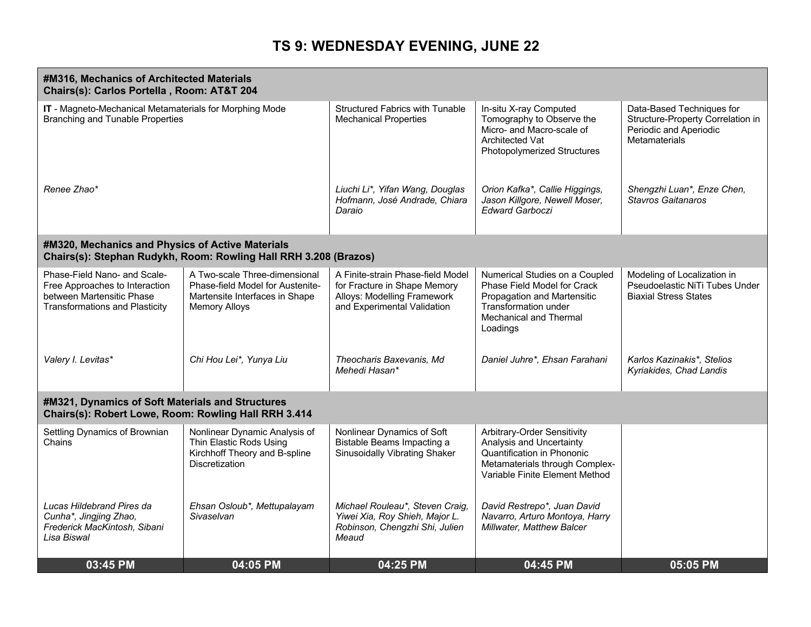| #M316, Mechanics of Architected Materials<br>Chairs(s): Carlos Portella, Room: AT&T 204                                              |                                                                                                                             |                                                                                                                                 |                                                                                                                                                                   |                                                                                                           |
|--------------------------------------------------------------------------------------------------------------------------------------|-----------------------------------------------------------------------------------------------------------------------------|---------------------------------------------------------------------------------------------------------------------------------|-------------------------------------------------------------------------------------------------------------------------------------------------------------------|-----------------------------------------------------------------------------------------------------------|
| IT - Magneto-Mechanical Metamaterials for Morphing Mode<br><b>Branching and Tunable Properties</b>                                   |                                                                                                                             | <b>Structured Fabrics with Tunable</b><br><b>Mechanical Properties</b>                                                          | In-situ X-ray Computed<br>Tomography to Observe the<br>Micro- and Macro-scale of<br>Architected Vat<br><b>Photopolymerized Structures</b>                         | Data-Based Techniques for<br>Structure-Property Correlation in<br>Periodic and Aperiodic<br>Metamaterials |
| Renee Zhao*                                                                                                                          |                                                                                                                             | Liuchi Li*, Yifan Wang, Douglas<br>Hofmann, José Andrade, Chiara<br>Daraio                                                      | Orion Kafka*, Callie Higgings,<br>Jason Killgore, Newell Moser,<br><b>Edward Garboczi</b>                                                                         | Shengzhi Luan*, Enze Chen,<br><b>Stavros Gaitanaros</b>                                                   |
| #M320, Mechanics and Physics of Active Materials                                                                                     | Chairs(s): Stephan Rudykh, Room: Rowling Hall RRH 3.208 (Brazos)                                                            |                                                                                                                                 |                                                                                                                                                                   |                                                                                                           |
| Phase-Field Nano- and Scale-<br>Free Approaches to Interaction<br>between Martensitic Phase<br><b>Transformations and Plasticity</b> | A Two-scale Three-dimensional<br>Phase-field Model for Austenite-<br>Martensite Interfaces in Shape<br><b>Memory Alloys</b> | A Finite-strain Phase-field Model<br>for Fracture in Shape Memory<br>Alloys: Modelling Framework<br>and Experimental Validation | Numerical Studies on a Coupled<br>Phase Field Model for Crack<br>Propagation and Martensitic<br>Transformation under<br><b>Mechanical and Thermal</b><br>Loadings | Modeling of Localization in<br>Pseudoelastic NiTi Tubes Under<br><b>Biaxial Stress States</b>             |
| Valery I. Levitas*                                                                                                                   | Chi Hou Lei*, Yunya Liu                                                                                                     | Theocharis Baxevanis, Md<br>Mehedi Hasan*                                                                                       | Daniel Juhre*, Ehsan Farahani                                                                                                                                     | Karlos Kazinakis*, Stelios<br>Kyriakides, Chad Landis                                                     |
| #M321, Dynamics of Soft Materials and Structures<br>Chairs(s): Robert Lowe, Room: Rowling Hall RRH 3.414                             |                                                                                                                             |                                                                                                                                 |                                                                                                                                                                   |                                                                                                           |
| Settling Dynamics of Brownian<br>Chains                                                                                              | Nonlinear Dynamic Analysis of<br>Thin Elastic Rods Using<br>Kirchhoff Theory and B-spline<br><b>Discretization</b>          | Nonlinear Dynamics of Soft<br>Bistable Beams Impacting a<br><b>Sinusoidally Vibrating Shaker</b>                                | Arbitrary-Order Sensitivity<br>Analysis and Uncertainty<br>Quantification in Phononic<br>Metamaterials through Complex-<br>Variable Finite Element Method         |                                                                                                           |
| Lucas Hildebrand Pires da<br>Cunha*, Jingjing Zhao,<br>Frederick MacKintosh, Sibani<br>Lisa Biswal                                   | Ehsan Osloub*, Mettupalayam<br>Sivaselvan                                                                                   | Michael Rouleau*, Steven Craig,<br>Yiwei Xia, Roy Shieh, Major L.<br>Robinson, Chengzhi Shi, Julien<br>Meaud                    | David Restrepo*, Juan David<br>Navarro, Arturo Montoya, Harry<br>Millwater, Matthew Balcer                                                                        |                                                                                                           |
| 03:45 PM                                                                                                                             | 04:05 PM                                                                                                                    | 04:25 PM                                                                                                                        | 04:45 PM                                                                                                                                                          | 05:05 PM                                                                                                  |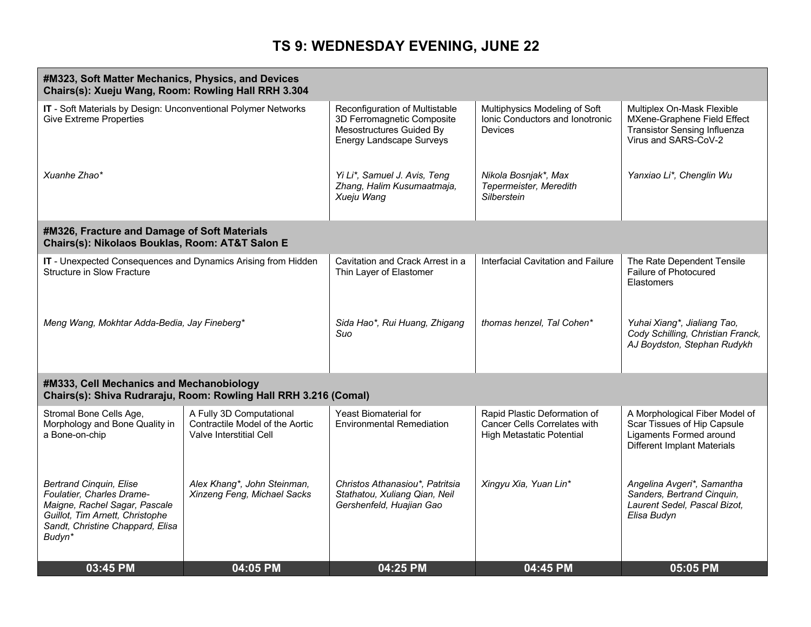| #M323, Soft Matter Mechanics, Physics, and Devices<br>Chairs(s): Xueju Wang, Room: Rowling Hall RRH 3.304                                                                     |                                                                                        |                                                                                                                      |                                                                                                  |                                                                                                                          |
|-------------------------------------------------------------------------------------------------------------------------------------------------------------------------------|----------------------------------------------------------------------------------------|----------------------------------------------------------------------------------------------------------------------|--------------------------------------------------------------------------------------------------|--------------------------------------------------------------------------------------------------------------------------|
| IT - Soft Materials by Design: Unconventional Polymer Networks<br><b>Give Extreme Properties</b>                                                                              |                                                                                        | Reconfiguration of Multistable<br>3D Ferromagnetic Composite<br>Mesostructures Guided By<br>Energy Landscape Surveys | Multiphysics Modeling of Soft<br>Ionic Conductors and Ionotronic<br><b>Devices</b>               | Multiplex On-Mask Flexible<br>MXene-Graphene Field Effect<br><b>Transistor Sensing Influenza</b><br>Virus and SARS-CoV-2 |
| Xuanhe Zhao*                                                                                                                                                                  |                                                                                        | Yi Li*, Samuel J. Avis, Teng<br>Zhang, Halim Kusumaatmaja,<br>Xueju Wang                                             | Nikola Bosnjak*, Max<br>Tepermeister, Meredith<br>Silberstein                                    | Yanxiao Li*, Chenglin Wu                                                                                                 |
| #M326, Fracture and Damage of Soft Materials<br>Chairs(s): Nikolaos Bouklas, Room: AT&T Salon E                                                                               |                                                                                        |                                                                                                                      |                                                                                                  |                                                                                                                          |
| IT - Unexpected Consequences and Dynamics Arising from Hidden<br><b>Structure in Slow Fracture</b>                                                                            |                                                                                        | Cavitation and Crack Arrest in a<br>Thin Layer of Elastomer                                                          | Interfacial Cavitation and Failure                                                               | The Rate Dependent Tensile<br>Failure of Photocured<br><b>Elastomers</b>                                                 |
| Meng Wang, Mokhtar Adda-Bedia, Jay Fineberg*                                                                                                                                  |                                                                                        | Sida Hao*, Rui Huang, Zhigang<br>Suo                                                                                 | thomas henzel, Tal Cohen*                                                                        | Yuhai Xiang*, Jialiang Tao,<br>Cody Schilling, Christian Franck,<br>AJ Boydston, Stephan Rudykh                          |
| #M333, Cell Mechanics and Mechanobiology                                                                                                                                      | Chairs(s): Shiva Rudraraju, Room: Rowling Hall RRH 3.216 (Comal)                       |                                                                                                                      |                                                                                                  |                                                                                                                          |
| Stromal Bone Cells Age,<br>Morphology and Bone Quality in<br>a Bone-on-chip                                                                                                   | A Fully 3D Computational<br>Contractile Model of the Aortic<br>Valve Interstitial Cell | <b>Yeast Biomaterial for</b><br><b>Environmental Remediation</b>                                                     | Rapid Plastic Deformation of<br>Cancer Cells Correlates with<br><b>High Metastatic Potential</b> | A Morphological Fiber Model of<br>Scar Tissues of Hip Capsule<br>Ligaments Formed around<br>Different Implant Materials  |
| <b>Bertrand Cinquin, Elise</b><br>Foulatier, Charles Drame-<br>Maigne, Rachel Sagar, Pascale<br>Guillot, Tim Arnett, Christophe<br>Sandt, Christine Chappard, Elisa<br>Budyn* | Alex Khang*, John Steinman,<br>Xinzeng Feng, Michael Sacks                             | Christos Athanasiou*, Patritsia<br>Stathatou, Xuliang Qian, Neil<br>Gershenfeld, Huajian Gao                         | Xingyu Xia, Yuan Lin*                                                                            | Angelina Avgeri*, Samantha<br>Sanders, Bertrand Cinquin,<br>Laurent Sedel, Pascal Bizot,<br>Elisa Budyn                  |
| 03:45 PM                                                                                                                                                                      | 04:05 PM                                                                               | 04:25 PM                                                                                                             | 04:45 PM                                                                                         | 05:05 PM                                                                                                                 |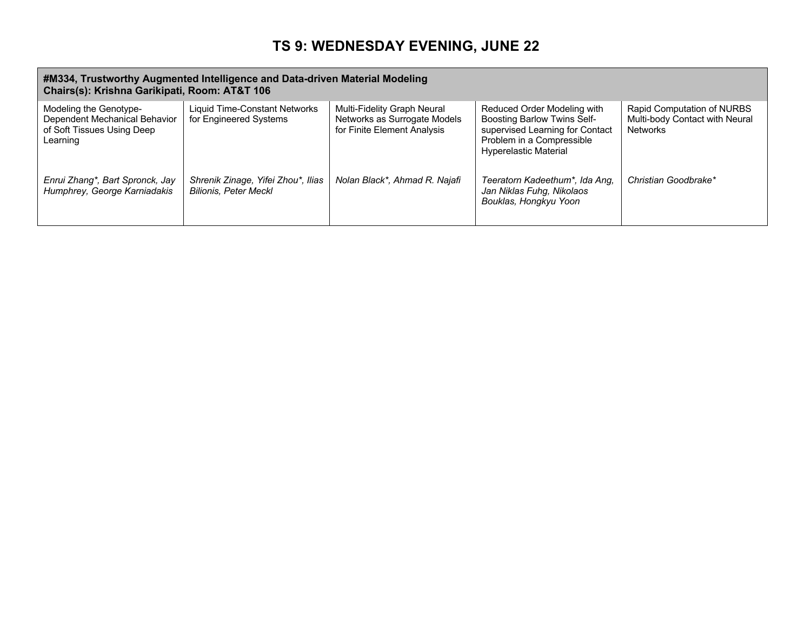#### **#M334, Trustworthy Augmented Intelligence and Data-driven Material Modeling Chairs(s): Krishna Garikipati, Room: AT&T 106**

|                                                                                                   | $\frac{1}{2}$                                                      |                                                                                            |                                                                                                                                                                   |                                                                                 |  |
|---------------------------------------------------------------------------------------------------|--------------------------------------------------------------------|--------------------------------------------------------------------------------------------|-------------------------------------------------------------------------------------------------------------------------------------------------------------------|---------------------------------------------------------------------------------|--|
| Modeling the Genotype-<br>Dependent Mechanical Behavior<br>of Soft Tissues Using Deep<br>Learning | Liquid Time-Constant Networks<br>for Engineered Systems            | Multi-Fidelity Graph Neural<br>Networks as Surrogate Models<br>for Finite Element Analysis | Reduced Order Modeling with<br><b>Boosting Barlow Twins Self-</b><br>supervised Learning for Contact<br>Problem in a Compressible<br><b>Hyperelastic Material</b> | Rapid Computation of NURBS<br>Multi-body Contact with Neural<br><b>Networks</b> |  |
| Enrui Zhang*, Bart Spronck, Jay<br>Humphrey, George Karniadakis                                   | Shrenik Zinage, Yifei Zhou*, Ilias<br><b>Bilionis, Peter Meckl</b> | Nolan Black*, Ahmad R. Najafi                                                              | Teeratorn Kadeethum*, Ida Ang,<br>Jan Niklas Fuhg, Nikolaos<br>Bouklas, Hongkyu Yoon                                                                              | Christian Goodbrake*                                                            |  |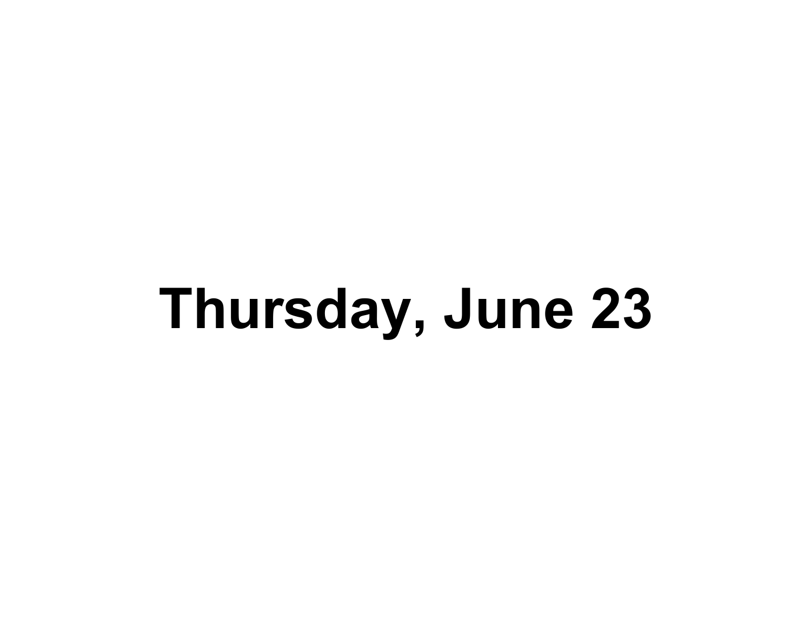# **Thursday, June 23**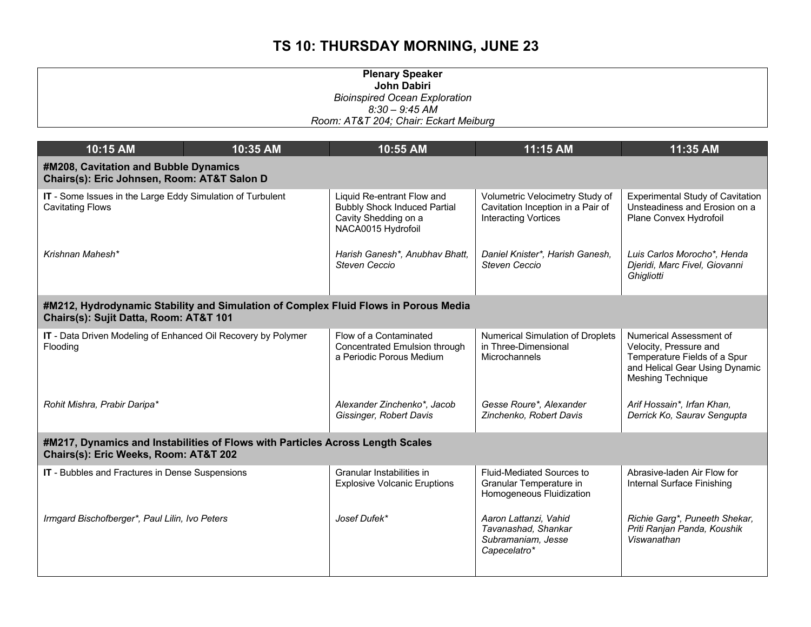| <b>Plenary Speaker</b>                |
|---------------------------------------|
| John Dabiri                           |
| <b>Bioinspired Ocean Exploration</b>  |
| $8:30 - 9:45$ AM                      |
| Room: AT&T 204; Chair: Eckart Meiburg |

| 10:15 AM                                                                              | 10:35 AM                                                                                                                | 10:55 AM                                                                                                        | 11:15 AM                                                                                            | 11:35 AM                                                                                                                                        |  |
|---------------------------------------------------------------------------------------|-------------------------------------------------------------------------------------------------------------------------|-----------------------------------------------------------------------------------------------------------------|-----------------------------------------------------------------------------------------------------|-------------------------------------------------------------------------------------------------------------------------------------------------|--|
| #M208, Cavitation and Bubble Dynamics<br>Chairs(s): Eric Johnsen, Room: AT&T Salon D  |                                                                                                                         |                                                                                                                 |                                                                                                     |                                                                                                                                                 |  |
| IT - Some Issues in the Large Eddy Simulation of Turbulent<br><b>Cavitating Flows</b> |                                                                                                                         | Liquid Re-entrant Flow and<br><b>Bubbly Shock Induced Partial</b><br>Cavity Shedding on a<br>NACA0015 Hydrofoil | Volumetric Velocimetry Study of<br>Cavitation Inception in a Pair of<br><b>Interacting Vortices</b> | <b>Experimental Study of Cavitation</b><br>Unsteadiness and Erosion on a<br>Plane Convex Hydrofoil                                              |  |
| Krishnan Mahesh*                                                                      |                                                                                                                         | Harish Ganesh*, Anubhav Bhatt,<br>Steven Ceccio                                                                 | Daniel Knister*, Harish Ganesh,<br><b>Steven Ceccio</b>                                             | Luis Carlos Morocho*, Henda<br>Djeridi, Marc Fivel, Giovanni<br>Ghigliotti                                                                      |  |
| Chairs(s): Sujit Datta, Room: AT&T 101                                                | #M212, Hydrodynamic Stability and Simulation of Complex Fluid Flows in Porous Media                                     |                                                                                                                 |                                                                                                     |                                                                                                                                                 |  |
| IT - Data Driven Modeling of Enhanced Oil Recovery by Polymer<br>Flooding             |                                                                                                                         | Flow of a Contaminated<br>Concentrated Emulsion through<br>a Periodic Porous Medium                             | Numerical Simulation of Droplets<br>in Three-Dimensional<br>Microchannels                           | Numerical Assessment of<br>Velocity, Pressure and<br>Temperature Fields of a Spur<br>and Helical Gear Using Dynamic<br><b>Meshing Technique</b> |  |
| Rohit Mishra, Prabir Daripa*                                                          |                                                                                                                         | Alexander Zinchenko*, Jacob<br>Gissinger, Robert Davis                                                          | Gesse Roure*, Alexander<br>Zinchenko, Robert Davis                                                  | Arif Hossain*, Irfan Khan,<br>Derrick Ko, Saurav Sengupta                                                                                       |  |
|                                                                                       | #M217, Dynamics and Instabilities of Flows with Particles Across Length Scales<br>Chairs(s): Eric Weeks, Room: AT&T 202 |                                                                                                                 |                                                                                                     |                                                                                                                                                 |  |
| IT - Bubbles and Fractures in Dense Suspensions                                       |                                                                                                                         | Granular Instabilities in<br><b>Explosive Volcanic Eruptions</b>                                                | Fluid-Mediated Sources to<br>Granular Temperature in<br>Homogeneous Fluidization                    | Abrasive-laden Air Flow for<br>Internal Surface Finishing                                                                                       |  |
| Irmgard Bischofberger*, Paul Lilin, Ivo Peters                                        |                                                                                                                         | Josef Dufek*                                                                                                    | Aaron Lattanzi, Vahid<br>Tavanashad, Shankar<br>Subramaniam, Jesse<br>Capecelatro*                  | Richie Garg*, Puneeth Shekar,<br>Priti Ranjan Panda, Koushik<br>Viswanathan                                                                     |  |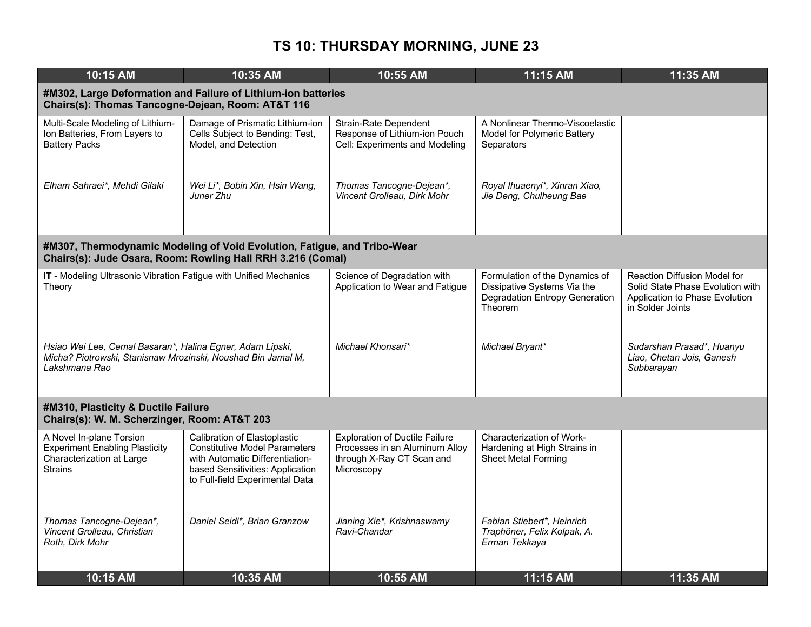| 10:15 AM                                                                                                                                   | 10:35 AM                                                                                                                                                                       | 10:55 AM                                                                                                           | 11:15 AM                                                                                                          | 11:35 AM                                                                                                                      |
|--------------------------------------------------------------------------------------------------------------------------------------------|--------------------------------------------------------------------------------------------------------------------------------------------------------------------------------|--------------------------------------------------------------------------------------------------------------------|-------------------------------------------------------------------------------------------------------------------|-------------------------------------------------------------------------------------------------------------------------------|
| Chairs(s): Thomas Tancogne-Dejean, Room: AT&T 116                                                                                          | #M302, Large Deformation and Failure of Lithium-ion batteries                                                                                                                  |                                                                                                                    |                                                                                                                   |                                                                                                                               |
| Multi-Scale Modeling of Lithium-<br>Ion Batteries, From Layers to<br><b>Battery Packs</b>                                                  | Damage of Prismatic Lithium-ion<br>Cells Subject to Bending: Test,<br>Model, and Detection                                                                                     | <b>Strain-Rate Dependent</b><br>Response of Lithium-ion Pouch<br>Cell: Experiments and Modeling                    | A Nonlinear Thermo-Viscoelastic<br>Model for Polymeric Battery<br>Separators                                      |                                                                                                                               |
| Elham Sahraei*, Mehdi Gilaki                                                                                                               | Wei Li*, Bobin Xin, Hsin Wang,<br>Juner Zhu                                                                                                                                    | Thomas Tancogne-Dejean*,<br>Vincent Grolleau, Dirk Mohr                                                            | Royal Ihuaenyi*, Xinran Xiao,<br>Jie Deng, Chulheung Bae                                                          |                                                                                                                               |
|                                                                                                                                            | #M307, Thermodynamic Modeling of Void Evolution, Fatigue, and Tribo-Wear<br>Chairs(s): Jude Osara, Room: Rowling Hall RRH 3.216 (Comal)                                        |                                                                                                                    |                                                                                                                   |                                                                                                                               |
| IT - Modeling Ultrasonic Vibration Fatigue with Unified Mechanics<br>Theory                                                                |                                                                                                                                                                                | Science of Degradation with<br>Application to Wear and Fatigue                                                     | Formulation of the Dynamics of<br>Dissipative Systems Via the<br><b>Degradation Entropy Generation</b><br>Theorem | <b>Reaction Diffusion Model for</b><br>Solid State Phase Evolution with<br>Application to Phase Evolution<br>in Solder Joints |
| Hsiao Wei Lee, Cemal Basaran*, Halina Egner, Adam Lipski,<br>Micha? Piotrowski, Stanisnaw Mrozinski, Noushad Bin Jamal M,<br>Lakshmana Rao |                                                                                                                                                                                | Michael Khonsari*                                                                                                  | Michael Bryant*                                                                                                   | Sudarshan Prasad*, Huanyu<br>Liao, Chetan Jois, Ganesh<br>Subbarayan                                                          |
| #M310, Plasticity & Ductile Failure<br>Chairs(s): W. M. Scherzinger, Room: AT&T 203                                                        |                                                                                                                                                                                |                                                                                                                    |                                                                                                                   |                                                                                                                               |
| A Novel In-plane Torsion<br><b>Experiment Enabling Plasticity</b><br>Characterization at Large<br><b>Strains</b>                           | Calibration of Elastoplastic<br><b>Constitutive Model Parameters</b><br>with Automatic Differentiation-<br>based Sensitivities: Application<br>to Full-field Experimental Data | <b>Exploration of Ductile Failure</b><br>Processes in an Aluminum Alloy<br>through X-Ray CT Scan and<br>Microscopy | Characterization of Work-<br>Hardening at High Strains in<br><b>Sheet Metal Forming</b>                           |                                                                                                                               |
| Thomas Tancogne-Dejean*,<br>Vincent Grolleau, Christian<br>Roth, Dirk Mohr                                                                 | Daniel Seidl*, Brian Granzow                                                                                                                                                   | Jianing Xie*, Krishnaswamy<br>Ravi-Chandar                                                                         | Fabian Stiebert*, Heinrich<br>Traphöner, Felix Kolpak, A.<br>Erman Tekkaya                                        |                                                                                                                               |
| 10:15 AM                                                                                                                                   | 10:35 AM                                                                                                                                                                       | 10:55 AM                                                                                                           | 11:15 AM                                                                                                          | 11:35 AM                                                                                                                      |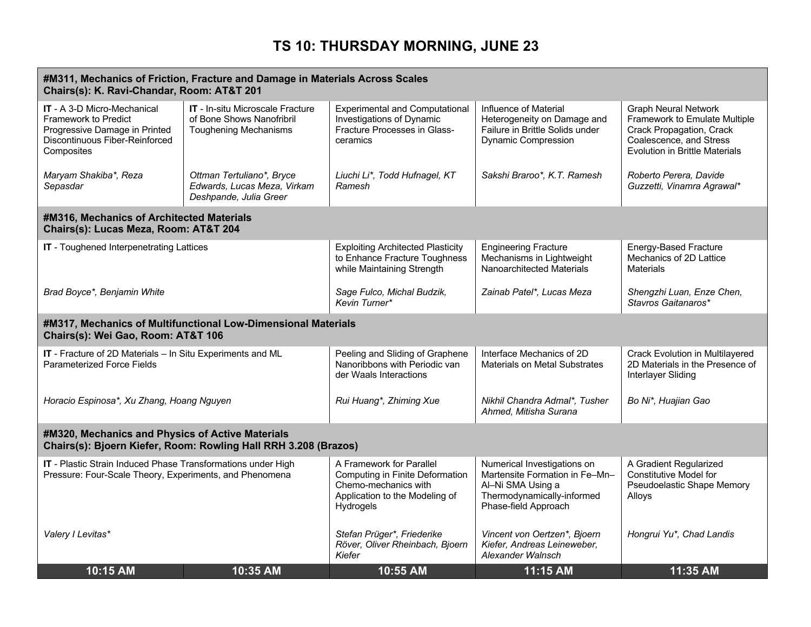| #M311, Mechanics of Friction, Fracture and Damage in Materials Across Scales<br>Chairs(s): K. Ravi-Chandar, Room: AT&T 201                         |                                                                                               |                                                                                                                                           |                                                                                                                                          |                                                                                                                                                       |  |
|----------------------------------------------------------------------------------------------------------------------------------------------------|-----------------------------------------------------------------------------------------------|-------------------------------------------------------------------------------------------------------------------------------------------|------------------------------------------------------------------------------------------------------------------------------------------|-------------------------------------------------------------------------------------------------------------------------------------------------------|--|
| <b>IT</b> - A 3-D Micro-Mechanical<br><b>Framework to Predict</b><br>Progressive Damage in Printed<br>Discontinuous Fiber-Reinforced<br>Composites | IT - In-situ Microscale Fracture<br>of Bone Shows Nanofribril<br><b>Toughening Mechanisms</b> | <b>Experimental and Computational</b><br><b>Investigations of Dynamic</b><br><b>Fracture Processes in Glass-</b><br>ceramics              | Influence of Material<br>Heterogeneity on Damage and<br>Failure in Brittle Solids under<br><b>Dynamic Compression</b>                    | <b>Graph Neural Network</b><br>Framework to Emulate Multiple<br>Crack Propagation, Crack<br>Coalescence, and Stress<br>Evolution in Brittle Materials |  |
| Maryam Shakiba*, Reza<br>Sepasdar                                                                                                                  | Ottman Tertuliano*, Bryce<br>Edwards, Lucas Meza, Virkam<br>Deshpande, Julia Greer            | Liuchi Li*, Todd Hufnagel, KT<br>Ramesh                                                                                                   | Sakshi Braroo*, K.T. Ramesh                                                                                                              | Roberto Perera, Davide<br>Guzzetti, Vinamra Agrawal*                                                                                                  |  |
| #M316, Mechanics of Architected Materials<br>Chairs(s): Lucas Meza, Room: AT&T 204                                                                 |                                                                                               |                                                                                                                                           |                                                                                                                                          |                                                                                                                                                       |  |
| IT - Toughened Interpenetrating Lattices                                                                                                           |                                                                                               | <b>Exploiting Architected Plasticity</b><br>to Enhance Fracture Toughness<br>while Maintaining Strength                                   | <b>Engineering Fracture</b><br>Mechanisms in Lightweight<br>Nanoarchitected Materials                                                    | <b>Energy-Based Fracture</b><br>Mechanics of 2D Lattice<br>Materials                                                                                  |  |
| Brad Boyce*, Benjamin White                                                                                                                        |                                                                                               | Sage Fulco, Michal Budzik,<br>Kevin Turner*                                                                                               | Zainab Patel*, Lucas Meza                                                                                                                | Shengzhi Luan, Enze Chen,<br>Stavros Gaitanaros*                                                                                                      |  |
| Chairs(s): Wei Gao, Room: AT&T 106                                                                                                                 | #M317, Mechanics of Multifunctional Low-Dimensional Materials                                 |                                                                                                                                           |                                                                                                                                          |                                                                                                                                                       |  |
| IT - Fracture of 2D Materials - In Situ Experiments and ML<br><b>Parameterized Force Fields</b>                                                    |                                                                                               | Peeling and Sliding of Graphene<br>Nanoribbons with Periodic van<br>der Waals Interactions                                                | Interface Mechanics of 2D<br><b>Materials on Metal Substrates</b>                                                                        | Crack Evolution in Multilayered<br>2D Materials in the Presence of<br><b>Interlayer Sliding</b>                                                       |  |
| Horacio Espinosa*, Xu Zhang, Hoang Nguyen                                                                                                          |                                                                                               | Rui Huang*, Zhiming Xue                                                                                                                   | Nikhil Chandra Admal*, Tusher<br>Ahmed. Mitisha Surana                                                                                   | Bo Ni*, Huajian Gao                                                                                                                                   |  |
| #M320, Mechanics and Physics of Active Materials                                                                                                   | Chairs(s): Bjoern Kiefer, Room: Rowling Hall RRH 3.208 (Brazos)                               |                                                                                                                                           |                                                                                                                                          |                                                                                                                                                       |  |
| IT - Plastic Strain Induced Phase Transformations under High<br>Pressure: Four-Scale Theory, Experiments, and Phenomena                            |                                                                                               | A Framework for Parallel<br>Computing in Finite Deformation<br>Chemo-mechanics with<br>Application to the Modeling of<br><b>Hydrogels</b> | Numerical Investigations on<br>Martensite Formation in Fe-Mn-<br>Al-Ni SMA Using a<br>Thermodynamically-informed<br>Phase-field Approach | A Gradient Regularized<br><b>Constitutive Model for</b><br>Pseudoelastic Shape Memory<br>Alloys                                                       |  |
| Valery I Levitas*                                                                                                                                  |                                                                                               | Stefan Prüger*, Friederike<br>Röver, Oliver Rheinbach, Bjoern<br>Kiefer                                                                   | Vincent von Oertzen*, Bjoern<br>Kiefer, Andreas Leineweber,<br>Alexander Walnsch                                                         | Hongrui Yu*, Chad Landis                                                                                                                              |  |
| 10:15 AM                                                                                                                                           | 10:35 AM                                                                                      | 10:55 AM                                                                                                                                  | $11:15$ AM                                                                                                                               | 11:35 AM                                                                                                                                              |  |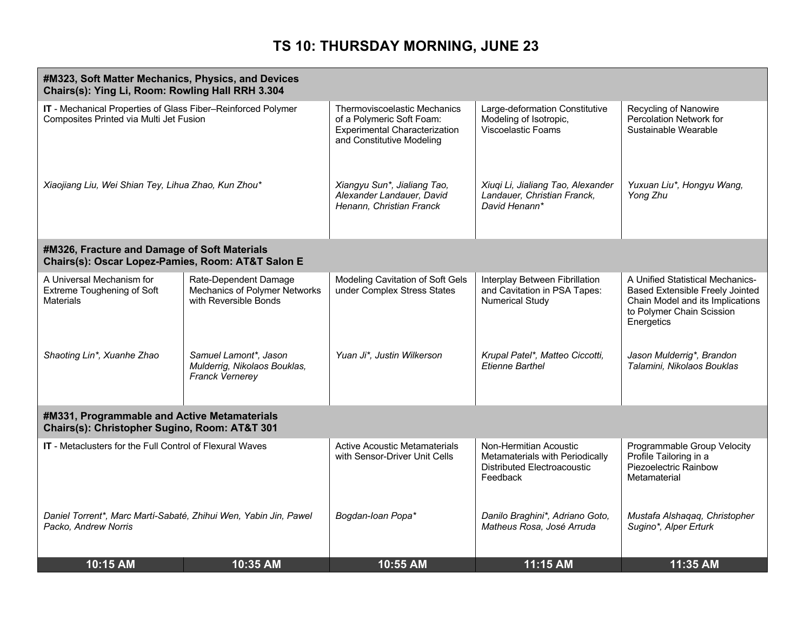| #M323, Soft Matter Mechanics, Physics, and Devices<br>Chairs(s): Ying Li, Room: Rowling Hall RRH 3.304  |                                                                                 |                                                                                                                                |                                                                                                      |                                                                                                                                                    |
|---------------------------------------------------------------------------------------------------------|---------------------------------------------------------------------------------|--------------------------------------------------------------------------------------------------------------------------------|------------------------------------------------------------------------------------------------------|----------------------------------------------------------------------------------------------------------------------------------------------------|
| IT - Mechanical Properties of Glass Fiber-Reinforced Polymer<br>Composites Printed via Multi Jet Fusion |                                                                                 | Thermoviscoelastic Mechanics<br>of a Polymeric Soft Foam:<br><b>Experimental Characterization</b><br>and Constitutive Modeling | Large-deformation Constitutive<br>Modeling of Isotropic,<br>Viscoelastic Foams                       | Recycling of Nanowire<br><b>Percolation Network for</b><br>Sustainable Wearable                                                                    |
| Xiaojiang Liu, Wei Shian Tey, Lihua Zhao, Kun Zhou*                                                     |                                                                                 | Xiangyu Sun*, Jialiang Tao,<br>Alexander Landauer, David<br>Henann, Christian Franck                                           | Xiuqi Li, Jialiang Tao, Alexander<br>Landauer, Christian Franck,<br>David Henann*                    | Yuxuan Liu*, Hongyu Wang,<br>Yong Zhu                                                                                                              |
| #M326, Fracture and Damage of Soft Materials<br>Chairs(s): Oscar Lopez-Pamies, Room: AT&T Salon E       |                                                                                 |                                                                                                                                |                                                                                                      |                                                                                                                                                    |
| A Universal Mechanism for<br>Extreme Toughening of Soft<br><b>Materials</b>                             | Rate-Dependent Damage<br>Mechanics of Polymer Networks<br>with Reversible Bonds | Modeling Cavitation of Soft Gels<br>under Complex Stress States                                                                | Interplay Between Fibrillation<br>and Cavitation in PSA Tapes:<br><b>Numerical Study</b>             | A Unified Statistical Mechanics-<br>Based Extensible Freely Jointed<br>Chain Model and its Implications<br>to Polymer Chain Scission<br>Energetics |
| Shaoting Lin*, Xuanhe Zhao                                                                              | Samuel Lamont*, Jason<br>Mulderrig, Nikolaos Bouklas,<br>Franck Vernerey        | Yuan Ji*, Justin Wilkerson                                                                                                     | Krupal Patel*, Matteo Ciccotti,<br><b>Etienne Barthel</b>                                            | Jason Mulderrig*, Brandon<br>Talamini, Nikolaos Bouklas                                                                                            |
| #M331, Programmable and Active Metamaterials<br>Chairs(s): Christopher Sugino, Room: AT&T 301           |                                                                                 |                                                                                                                                |                                                                                                      |                                                                                                                                                    |
| <b>IT</b> - Metaclusters for the Full Control of Flexural Waves                                         |                                                                                 | <b>Active Acoustic Metamaterials</b><br>with Sensor-Driver Unit Cells                                                          | Non-Hermitian Acoustic<br>Metamaterials with Periodically<br>Distributed Electroacoustic<br>Feedback | Programmable Group Velocity<br>Profile Tailoring in a<br>Piezoelectric Rainbow<br>Metamaterial                                                     |
| Daniel Torrent*, Marc Martí-Sabaté, Zhihui Wen, Yabin Jin, Pawel<br>Packo, Andrew Norris                |                                                                                 | Bogdan-Ioan Popa*                                                                                                              | Danilo Braghini*, Adriano Goto,<br>Matheus Rosa, José Arruda                                         | Mustafa Alshaqaq, Christopher<br>Sugino*, Alper Erturk                                                                                             |
| 10:15 AM                                                                                                | 10:35 AM                                                                        | 10:55 AM                                                                                                                       | 11:15 AM                                                                                             | 11:35 AM                                                                                                                                           |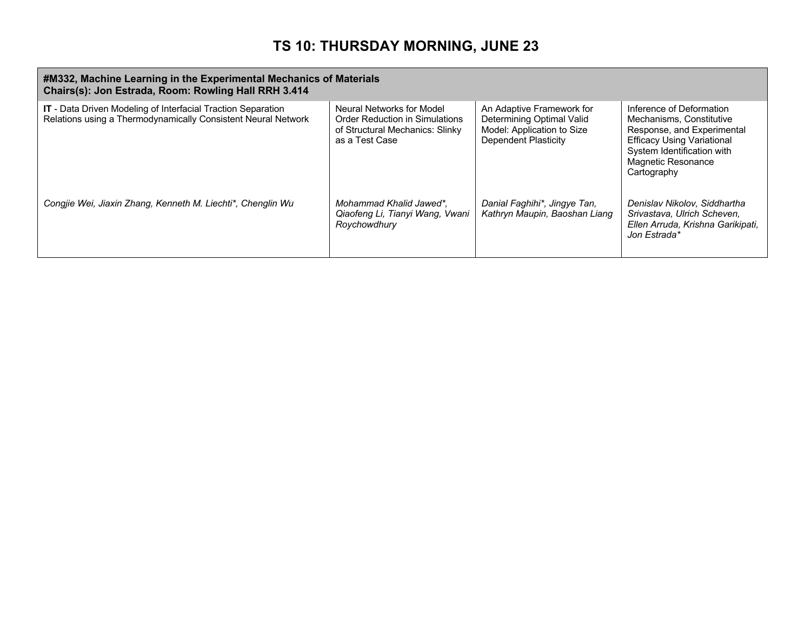| #M332, Machine Learning in the Experimental Mechanics of Materials<br>Chairs(s): Jon Estrada, Room: Rowling Hall RRH 3.414           |                                                                                                                         |                                                                                                                     |                                                                                                                                                                                            |  |
|--------------------------------------------------------------------------------------------------------------------------------------|-------------------------------------------------------------------------------------------------------------------------|---------------------------------------------------------------------------------------------------------------------|--------------------------------------------------------------------------------------------------------------------------------------------------------------------------------------------|--|
| <b>IT</b> - Data Driven Modeling of Interfacial Traction Separation<br>Relations using a Thermodynamically Consistent Neural Network | Neural Networks for Model<br><b>Order Reduction in Simulations</b><br>of Structural Mechanics: Slinky<br>as a Test Case | An Adaptive Framework for<br>Determining Optimal Valid<br>Model: Application to Size<br><b>Dependent Plasticity</b> | Inference of Deformation<br>Mechanisms, Constitutive<br>Response, and Experimental<br><b>Efficacy Using Variational</b><br>System Identification with<br>Magnetic Resonance<br>Cartography |  |
| Congjie Wei, Jiaxin Zhang, Kenneth M. Liechti*, Chenglin Wu                                                                          | Mohammad Khalid Jawed*,<br>Qiaofeng Li, Tianyi Wang, Vwani<br>Roychowdhury                                              | Danial Faghihi*, Jingye Tan,<br>Kathryn Maupin, Baoshan Liang                                                       | Denislav Nikolov, Siddhartha<br>Srivastava, Ulrich Scheven,<br>Ellen Arruda, Krishna Garikipati,<br>Jon Estrada*                                                                           |  |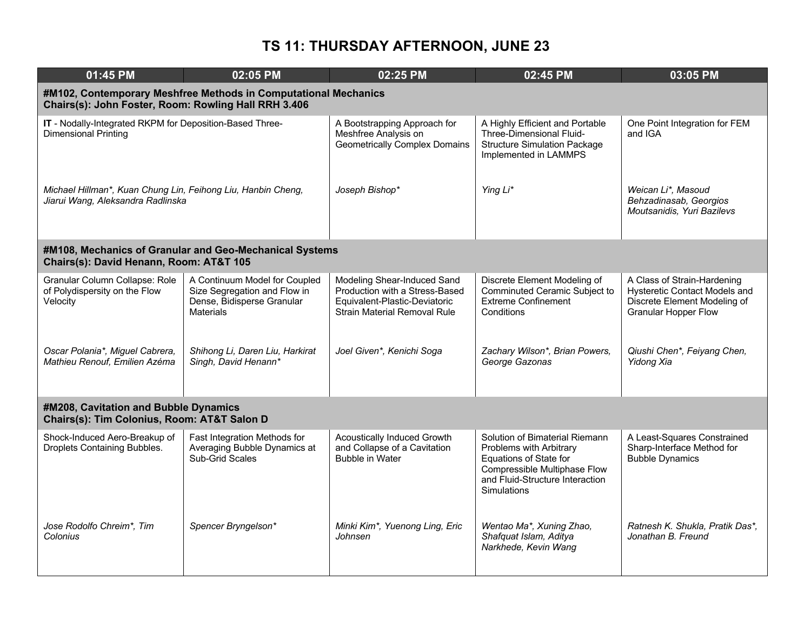| 01:45 PM                                                                                          | 02:05 PM                                                                                                                | 02:25 PM                                                                                                                       | 02:45 PM                                                                                                                                                              | 03:05 PM                                                                                                                    |  |  |
|---------------------------------------------------------------------------------------------------|-------------------------------------------------------------------------------------------------------------------------|--------------------------------------------------------------------------------------------------------------------------------|-----------------------------------------------------------------------------------------------------------------------------------------------------------------------|-----------------------------------------------------------------------------------------------------------------------------|--|--|
|                                                                                                   | #M102, Contemporary Meshfree Methods in Computational Mechanics<br>Chairs(s): John Foster, Room: Rowling Hall RRH 3.406 |                                                                                                                                |                                                                                                                                                                       |                                                                                                                             |  |  |
| IT - Nodally-Integrated RKPM for Deposition-Based Three-<br><b>Dimensional Printing</b>           |                                                                                                                         | A Bootstrapping Approach for<br>Meshfree Analysis on<br><b>Geometrically Complex Domains</b>                                   | A Highly Efficient and Portable<br>Three-Dimensional Fluid-<br><b>Structure Simulation Package</b><br>Implemented in LAMMPS                                           | One Point Integration for FEM<br>and IGA                                                                                    |  |  |
| Michael Hillman*, Kuan Chung Lin, Feihong Liu, Hanbin Cheng,<br>Jiarui Wang, Aleksandra Radlinska |                                                                                                                         | Joseph Bishop*                                                                                                                 | Ying Li*                                                                                                                                                              | Weican Li*, Masoud<br>Behzadinasab, Georgios<br>Moutsanidis, Yuri Bazilevs                                                  |  |  |
| Chairs(s): David Henann, Room: AT&T 105                                                           | #M108, Mechanics of Granular and Geo-Mechanical Systems                                                                 |                                                                                                                                |                                                                                                                                                                       |                                                                                                                             |  |  |
| Granular Column Collapse: Role<br>of Polydispersity on the Flow<br>Velocity                       | A Continuum Model for Coupled<br>Size Segregation and Flow in<br>Dense, Bidisperse Granular<br><b>Materials</b>         | Modeling Shear-Induced Sand<br>Production with a Stress-Based<br>Equivalent-Plastic-Deviatoric<br>Strain Material Removal Rule | Discrete Element Modeling of<br>Comminuted Ceramic Subject to<br><b>Extreme Confinement</b><br>Conditions                                                             | A Class of Strain-Hardening<br>Hysteretic Contact Models and<br>Discrete Element Modeling of<br><b>Granular Hopper Flow</b> |  |  |
| Oscar Polania*, Miguel Cabrera,<br>Mathieu Renouf, Emilien Azéma                                  | Shihong Li, Daren Liu, Harkirat<br>Singh, David Henann*                                                                 | Joel Given*, Kenichi Soga                                                                                                      | Zachary Wilson*, Brian Powers,<br>George Gazonas                                                                                                                      | Qiushi Chen*, Feiyang Chen,<br>Yidong Xia                                                                                   |  |  |
| #M208, Cavitation and Bubble Dynamics<br>Chairs(s): Tim Colonius, Room: AT&T Salon D              |                                                                                                                         |                                                                                                                                |                                                                                                                                                                       |                                                                                                                             |  |  |
| Shock-Induced Aero-Breakup of<br>Droplets Containing Bubbles.                                     | Fast Integration Methods for<br>Averaging Bubble Dynamics at<br><b>Sub-Grid Scales</b>                                  | <b>Acoustically Induced Growth</b><br>and Collapse of a Cavitation<br><b>Bubble in Water</b>                                   | Solution of Bimaterial Riemann<br>Problems with Arbitrary<br>Equations of State for<br>Compressible Multiphase Flow<br>and Fluid-Structure Interaction<br>Simulations | A Least-Squares Constrained<br>Sharp-Interface Method for<br><b>Bubble Dynamics</b>                                         |  |  |
| Jose Rodolfo Chreim*, Tim<br>Colonius                                                             | Spencer Bryngelson*                                                                                                     | Minki Kim*, Yuenong Ling, Eric<br>Johnsen                                                                                      | Wentao Ma*, Xuning Zhao,<br>Shafquat Islam, Aditya<br>Narkhede, Kevin Wang                                                                                            | Ratnesh K. Shukla, Pratik Das*,<br>Jonathan B. Freund                                                                       |  |  |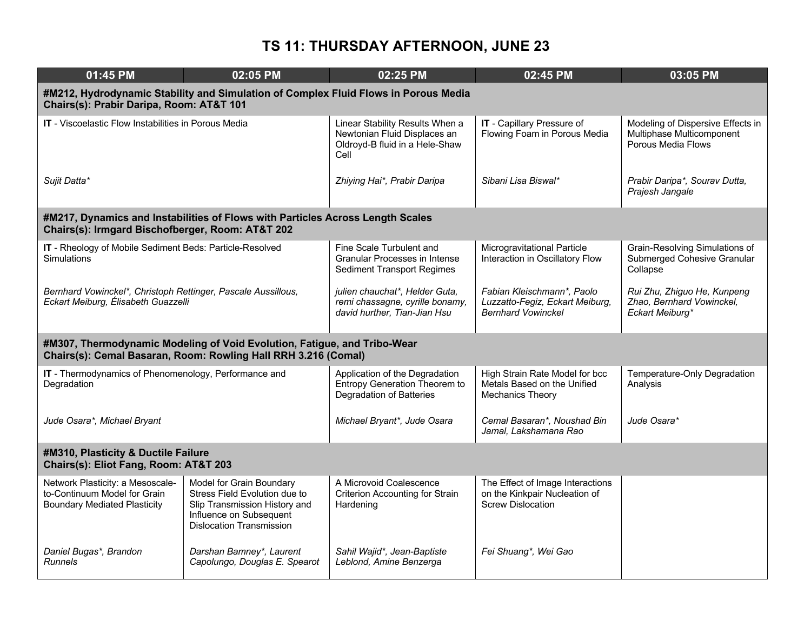| 01:45 PM                                                                                                | 02:05 PM                                                                                                                                                 | 02:25 PM                                                                                                  | 02:45 PM                                                                                      | 03:05 PM                                                                             |  |  |
|---------------------------------------------------------------------------------------------------------|----------------------------------------------------------------------------------------------------------------------------------------------------------|-----------------------------------------------------------------------------------------------------------|-----------------------------------------------------------------------------------------------|--------------------------------------------------------------------------------------|--|--|
|                                                                                                         | #M212, Hydrodynamic Stability and Simulation of Complex Fluid Flows in Porous Media<br>Chairs(s): Prabir Daripa, Room: AT&T 101                          |                                                                                                           |                                                                                               |                                                                                      |  |  |
| <b>IT</b> - Viscoelastic Flow Instabilities in Porous Media                                             |                                                                                                                                                          | Linear Stability Results When a<br>Newtonian Fluid Displaces an<br>Oldroyd-B fluid in a Hele-Shaw<br>Cell | IT - Capillary Pressure of<br>Flowing Foam in Porous Media                                    | Modeling of Dispersive Effects in<br>Multiphase Multicomponent<br>Porous Media Flows |  |  |
| Sujit Datta*                                                                                            |                                                                                                                                                          | Zhiying Hai*, Prabir Daripa                                                                               | Sibani Lisa Biswal*                                                                           | Prabir Daripa*, Sourav Dutta,<br>Prajesh Jangale                                     |  |  |
| Chairs(s): Irmgard Bischofberger, Room: AT&T 202                                                        | #M217, Dynamics and Instabilities of Flows with Particles Across Length Scales                                                                           |                                                                                                           |                                                                                               |                                                                                      |  |  |
| IT - Rheology of Mobile Sediment Beds: Particle-Resolved<br><b>Simulations</b>                          |                                                                                                                                                          | Fine Scale Turbulent and<br>Granular Processes in Intense<br><b>Sediment Transport Regimes</b>            | Microgravitational Particle<br>Interaction in Oscillatory Flow                                | Grain-Resolving Simulations of<br>Submerged Cohesive Granular<br>Collapse            |  |  |
| Bernhard Vowinckel*, Christoph Rettinger, Pascale Aussillous,<br>Eckart Meiburg, Élisabeth Guazzelli    |                                                                                                                                                          | julien chauchat*, Helder Guta,<br>remi chassagne, cyrille bonamy,<br>david hurther, Tian-Jian Hsu         | Fabian Kleischmann*, Paolo<br>Luzzatto-Fegiz, Eckart Meiburg,<br><b>Bernhard Vowinckel</b>    | Rui Zhu, Zhiguo He, Kunpeng<br>Zhao, Bernhard Vowinckel,<br>Eckart Meiburg*          |  |  |
|                                                                                                         | #M307, Thermodynamic Modeling of Void Evolution, Fatigue, and Tribo-Wear<br>Chairs(s): Cemal Basaran, Room: Rowling Hall RRH 3.216 (Comal)               |                                                                                                           |                                                                                               |                                                                                      |  |  |
| IT - Thermodynamics of Phenomenology, Performance and<br>Degradation                                    |                                                                                                                                                          | Application of the Degradation<br><b>Entropy Generation Theorem to</b><br>Degradation of Batteries        | High Strain Rate Model for bcc<br>Metals Based on the Unified<br><b>Mechanics Theory</b>      | Temperature-Only Degradation<br>Analysis                                             |  |  |
| Jude Osara*, Michael Bryant                                                                             |                                                                                                                                                          | Michael Bryant*, Jude Osara                                                                               | Cemal Basaran*, Noushad Bin<br>Jamal, Lakshamana Rao                                          | Jude Osara*                                                                          |  |  |
| #M310, Plasticity & Ductile Failure<br>Chairs(s): Eliot Fang, Room: AT&T 203                            |                                                                                                                                                          |                                                                                                           |                                                                                               |                                                                                      |  |  |
| Network Plasticity: a Mesoscale-<br>to-Continuum Model for Grain<br><b>Boundary Mediated Plasticity</b> | Model for Grain Boundary<br>Stress Field Evolution due to<br>Slip Transmission History and<br>Influence on Subsequent<br><b>Dislocation Transmission</b> | A Microvoid Coalescence<br><b>Criterion Accounting for Strain</b><br>Hardening                            | The Effect of Image Interactions<br>on the Kinkpair Nucleation of<br><b>Screw Dislocation</b> |                                                                                      |  |  |
| Daniel Bugas*, Brandon<br><b>Runnels</b>                                                                | Darshan Bamney*, Laurent<br>Capolungo, Douglas E. Spearot                                                                                                | Sahil Wajid*, Jean-Baptiste<br>Leblond, Amine Benzerga                                                    | Fei Shuang*, Wei Gao                                                                          |                                                                                      |  |  |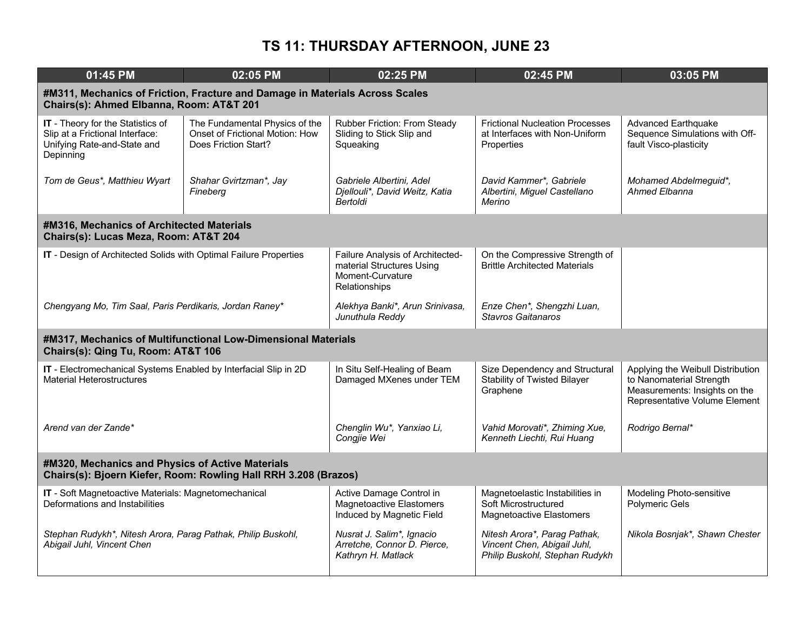| 01:45 PM                                                                                                                 | 02:05 PM                                                                                  | 02:25 PM                                                                                           | 02:45 PM                                                                                      | 03:05 PM                                                                                                                        |  |
|--------------------------------------------------------------------------------------------------------------------------|-------------------------------------------------------------------------------------------|----------------------------------------------------------------------------------------------------|-----------------------------------------------------------------------------------------------|---------------------------------------------------------------------------------------------------------------------------------|--|
| #M311, Mechanics of Friction, Fracture and Damage in Materials Across Scales<br>Chairs(s): Ahmed Elbanna, Room: AT&T 201 |                                                                                           |                                                                                                    |                                                                                               |                                                                                                                                 |  |
| <b>IT</b> - Theory for the Statistics of<br>Slip at a Frictional Interface:<br>Unifying Rate-and-State and<br>Depinning  | The Fundamental Physics of the<br>Onset of Frictional Motion: How<br>Does Friction Start? | Rubber Friction: From Steady<br>Sliding to Stick Slip and<br>Squeaking                             | <b>Frictional Nucleation Processes</b><br>at Interfaces with Non-Uniform<br>Properties        | <b>Advanced Earthquake</b><br>Sequence Simulations with Off-<br>fault Visco-plasticity                                          |  |
| Tom de Geus*, Matthieu Wyart                                                                                             | Shahar Gvirtzman*, Jay<br>Fineberg                                                        | Gabriele Albertini. Adel<br>Djellouli*, David Weitz, Katia<br>Bertoldi                             | David Kammer*, Gabriele<br>Albertini, Miguel Castellano<br>Merino                             | Mohamed Abdelmeguid*,<br>Ahmed Elbanna                                                                                          |  |
| #M316, Mechanics of Architected Materials<br>Chairs(s): Lucas Meza, Room: AT&T 204                                       |                                                                                           |                                                                                                    |                                                                                               |                                                                                                                                 |  |
| IT - Design of Architected Solids with Optimal Failure Properties                                                        |                                                                                           | Failure Analysis of Architected-<br>material Structures Using<br>Moment-Curvature<br>Relationships | On the Compressive Strength of<br><b>Brittle Architected Materials</b>                        |                                                                                                                                 |  |
| Chengyang Mo, Tim Saal, Paris Perdikaris, Jordan Raney*                                                                  |                                                                                           | Alekhya Banki*, Arun Srinivasa,<br>Junuthula Reddy                                                 | Enze Chen*, Shengzhi Luan,<br>Stavros Gaitanaros                                              |                                                                                                                                 |  |
| Chairs(s): Qing Tu, Room: AT&T 106                                                                                       | #M317, Mechanics of Multifunctional Low-Dimensional Materials                             |                                                                                                    |                                                                                               |                                                                                                                                 |  |
| IT - Electromechanical Systems Enabled by Interfacial Slip in 2D<br><b>Material Heterostructures</b>                     |                                                                                           | In Situ Self-Healing of Beam<br>Damaged MXenes under TEM                                           | Size Dependency and Structural<br><b>Stability of Twisted Bilayer</b><br>Graphene             | Applying the Weibull Distribution<br>to Nanomaterial Strength<br>Measurements: Insights on the<br>Representative Volume Element |  |
| Arend van der Zande*                                                                                                     |                                                                                           | Chenglin Wu*, Yanxiao Li,<br>Congjie Wei                                                           | Vahid Morovati*, Zhiming Xue,<br>Kenneth Liechti, Rui Huang                                   | Rodrigo Bernal*                                                                                                                 |  |
| #M320, Mechanics and Physics of Active Materials<br>Chairs(s): Bjoern Kiefer, Room: Rowling Hall RRH 3.208 (Brazos)      |                                                                                           |                                                                                                    |                                                                                               |                                                                                                                                 |  |
| IT - Soft Magnetoactive Materials: Magnetomechanical<br>Deformations and Instabilities                                   |                                                                                           | Active Damage Control in<br><b>Magnetoactive Elastomers</b><br>Induced by Magnetic Field           | Magnetoelastic Instabilities in<br>Soft Microstructured<br>Magnetoactive Elastomers           | Modeling Photo-sensitive<br><b>Polymeric Gels</b>                                                                               |  |
| Stephan Rudykh*, Nitesh Arora, Parag Pathak, Philip Buskohl,<br>Abigail Juhl, Vincent Chen                               |                                                                                           | Nusrat J. Salim*, Ignacio<br>Arretche, Connor D. Pierce,<br>Kathryn H. Matlack                     | Nitesh Arora*, Parag Pathak,<br>Vincent Chen, Abigail Juhl,<br>Philip Buskohl, Stephan Rudykh | Nikola Bosnjak*, Shawn Chester                                                                                                  |  |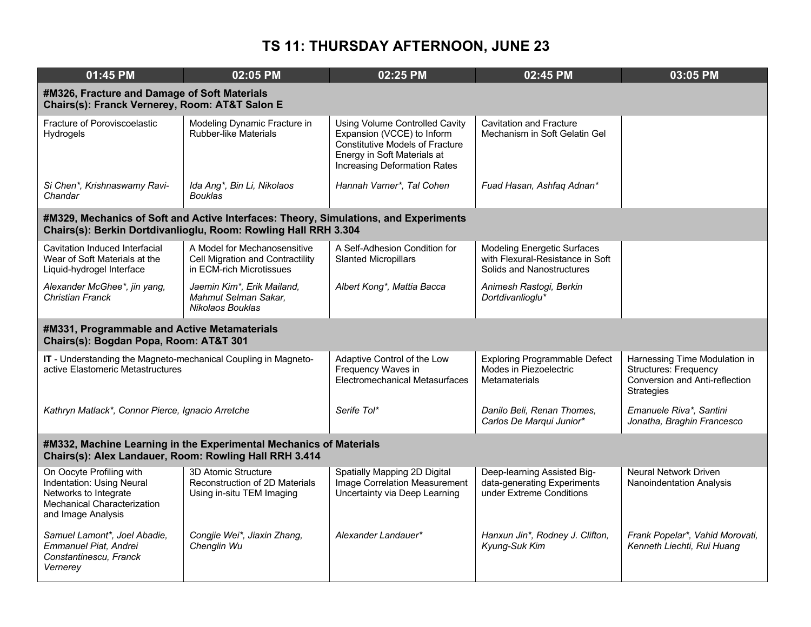| $01:45$ PM                                                                                                                          | 02:05 PM                                                                                                                                                | 02:25 PM                                                                                                                                                                            | 02:45 PM                                                                                            | 03:05 PM                                                                                                             |  |  |
|-------------------------------------------------------------------------------------------------------------------------------------|---------------------------------------------------------------------------------------------------------------------------------------------------------|-------------------------------------------------------------------------------------------------------------------------------------------------------------------------------------|-----------------------------------------------------------------------------------------------------|----------------------------------------------------------------------------------------------------------------------|--|--|
|                                                                                                                                     | #M326, Fracture and Damage of Soft Materials<br>Chairs(s): Franck Vernerey, Room: AT&T Salon E                                                          |                                                                                                                                                                                     |                                                                                                     |                                                                                                                      |  |  |
| Fracture of Poroviscoelastic<br><b>Hydrogels</b>                                                                                    | Modeling Dynamic Fracture in<br><b>Rubber-like Materials</b>                                                                                            | <b>Using Volume Controlled Cavity</b><br>Expansion (VCCE) to Inform<br><b>Constitutive Models of Fracture</b><br>Energy in Soft Materials at<br><b>Increasing Deformation Rates</b> | <b>Cavitation and Fracture</b><br>Mechanism in Soft Gelatin Gel                                     |                                                                                                                      |  |  |
| Si Chen*, Krishnaswamy Ravi-<br>Chandar                                                                                             | Ida Ang*, Bin Li, Nikolaos<br><b>Bouklas</b>                                                                                                            | Hannah Varner*, Tal Cohen                                                                                                                                                           | Fuad Hasan, Ashfaq Adnan*                                                                           |                                                                                                                      |  |  |
|                                                                                                                                     | #M329, Mechanics of Soft and Active Interfaces: Theory, Simulations, and Experiments<br>Chairs(s): Berkin Dortdivanlioglu, Room: Rowling Hall RRH 3.304 |                                                                                                                                                                                     |                                                                                                     |                                                                                                                      |  |  |
| Cavitation Induced Interfacial<br>Wear of Soft Materials at the<br>Liquid-hydrogel Interface                                        | A Model for Mechanosensitive<br>Cell Migration and Contractility<br>in ECM-rich Microtissues                                                            | A Self-Adhesion Condition for<br><b>Slanted Micropillars</b>                                                                                                                        | <b>Modeling Energetic Surfaces</b><br>with Flexural-Resistance in Soft<br>Solids and Nanostructures |                                                                                                                      |  |  |
| Alexander McGhee*, jin yang,<br><b>Christian Franck</b>                                                                             | Jaemin Kim*, Erik Mailand,<br>Mahmut Selman Sakar,<br>Nikolaos Bouklas                                                                                  | Albert Kong*, Mattia Bacca                                                                                                                                                          | Animesh Rastogi, Berkin<br>Dortdivanlioglu*                                                         |                                                                                                                      |  |  |
| #M331, Programmable and Active Metamaterials<br>Chairs(s): Bogdan Popa, Room: AT&T 301                                              |                                                                                                                                                         |                                                                                                                                                                                     |                                                                                                     |                                                                                                                      |  |  |
| IT - Understanding the Magneto-mechanical Coupling in Magneto-<br>active Elastomeric Metastructures                                 |                                                                                                                                                         | Adaptive Control of the Low<br>Frequency Waves in<br>Electromechanical Metasurfaces                                                                                                 | <b>Exploring Programmable Defect</b><br>Modes in Piezoelectric<br>Metamaterials                     | Harnessing Time Modulation in<br><b>Structures: Frequency</b><br>Conversion and Anti-reflection<br><b>Strategies</b> |  |  |
| Kathryn Matlack*, Connor Pierce, Ignacio Arretche                                                                                   |                                                                                                                                                         | Serife Tol*                                                                                                                                                                         | Danilo Beli, Renan Thomes,<br>Carlos De Marqui Junior*                                              | Emanuele Riva*, Santini<br>Jonatha, Braghin Francesco                                                                |  |  |
| #M332, Machine Learning in the Experimental Mechanics of Materials<br>Chairs(s): Alex Landauer, Room: Rowling Hall RRH 3.414        |                                                                                                                                                         |                                                                                                                                                                                     |                                                                                                     |                                                                                                                      |  |  |
| On Oocyte Profiling with<br>Indentation: Using Neural<br>Networks to Integrate<br>Mechanical Characterization<br>and Image Analysis | 3D Atomic Structure<br>Reconstruction of 2D Materials<br>Using in-situ TEM Imaging                                                                      | Spatially Mapping 2D Digital<br>Image Correlation Measurement<br>Uncertainty via Deep Learning                                                                                      | Deep-learning Assisted Big-<br>data-generating Experiments<br>under Extreme Conditions              | <b>Neural Network Driven</b><br>Nanoindentation Analysis                                                             |  |  |
| Samuel Lamont*, Joel Abadie,<br>Emmanuel Piat, Andrei<br>Constantinescu, Franck<br>Vernerev                                         | Congjie Wei*, Jiaxin Zhang,<br>Chenglin Wu                                                                                                              | Alexander Landauer*                                                                                                                                                                 | Hanxun Jin*, Rodney J. Clifton,<br>Kyung-Suk Kim                                                    | Frank Popelar*, Vahid Morovati,<br>Kenneth Liechti, Rui Huang                                                        |  |  |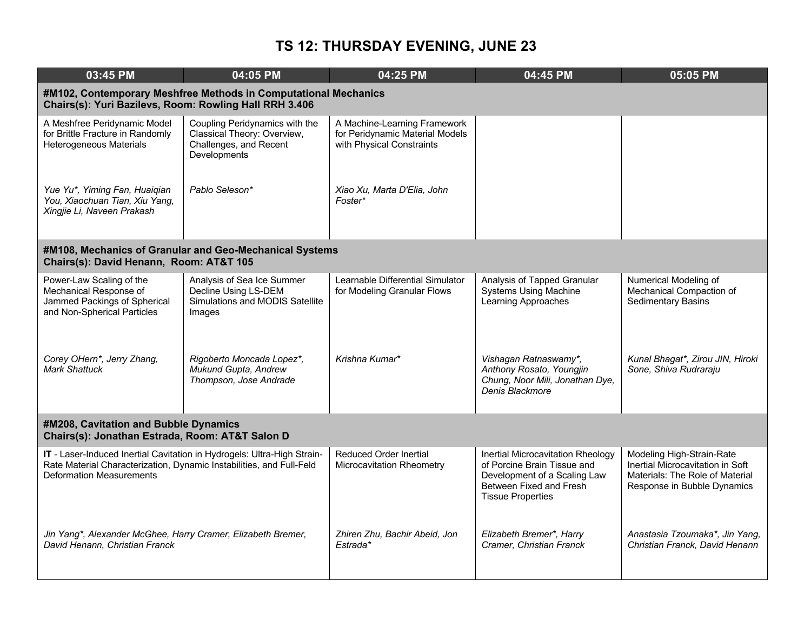| 03:45 PM                                                                                                                                                                           | 04:05 PM                                                                                                | 04:25 PM                                                                                     | 04:45 PM                                                                                                                                                | $05:05$ PM                                                                                                                      |
|------------------------------------------------------------------------------------------------------------------------------------------------------------------------------------|---------------------------------------------------------------------------------------------------------|----------------------------------------------------------------------------------------------|---------------------------------------------------------------------------------------------------------------------------------------------------------|---------------------------------------------------------------------------------------------------------------------------------|
| Chairs(s): Yuri Bazilevs, Room: Rowling Hall RRH 3.406                                                                                                                             | #M102, Contemporary Meshfree Methods in Computational Mechanics                                         |                                                                                              |                                                                                                                                                         |                                                                                                                                 |
| A Meshfree Peridynamic Model<br>for Brittle Fracture in Randomly<br>Heterogeneous Materials                                                                                        | Coupling Peridynamics with the<br>Classical Theory: Overview,<br>Challenges, and Recent<br>Developments | A Machine-Learning Framework<br>for Peridynamic Material Models<br>with Physical Constraints |                                                                                                                                                         |                                                                                                                                 |
| Yue Yu*, Yiming Fan, Huaiqian<br>You, Xiaochuan Tian, Xiu Yang,<br>Xingjie Li, Naveen Prakash                                                                                      | Pablo Seleson*                                                                                          | Xiao Xu, Marta D'Elia, John<br>Foster*                                                       |                                                                                                                                                         |                                                                                                                                 |
| Chairs(s): David Henann, Room: AT&T 105                                                                                                                                            | #M108, Mechanics of Granular and Geo-Mechanical Systems                                                 |                                                                                              |                                                                                                                                                         |                                                                                                                                 |
| Power-Law Scaling of the<br>Mechanical Response of<br>Jammed Packings of Spherical<br>and Non-Spherical Particles                                                                  | Analysis of Sea Ice Summer<br>Decline Using LS-DEM<br>Simulations and MODIS Satellite<br>Images         | Learnable Differential Simulator<br>for Modeling Granular Flows                              | Analysis of Tapped Granular<br><b>Systems Using Machine</b><br>Learning Approaches                                                                      | Numerical Modeling of<br>Mechanical Compaction of<br>Sedimentary Basins                                                         |
| Corey OHern*, Jerry Zhang,<br>Mark Shattuck                                                                                                                                        | Rigoberto Moncada Lopez*,<br>Mukund Gupta, Andrew<br>Thompson, Jose Andrade                             | Krishna Kumar*                                                                               | Vishagan Ratnaswamy*,<br>Anthony Rosato, Youngjin<br>Chung, Noor Mili, Jonathan Dye,<br>Denis Blackmore                                                 | Kunal Bhagat*, Zirou JIN, Hiroki<br>Sone, Shiva Rudraraju                                                                       |
| #M208, Cavitation and Bubble Dynamics<br>Chairs(s): Jonathan Estrada, Room: AT&T Salon D                                                                                           |                                                                                                         |                                                                                              |                                                                                                                                                         |                                                                                                                                 |
| IT - Laser-Induced Inertial Cavitation in Hydrogels: Ultra-High Strain-<br>Rate Material Characterization, Dynamic Instabilities, and Full-Feld<br><b>Deformation Measurements</b> |                                                                                                         | <b>Reduced Order Inertial</b><br>Microcavitation Rheometry                                   | Inertial Microcavitation Rheology<br>of Porcine Brain Tissue and<br>Development of a Scaling Law<br>Between Fixed and Fresh<br><b>Tissue Properties</b> | Modeling High-Strain-Rate<br>Inertial Microcavitation in Soft<br>Materials: The Role of Material<br>Response in Bubble Dynamics |
| Jin Yang*, Alexander McGhee, Harry Cramer, Elizabeth Bremer,<br>David Henann, Christian Franck                                                                                     |                                                                                                         | Zhiren Zhu, Bachir Abeid, Jon<br>Estrada*                                                    | Elizabeth Bremer*, Harry<br>Cramer, Christian Franck                                                                                                    | Anastasia Tzoumaka*, Jin Yang,<br>Christian Franck, David Henann                                                                |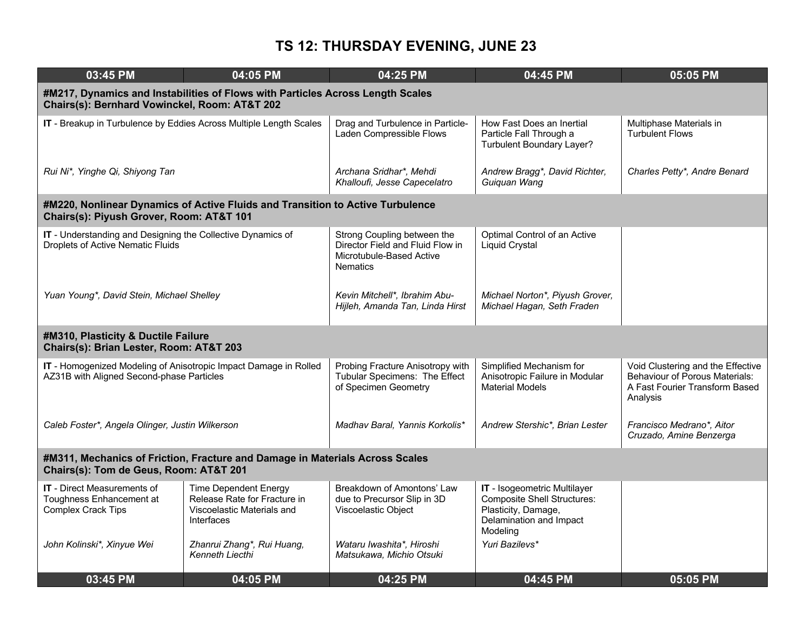| 03:45 PM                                                                                                               | 04:05 PM                                                                                                                        | 04:25 PM                                                                                                       | 04:45 PM                                                                                                                         | 05:05 PM                                                                                                                 |  |  |  |
|------------------------------------------------------------------------------------------------------------------------|---------------------------------------------------------------------------------------------------------------------------------|----------------------------------------------------------------------------------------------------------------|----------------------------------------------------------------------------------------------------------------------------------|--------------------------------------------------------------------------------------------------------------------------|--|--|--|
|                                                                                                                        | #M217, Dynamics and Instabilities of Flows with Particles Across Length Scales<br>Chairs(s): Bernhard Vowinckel, Room: AT&T 202 |                                                                                                                |                                                                                                                                  |                                                                                                                          |  |  |  |
|                                                                                                                        | IT - Breakup in Turbulence by Eddies Across Multiple Length Scales                                                              | Drag and Turbulence in Particle-<br>Laden Compressible Flows                                                   | How Fast Does an Inertial<br>Particle Fall Through a<br>Turbulent Boundary Layer?                                                | Multiphase Materials in<br><b>Turbulent Flows</b>                                                                        |  |  |  |
| Rui Ni*, Yinghe Qi, Shiyong Tan                                                                                        |                                                                                                                                 | Archana Sridhar*, Mehdi<br>Khalloufi, Jesse Capecelatro                                                        | Andrew Bragg*, David Richter,<br>Guiguan Wang                                                                                    | Charles Petty*, Andre Benard                                                                                             |  |  |  |
| Chairs(s): Piyush Grover, Room: AT&T 101                                                                               | #M220, Nonlinear Dynamics of Active Fluids and Transition to Active Turbulence                                                  |                                                                                                                |                                                                                                                                  |                                                                                                                          |  |  |  |
| IT - Understanding and Designing the Collective Dynamics of<br><b>Droplets of Active Nematic Fluids</b>                |                                                                                                                                 | Strong Coupling between the<br>Director Field and Fluid Flow in<br>Microtubule-Based Active<br><b>Nematics</b> | Optimal Control of an Active<br><b>Liquid Crystal</b>                                                                            |                                                                                                                          |  |  |  |
| Yuan Young*, David Stein, Michael Shelley                                                                              |                                                                                                                                 | Kevin Mitchell*, Ibrahim Abu-<br>Hijleh, Amanda Tan, Linda Hirst                                               | Michael Norton*, Piyush Grover,<br>Michael Hagan, Seth Fraden                                                                    |                                                                                                                          |  |  |  |
| #M310, Plasticity & Ductile Failure<br>Chairs(s): Brian Lester, Room: AT&T 203                                         |                                                                                                                                 |                                                                                                                |                                                                                                                                  |                                                                                                                          |  |  |  |
| IT - Homogenized Modeling of Anisotropic Impact Damage in Rolled<br>AZ31B with Aligned Second-phase Particles          |                                                                                                                                 | Probing Fracture Anisotropy with<br>Tubular Specimens: The Effect<br>of Specimen Geometry                      | Simplified Mechanism for<br>Anisotropic Failure in Modular<br><b>Material Models</b>                                             | Void Clustering and the Effective<br><b>Behaviour of Porous Materials:</b><br>A Fast Fourier Transform Based<br>Analysis |  |  |  |
| Caleb Foster*, Angela Olinger, Justin Wilkerson                                                                        |                                                                                                                                 | Madhav Baral, Yannis Korkolis*                                                                                 | Andrew Stershic*, Brian Lester                                                                                                   | Francisco Medrano*, Aitor<br>Cruzado, Amine Benzerga                                                                     |  |  |  |
| #M311, Mechanics of Friction, Fracture and Damage in Materials Across Scales<br>Chairs(s): Tom de Geus, Room: AT&T 201 |                                                                                                                                 |                                                                                                                |                                                                                                                                  |                                                                                                                          |  |  |  |
| <b>IT</b> - Direct Measurements of<br>Toughness Enhancement at<br>Complex Crack Tips                                   | <b>Time Dependent Energy</b><br>Release Rate for Fracture in<br>Viscoelastic Materials and<br><b>Interfaces</b>                 | Breakdown of Amontons' Law<br>due to Precursor Slip in 3D<br>Viscoelastic Object                               | IT - Isogeometric Multilayer<br><b>Composite Shell Structures:</b><br>Plasticity, Damage,<br>Delamination and Impact<br>Modeling |                                                                                                                          |  |  |  |
| John Kolinski*, Xinyue Wei                                                                                             | Zhanrui Zhang*, Rui Huang,<br>Kenneth Liecthi                                                                                   | Wataru Iwashita*, Hiroshi<br>Matsukawa, Michio Otsuki                                                          | Yuri Bazilevs*                                                                                                                   |                                                                                                                          |  |  |  |
| 03:45 PM                                                                                                               | 04:05 PM                                                                                                                        | 04:25 PM                                                                                                       | 04:45 PM                                                                                                                         | 05:05 PM                                                                                                                 |  |  |  |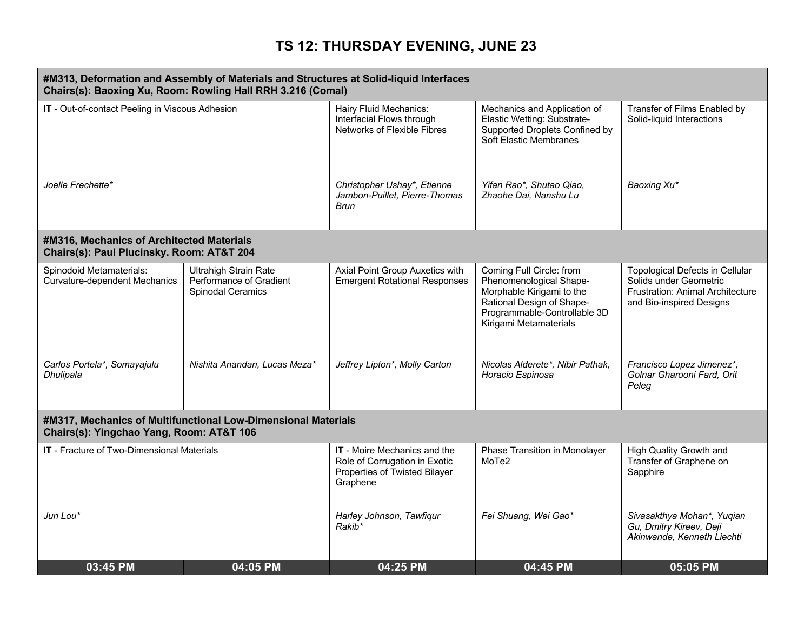|                                                                                        | #M313, Deformation and Assembly of Materials and Structures at Solid-liquid Interfaces<br>Chairs(s): Baoxing Xu, Room: Rowling Hall RRH 3.216 (Comal) |                                                                                                            |                                                                                                                                                                         |                                                                                                                           |
|----------------------------------------------------------------------------------------|-------------------------------------------------------------------------------------------------------------------------------------------------------|------------------------------------------------------------------------------------------------------------|-------------------------------------------------------------------------------------------------------------------------------------------------------------------------|---------------------------------------------------------------------------------------------------------------------------|
| IT - Out-of-contact Peeling in Viscous Adhesion                                        |                                                                                                                                                       | Hairy Fluid Mechanics:<br>Interfacial Flows through<br>Networks of Flexible Fibres                         | Mechanics and Application of<br>Elastic Wetting: Substrate-<br>Supported Droplets Confined by<br>Soft Elastic Membranes                                                 | Transfer of Films Enabled by<br>Solid-liquid Interactions                                                                 |
| Joelle Frechette*                                                                      |                                                                                                                                                       | Christopher Ushay*, Etienne<br>Jambon-Puillet, Pierre-Thomas<br>Brun                                       | Yifan Rao*, Shutao Qiao,<br>Zhaohe Dai, Nanshu Lu                                                                                                                       | Baoxing Xu*                                                                                                               |
| #M316, Mechanics of Architected Materials<br>Chairs(s): Paul Plucinsky. Room: AT&T 204 |                                                                                                                                                       |                                                                                                            |                                                                                                                                                                         |                                                                                                                           |
| Spinodoid Metamaterials:<br><b>Curvature-dependent Mechanics</b>                       | <b>Ultrahigh Strain Rate</b><br>Performance of Gradient<br>Spinodal Ceramics                                                                          | Axial Point Group Auxetics with<br><b>Emergent Rotational Responses</b>                                    | Coming Full Circle: from<br>Phenomenological Shape-<br>Morphable Kirigami to the<br>Rational Design of Shape-<br>Programmable-Controllable 3D<br>Kirigami Metamaterials | Topological Defects in Cellular<br>Solids under Geometric<br>Frustration: Animal Architecture<br>and Bio-inspired Designs |
| Carlos Portela*, Somayajulu<br>Dhulipala                                               | Nishita Anandan, Lucas Meza*                                                                                                                          | Jeffrey Lipton*, Molly Carton                                                                              | Nicolas Alderete*, Nibir Pathak,<br>Horacio Espinosa                                                                                                                    | Francisco Lopez Jimenez*,<br>Golnar Gharooni Fard, Orit<br>Peleg                                                          |
| Chairs(s): Yingchao Yang, Room: AT&T 106                                               | #M317, Mechanics of Multifunctional Low-Dimensional Materials                                                                                         |                                                                                                            |                                                                                                                                                                         |                                                                                                                           |
| IT - Fracture of Two-Dimensional Materials                                             |                                                                                                                                                       | IT - Moire Mechanics and the<br>Role of Corrugation in Exotic<br>Properties of Twisted Bilayer<br>Graphene | Phase Transition in Monolayer<br>MoTe2                                                                                                                                  | High Quality Growth and<br>Transfer of Graphene on<br>Sapphire                                                            |
| Jun Lou*                                                                               |                                                                                                                                                       | Harley Johnson, Tawfiqur<br>Rakib*                                                                         | Fei Shuang, Wei Gao*                                                                                                                                                    | Sivasakthya Mohan*, Yuqian<br>Gu, Dmitry Kireev, Deji<br>Akinwande, Kenneth Liechti                                       |
| 03:45 PM                                                                               | 04:05 PM                                                                                                                                              | 04:25 PM                                                                                                   | 04:45 PM                                                                                                                                                                | 05:05 PM                                                                                                                  |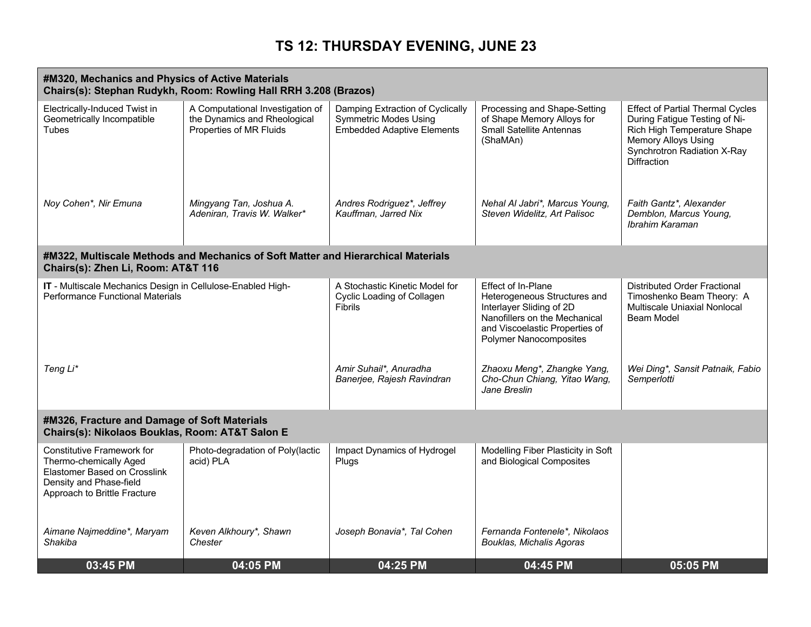|                                                                                                                                                        | #M320, Mechanics and Physics of Active Materials<br>Chairs(s): Stephan Rudykh, Room: Rowling Hall RRH 3.208 (Brazos) |                                                                                                       |                                                                                                                                                                                    |                                                                                                                                                                                     |  |  |
|--------------------------------------------------------------------------------------------------------------------------------------------------------|----------------------------------------------------------------------------------------------------------------------|-------------------------------------------------------------------------------------------------------|------------------------------------------------------------------------------------------------------------------------------------------------------------------------------------|-------------------------------------------------------------------------------------------------------------------------------------------------------------------------------------|--|--|
| Electrically-Induced Twist in<br>Geometrically Incompatible<br>Tubes                                                                                   | A Computational Investigation of<br>the Dynamics and Rheological<br>Properties of MR Fluids                          | Damping Extraction of Cyclically<br><b>Symmetric Modes Using</b><br><b>Embedded Adaptive Elements</b> | Processing and Shape-Setting<br>of Shape Memory Alloys for<br><b>Small Satellite Antennas</b><br>(ShaMAn)                                                                          | <b>Effect of Partial Thermal Cycles</b><br>During Fatigue Testing of Ni-<br>Rich High Temperature Shape<br>Memory Alloys Using<br>Synchrotron Radiation X-Ray<br><b>Diffraction</b> |  |  |
| Noy Cohen*, Nir Emuna                                                                                                                                  | Mingyang Tan, Joshua A.<br>Adeniran, Travis W. Walker*                                                               | Andres Rodriguez*, Jeffrey<br>Kauffman, Jarred Nix                                                    | Nehal Al Jabri*, Marcus Young,<br>Steven Widelitz, Art Palisoc                                                                                                                     | Faith Gantz*, Alexander<br>Demblon, Marcus Young,<br>Ibrahim Karaman                                                                                                                |  |  |
| Chairs(s): Zhen Li, Room: AT&T 116                                                                                                                     | #M322, Multiscale Methods and Mechanics of Soft Matter and Hierarchical Materials                                    |                                                                                                       |                                                                                                                                                                                    |                                                                                                                                                                                     |  |  |
| IT - Multiscale Mechanics Design in Cellulose-Enabled High-<br><b>Performance Functional Materials</b>                                                 |                                                                                                                      | A Stochastic Kinetic Model for<br>Cyclic Loading of Collagen<br><b>Fibrils</b>                        | Effect of In-Plane<br>Heterogeneous Structures and<br>Interlayer Sliding of 2D<br>Nanofillers on the Mechanical<br>and Viscoelastic Properties of<br><b>Polymer Nanocomposites</b> | <b>Distributed Order Fractional</b><br>Timoshenko Beam Theory: A<br>Multiscale Uniaxial Nonlocal<br>Beam Model                                                                      |  |  |
| Teng Li*                                                                                                                                               |                                                                                                                      | Amir Suhail*, Anuradha<br>Banerjee, Rajesh Ravindran                                                  | Zhaoxu Meng*, Zhangke Yang,<br>Cho-Chun Chiang, Yitao Wang,<br>Jane Breslin                                                                                                        | Wei Ding*, Sansit Patnaik, Fabio<br>Semperlotti                                                                                                                                     |  |  |
| #M326, Fracture and Damage of Soft Materials<br>Chairs(s): Nikolaos Bouklas, Room: AT&T Salon E                                                        |                                                                                                                      |                                                                                                       |                                                                                                                                                                                    |                                                                                                                                                                                     |  |  |
| <b>Constitutive Framework for</b><br>Thermo-chemically Aged<br>Elastomer Based on Crosslink<br>Density and Phase-field<br>Approach to Brittle Fracture | Photo-degradation of Poly(lactic<br>acid) PLA                                                                        | Impact Dynamics of Hydrogel<br>Plugs                                                                  | Modelling Fiber Plasticity in Soft<br>and Biological Composites                                                                                                                    |                                                                                                                                                                                     |  |  |
| Aimane Najmeddine*, Maryam<br>Shakiba                                                                                                                  | Keven Alkhoury*, Shawn<br>Chester                                                                                    | Joseph Bonavia*, Tal Cohen                                                                            | Fernanda Fontenele*, Nikolaos<br>Bouklas, Michalis Agoras                                                                                                                          |                                                                                                                                                                                     |  |  |
| 03:45 PM                                                                                                                                               | 04:05 PM                                                                                                             | 04:25 PM                                                                                              | 04:45 PM                                                                                                                                                                           | 05:05 PM                                                                                                                                                                            |  |  |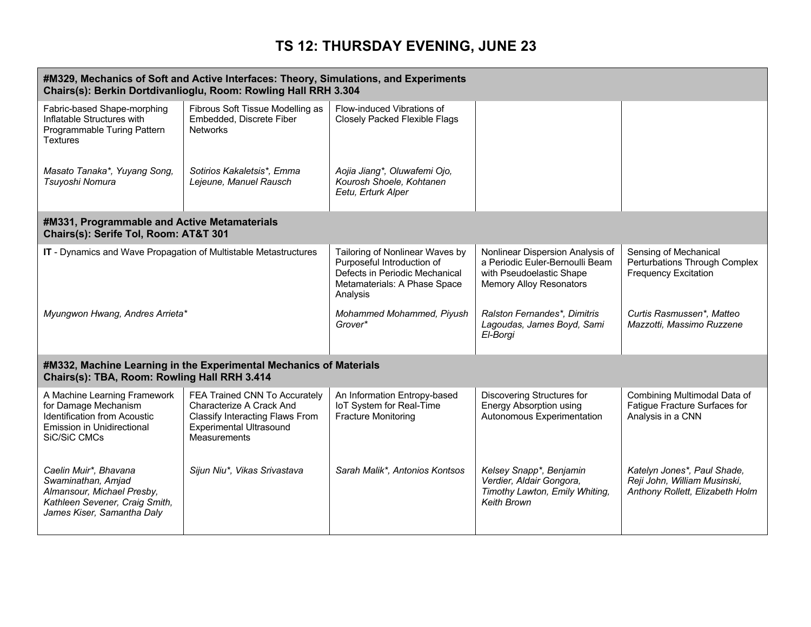| #M329, Mechanics of Soft and Active Interfaces: Theory, Simulations, and Experiments<br>Chairs(s): Berkin Dortdivanlioglu, Room: Rowling Hall RRH 3.304 |                                                                                                                                                       |                                                                                                                                             |                                                                                                                                   |                                                                                                |
|---------------------------------------------------------------------------------------------------------------------------------------------------------|-------------------------------------------------------------------------------------------------------------------------------------------------------|---------------------------------------------------------------------------------------------------------------------------------------------|-----------------------------------------------------------------------------------------------------------------------------------|------------------------------------------------------------------------------------------------|
| Fabric-based Shape-morphing<br>Inflatable Structures with<br>Programmable Turing Pattern<br>Textures                                                    | Fibrous Soft Tissue Modelling as<br>Embedded, Discrete Fiber<br><b>Networks</b>                                                                       | Flow-induced Vibrations of<br><b>Closely Packed Flexible Flags</b>                                                                          |                                                                                                                                   |                                                                                                |
| Masato Tanaka*, Yuyang Song,<br>Tsuyoshi Nomura                                                                                                         | Sotirios Kakaletsis*, Emma<br>Lejeune, Manuel Rausch                                                                                                  | Aojia Jiang*, Oluwafemi Ojo,<br>Kourosh Shoele, Kohtanen<br>Eetu, Erturk Alper                                                              |                                                                                                                                   |                                                                                                |
| #M331, Programmable and Active Metamaterials<br>Chairs(s): Serife Tol, Room: AT&T 301                                                                   |                                                                                                                                                       |                                                                                                                                             |                                                                                                                                   |                                                                                                |
| IT - Dynamics and Wave Propagation of Multistable Metastructures                                                                                        |                                                                                                                                                       | Tailoring of Nonlinear Waves by<br>Purposeful Introduction of<br>Defects in Periodic Mechanical<br>Metamaterials: A Phase Space<br>Analysis | Nonlinear Dispersion Analysis of<br>a Periodic Euler-Bernoulli Beam<br>with Pseudoelastic Shape<br><b>Memory Alloy Resonators</b> | Sensing of Mechanical<br>Perturbations Through Complex<br><b>Frequency Excitation</b>          |
| Myungwon Hwang, Andres Arrieta*                                                                                                                         |                                                                                                                                                       | Mohammed Mohammed, Piyush<br>Grover*                                                                                                        | Ralston Fernandes*, Dimitris<br>Lagoudas, James Boyd, Sami<br>El-Borgi                                                            | Curtis Rasmussen*, Matteo<br>Mazzotti, Massimo Ruzzene                                         |
| Chairs(s): TBA, Room: Rowling Hall RRH 3.414                                                                                                            | #M332, Machine Learning in the Experimental Mechanics of Materials                                                                                    |                                                                                                                                             |                                                                                                                                   |                                                                                                |
| A Machine Learning Framework<br>for Damage Mechanism<br><b>Identification from Acoustic</b><br>Emission in Unidirectional<br>SiC/SiC CMCs               | FEA Trained CNN To Accurately<br>Characterize A Crack And<br>Classify Interacting Flaws From<br><b>Experimental Ultrasound</b><br><b>Measurements</b> | An Information Entropy-based<br>loT System for Real-Time<br><b>Fracture Monitoring</b>                                                      | Discovering Structures for<br><b>Energy Absorption using</b><br>Autonomous Experimentation                                        | Combining Multimodal Data of<br>Fatigue Fracture Surfaces for<br>Analysis in a CNN             |
| Caelin Muir*, Bhavana<br>Swaminathan, Amjad<br>Almansour, Michael Presby,<br>Kathleen Sevener, Craig Smith,<br>James Kiser, Samantha Daly               | Sijun Niu*, Vikas Srivastava                                                                                                                          | Sarah Malik*, Antonios Kontsos                                                                                                              | Kelsey Snapp*, Benjamin<br>Verdier, Aldair Gongora,<br>Timothy Lawton, Emily Whiting,<br><b>Keith Brown</b>                       | Katelyn Jones*, Paul Shade,<br>Reji John, William Musinski,<br>Anthony Rollett, Elizabeth Holm |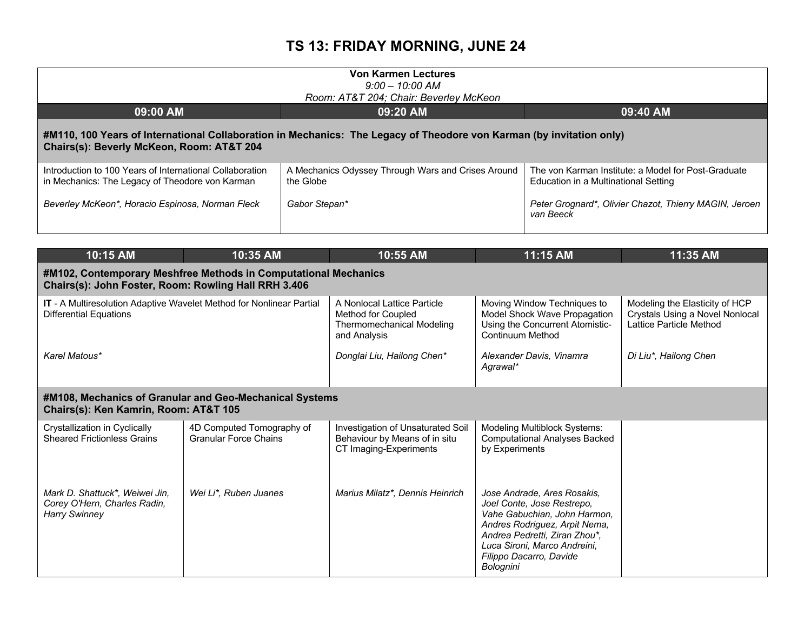| <b>Von Karmen Lectures</b><br>$9:00 - 10:00$ AM<br>Room: AT&T 204; Chair: Beverley McKeon                                                                         |                                                                 |                                                                                             |  |  |  |
|-------------------------------------------------------------------------------------------------------------------------------------------------------------------|-----------------------------------------------------------------|---------------------------------------------------------------------------------------------|--|--|--|
| 09:00 AM                                                                                                                                                          | 09:20 AM                                                        | 09:40 AM                                                                                    |  |  |  |
| #M110, 100 Years of International Collaboration in Mechanics: The Legacy of Theodore von Karman (by invitation only)<br>Chairs(s): Beverly McKeon, Room: AT&T 204 |                                                                 |                                                                                             |  |  |  |
| Introduction to 100 Years of International Collaboration<br>in Mechanics: The Legacy of Theodore von Karman                                                       | A Mechanics Odyssey Through Wars and Crises Around<br>the Globe | The von Karman Institute: a Model for Post-Graduate<br>Education in a Multinational Setting |  |  |  |
| Beverley McKeon*, Horacio Espinosa, Norman Fleck                                                                                                                  | Gabor Stepan*                                                   | Peter Grognard*, Olivier Chazot, Thierry MAGIN, Jeroen<br>van Beeck                         |  |  |  |

| 10:15 AM                                                                                              | 10:35 AM                                                                                                                | 10:55 AM                                                                                              | 11:15 AM                                                                                                                                                                                                                            | 11:35 AM                                                                                     |  |  |  |
|-------------------------------------------------------------------------------------------------------|-------------------------------------------------------------------------------------------------------------------------|-------------------------------------------------------------------------------------------------------|-------------------------------------------------------------------------------------------------------------------------------------------------------------------------------------------------------------------------------------|----------------------------------------------------------------------------------------------|--|--|--|
|                                                                                                       | #M102, Contemporary Meshfree Methods in Computational Mechanics<br>Chairs(s): John Foster, Room: Rowling Hall RRH 3.406 |                                                                                                       |                                                                                                                                                                                                                                     |                                                                                              |  |  |  |
| IT - A Multiresolution Adaptive Wavelet Method for Nonlinear Partial<br><b>Differential Equations</b> |                                                                                                                         | A Nonlocal Lattice Particle<br>Method for Coupled<br><b>Thermomechanical Modeling</b><br>and Analysis | Moving Window Techniques to<br>Model Shock Wave Propagation<br>Using the Concurrent Atomistic-<br><b>Continuum Method</b>                                                                                                           | Modeling the Elasticity of HCP<br>Crystals Using a Novel Nonlocal<br>Lattice Particle Method |  |  |  |
| Karel Matous*                                                                                         |                                                                                                                         | Donglai Liu, Hailong Chen*                                                                            | Alexander Davis, Vinamra<br>Agrawal*                                                                                                                                                                                                | Di Liu*, Hailong Chen                                                                        |  |  |  |
| Chairs(s): Ken Kamrin, Room: AT&T 105                                                                 | #M108, Mechanics of Granular and Geo-Mechanical Systems                                                                 |                                                                                                       |                                                                                                                                                                                                                                     |                                                                                              |  |  |  |
| Crystallization in Cyclically<br><b>Sheared Frictionless Grains</b>                                   | 4D Computed Tomography of<br><b>Granular Force Chains</b>                                                               | Investigation of Unsaturated Soil<br>Behaviour by Means of in situ<br>CT Imaging-Experiments          | Modeling Multiblock Systems:<br><b>Computational Analyses Backed</b><br>by Experiments                                                                                                                                              |                                                                                              |  |  |  |
| Mark D. Shattuck*, Weiwei Jin,<br>Corey O'Hern, Charles Radin,<br><b>Harry Swinney</b>                | Wei Li*, Ruben Juanes                                                                                                   | Marius Milatz*, Dennis Heinrich                                                                       | Jose Andrade, Ares Rosakis,<br>Joel Conte, Jose Restrepo,<br>Vahe Gabuchian, John Harmon,<br>Andres Rodriguez, Arpit Nema,<br>Andrea Pedretti, Ziran Zhou*,<br>Luca Sironi, Marco Andreini,<br>Filippo Dacarro, Davide<br>Bolognini |                                                                                              |  |  |  |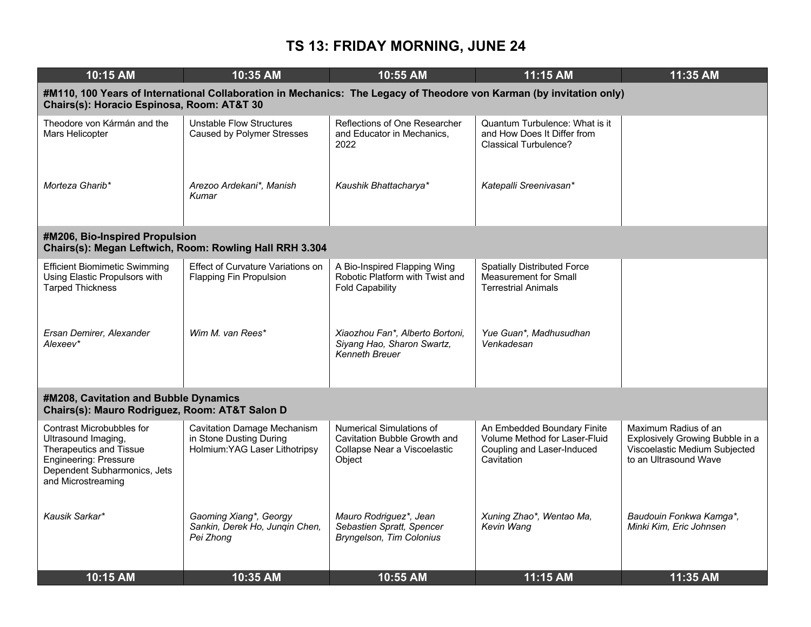| 10:15 AM                                                                                                                                                   | 10:35 AM                                                                                                             | 10:55 AM                                                                                           | 11:15 AM                                                                                                 | 11:35 AM                                                                                                          |
|------------------------------------------------------------------------------------------------------------------------------------------------------------|----------------------------------------------------------------------------------------------------------------------|----------------------------------------------------------------------------------------------------|----------------------------------------------------------------------------------------------------------|-------------------------------------------------------------------------------------------------------------------|
| Chairs(s): Horacio Espinosa, Room: AT&T 30                                                                                                                 | #M110, 100 Years of International Collaboration in Mechanics: The Legacy of Theodore von Karman (by invitation only) |                                                                                                    |                                                                                                          |                                                                                                                   |
| Theodore von Kármán and the<br>Mars Helicopter                                                                                                             | Unstable Flow Structures<br><b>Caused by Polymer Stresses</b>                                                        | Reflections of One Researcher<br>and Educator in Mechanics,<br>2022                                | Quantum Turbulence: What is it<br>and How Does It Differ from<br><b>Classical Turbulence?</b>            |                                                                                                                   |
| Morteza Gharib*                                                                                                                                            | Arezoo Ardekani*, Manish<br>Kumar                                                                                    | Kaushik Bhattacharya*                                                                              | Katepalli Sreenivasan*                                                                                   |                                                                                                                   |
| #M206, Bio-Inspired Propulsion                                                                                                                             | Chairs(s): Megan Leftwich, Room: Rowling Hall RRH 3.304                                                              |                                                                                                    |                                                                                                          |                                                                                                                   |
| <b>Efficient Biomimetic Swimming</b><br>Using Elastic Propulsors with<br><b>Tarped Thickness</b>                                                           | Effect of Curvature Variations on<br><b>Flapping Fin Propulsion</b>                                                  | A Bio-Inspired Flapping Wing<br>Robotic Platform with Twist and<br><b>Fold Capability</b>          | <b>Spatially Distributed Force</b><br>Measurement for Small<br><b>Terrestrial Animals</b>                |                                                                                                                   |
| Ersan Demirer, Alexander<br>Alexeev*                                                                                                                       | Wim M. van Rees*                                                                                                     | Xiaozhou Fan*, Alberto Bortoni,<br>Siyang Hao, Sharon Swartz,<br><b>Kenneth Breuer</b>             | Yue Guan*, Madhusudhan<br>Venkadesan                                                                     |                                                                                                                   |
| #M208, Cavitation and Bubble Dynamics<br>Chairs(s): Mauro Rodriguez, Room: AT&T Salon D                                                                    |                                                                                                                      |                                                                                                    |                                                                                                          |                                                                                                                   |
| Contrast Microbubbles for<br>Ultrasound Imaging,<br>Therapeutics and Tissue<br>Engineering: Pressure<br>Dependent Subharmonics, Jets<br>and Microstreaming | <b>Cavitation Damage Mechanism</b><br>in Stone Dusting During<br>Holmium: YAG Laser Lithotripsy                      | Numerical Simulations of<br>Cavitation Bubble Growth and<br>Collapse Near a Viscoelastic<br>Object | An Embedded Boundary Finite<br>Volume Method for Laser-Fluid<br>Coupling and Laser-Induced<br>Cavitation | Maximum Radius of an<br>Explosively Growing Bubble in a<br>Viscoelastic Medium Subjected<br>to an Ultrasound Wave |
| Kausik Sarkar*                                                                                                                                             | Gaoming Xiang*, Georgy<br>Sankin, Derek Ho, Jungin Chen,<br>Pei Zhong                                                | Mauro Rodriguez*, Jean<br>Sebastien Spratt, Spencer<br>Bryngelson, Tim Colonius                    | Xuning Zhao*, Wentao Ma,<br>Kevin Wang                                                                   | Baudouin Fonkwa Kamga*,<br>Minki Kim, Eric Johnsen                                                                |
| 10:15 AM                                                                                                                                                   | 10:35 AM                                                                                                             | 10:55 AM                                                                                           | 11:15 AM                                                                                                 | 11:35 AM                                                                                                          |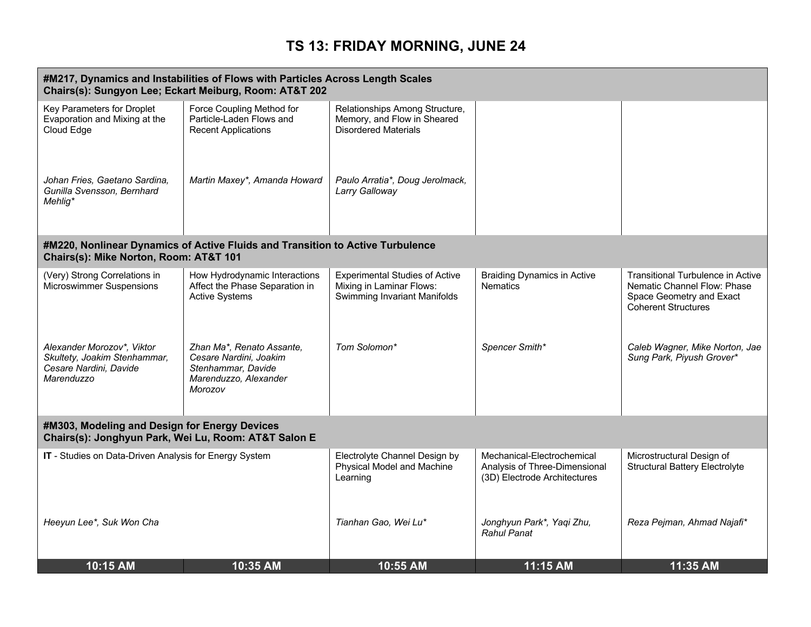| #M217, Dynamics and Instabilities of Flows with Particles Across Length Scales<br>Chairs(s): Sungyon Lee; Eckart Meiburg, Room: AT&T 202 |                                                                                                               |                                                                                                   |                                                                                             |                                                                                                                                   |
|------------------------------------------------------------------------------------------------------------------------------------------|---------------------------------------------------------------------------------------------------------------|---------------------------------------------------------------------------------------------------|---------------------------------------------------------------------------------------------|-----------------------------------------------------------------------------------------------------------------------------------|
| Key Parameters for Droplet<br>Evaporation and Mixing at the<br>Cloud Edge                                                                | Force Coupling Method for<br>Particle-Laden Flows and<br><b>Recent Applications</b>                           | Relationships Among Structure,<br>Memory, and Flow in Sheared<br><b>Disordered Materials</b>      |                                                                                             |                                                                                                                                   |
| Johan Fries, Gaetano Sardina,<br>Gunilla Svensson, Bernhard<br>Mehlig*                                                                   | Martin Maxey*, Amanda Howard                                                                                  | Paulo Arratia*, Doug Jerolmack,<br>Larry Galloway                                                 |                                                                                             |                                                                                                                                   |
| Chairs(s): Mike Norton, Room: AT&T 101                                                                                                   | #M220, Nonlinear Dynamics of Active Fluids and Transition to Active Turbulence                                |                                                                                                   |                                                                                             |                                                                                                                                   |
| (Very) Strong Correlations in<br><b>Microswimmer Suspensions</b>                                                                         | How Hydrodynamic Interactions<br>Affect the Phase Separation in<br><b>Active Systems</b>                      | <b>Experimental Studies of Active</b><br>Mixing in Laminar Flows:<br>Swimming Invariant Manifolds | <b>Braiding Dynamics in Active</b><br><b>Nematics</b>                                       | <b>Transitional Turbulence in Active</b><br>Nematic Channel Flow: Phase<br>Space Geometry and Exact<br><b>Coherent Structures</b> |
| Alexander Morozov*, Viktor<br>Skultety, Joakim Stenhammar,<br>Cesare Nardini, Davide<br>Marenduzzo                                       | Zhan Ma*, Renato Assante,<br>Cesare Nardini, Joakim<br>Stenhammar, Davide<br>Marenduzzo, Alexander<br>Morozov | Tom Solomon*                                                                                      | Spencer Smith*                                                                              | Caleb Wagner, Mike Norton, Jae<br>Sung Park, Piyush Grover*                                                                       |
| #M303, Modeling and Design for Energy Devices<br>Chairs(s): Jonghyun Park, Wei Lu, Room: AT&T Salon E                                    |                                                                                                               |                                                                                                   |                                                                                             |                                                                                                                                   |
| IT - Studies on Data-Driven Analysis for Energy System                                                                                   |                                                                                                               | Electrolyte Channel Design by<br>Physical Model and Machine<br>Learning                           | Mechanical-Electrochemical<br>Analysis of Three-Dimensional<br>(3D) Electrode Architectures | Microstructural Design of<br><b>Structural Battery Electrolyte</b>                                                                |
| Heeyun Lee*, Suk Won Cha                                                                                                                 |                                                                                                               | Tianhan Gao, Wei Lu*                                                                              | Jonghyun Park*, Yaqi Zhu,<br><b>Rahul Panat</b>                                             | Reza Pejman, Ahmad Najafi*                                                                                                        |
| 10:15 AM                                                                                                                                 | 10:35 AM                                                                                                      | 10:55 AM                                                                                          | 11:15 AM                                                                                    | 11:35 AM                                                                                                                          |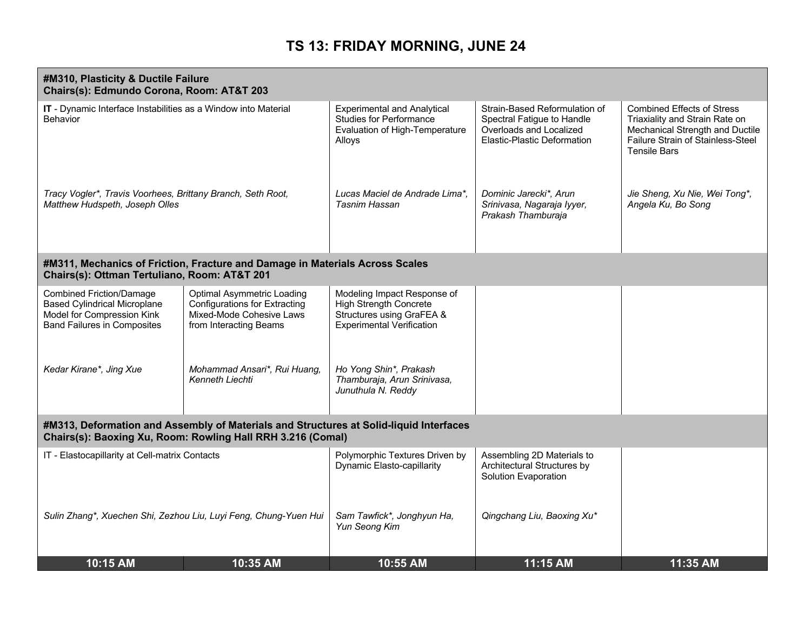| #M310, Plasticity & Ductile Failure<br>Chairs(s): Edmundo Corona, Room: AT&T 203                                                                      |                                                                                                                                 |                                                                                                                               |                                                                                                                       |                                                                                                                                                                    |
|-------------------------------------------------------------------------------------------------------------------------------------------------------|---------------------------------------------------------------------------------------------------------------------------------|-------------------------------------------------------------------------------------------------------------------------------|-----------------------------------------------------------------------------------------------------------------------|--------------------------------------------------------------------------------------------------------------------------------------------------------------------|
| IT - Dynamic Interface Instabilities as a Window into Material<br>Behavior                                                                            |                                                                                                                                 | <b>Experimental and Analytical</b><br><b>Studies for Performance</b><br>Evaluation of High-Temperature<br>Alloys              | Strain-Based Reformulation of<br>Spectral Fatigue to Handle<br>Overloads and Localized<br>Elastic-Plastic Deformation | <b>Combined Effects of Stress</b><br>Triaxiality and Strain Rate on<br>Mechanical Strength and Ductile<br>Failure Strain of Stainless-Steel<br><b>Tensile Bars</b> |
| Tracy Vogler*, Travis Voorhees, Brittany Branch, Seth Root,<br>Matthew Hudspeth, Joseph Olles                                                         |                                                                                                                                 | Lucas Maciel de Andrade Lima*.<br>Tasnim Hassan                                                                               | Dominic Jarecki*, Arun<br>Srinivasa, Nagaraja lyyer,<br>Prakash Thamburaja                                            | Jie Sheng, Xu Nie, Wei Tong*,<br>Angela Ku, Bo Song                                                                                                                |
| Chairs(s): Ottman Tertuliano, Room: AT&T 201                                                                                                          | #M311, Mechanics of Friction, Fracture and Damage in Materials Across Scales                                                    |                                                                                                                               |                                                                                                                       |                                                                                                                                                                    |
| <b>Combined Friction/Damage</b><br><b>Based Cylindrical Microplane</b><br>Model for Compression Kink<br><b>Band Failures in Composites</b>            | <b>Optimal Asymmetric Loading</b><br><b>Configurations for Extracting</b><br>Mixed-Mode Cohesive Laws<br>from Interacting Beams | Modeling Impact Response of<br><b>High Strength Concrete</b><br>Structures using GraFEA &<br><b>Experimental Verification</b> |                                                                                                                       |                                                                                                                                                                    |
| Kedar Kirane*, Jing Xue                                                                                                                               | Mohammad Ansari*, Rui Huang,<br>Kenneth Liechti                                                                                 | Ho Yong Shin*, Prakash<br>Thamburaja, Arun Srinivasa,<br>Junuthula N. Reddy                                                   |                                                                                                                       |                                                                                                                                                                    |
| #M313, Deformation and Assembly of Materials and Structures at Solid-liquid Interfaces<br>Chairs(s): Baoxing Xu, Room: Rowling Hall RRH 3.216 (Comal) |                                                                                                                                 |                                                                                                                               |                                                                                                                       |                                                                                                                                                                    |
| IT - Elastocapillarity at Cell-matrix Contacts                                                                                                        |                                                                                                                                 | Polymorphic Textures Driven by<br><b>Dynamic Elasto-capillarity</b>                                                           | Assembling 2D Materials to<br>Architectural Structures by<br>Solution Evaporation                                     |                                                                                                                                                                    |
|                                                                                                                                                       | Sulin Zhang*, Xuechen Shi, Zezhou Liu, Luyi Feng, Chung-Yuen Hui                                                                | Sam Tawfick*, Jonghyun Ha,<br>Yun Seong Kim                                                                                   | Qingchang Liu, Baoxing Xu*                                                                                            |                                                                                                                                                                    |
| 10:15 AM                                                                                                                                              | 10:35 AM                                                                                                                        | 10:55 AM                                                                                                                      | 11:15 AM                                                                                                              | 11:35 AM                                                                                                                                                           |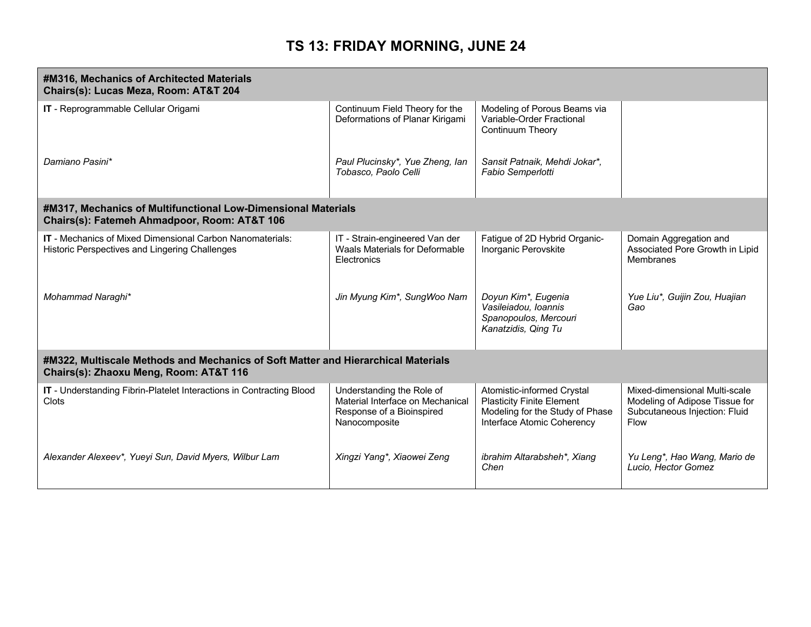| #M316, Mechanics of Architected Materials<br>Chairs(s): Lucas Meza, Room: AT&T 204                                          |                                                                                                             |                                                                                                                                 |                                                                                                          |
|-----------------------------------------------------------------------------------------------------------------------------|-------------------------------------------------------------------------------------------------------------|---------------------------------------------------------------------------------------------------------------------------------|----------------------------------------------------------------------------------------------------------|
| IT - Reprogrammable Cellular Origami                                                                                        | Continuum Field Theory for the<br>Deformations of Planar Kirigami                                           | Modeling of Porous Beams via<br>Variable-Order Fractional<br><b>Continuum Theory</b>                                            |                                                                                                          |
| Damiano Pasini*                                                                                                             | Paul Plucinsky*, Yue Zheng, lan<br>Tobasco, Paolo Celli                                                     | Sansit Patnaik, Mehdi Jokar*,<br>Fabio Semperlotti                                                                              |                                                                                                          |
| #M317, Mechanics of Multifunctional Low-Dimensional Materials<br>Chairs(s): Fatemeh Ahmadpoor, Room: AT&T 106               |                                                                                                             |                                                                                                                                 |                                                                                                          |
| <b>IT</b> - Mechanics of Mixed Dimensional Carbon Nanomaterials:<br>Historic Perspectives and Lingering Challenges          | IT - Strain-engineered Van der<br>Waals Materials for Deformable<br>Electronics                             | Fatigue of 2D Hybrid Organic-<br>Inorganic Perovskite                                                                           | Domain Aggregation and<br>Associated Pore Growth in Lipid<br><b>Membranes</b>                            |
| Mohammad Naraghi*                                                                                                           | Jin Myung Kim*, SungWoo Nam                                                                                 | Doyun Kim*, Eugenia<br>Vasileiadou, Ioannis<br>Spanopoulos, Mercouri<br>Kanatzidis, Qing Tu                                     | Yue Liu*, Guijin Zou, Huajian<br>Gao                                                                     |
| #M322, Multiscale Methods and Mechanics of Soft Matter and Hierarchical Materials<br>Chairs(s): Zhaoxu Meng, Room: AT&T 116 |                                                                                                             |                                                                                                                                 |                                                                                                          |
| IT - Understanding Fibrin-Platelet Interactions in Contracting Blood<br>Clots                                               | Understanding the Role of<br>Material Interface on Mechanical<br>Response of a Bioinspired<br>Nanocomposite | Atomistic-informed Crystal<br><b>Plasticity Finite Element</b><br>Modeling for the Study of Phase<br>Interface Atomic Coherency | Mixed-dimensional Multi-scale<br>Modeling of Adipose Tissue for<br>Subcutaneous Injection: Fluid<br>Flow |
| Alexander Alexeev*, Yueyi Sun, David Myers, Wilbur Lam                                                                      | Xingzi Yang*, Xiaowei Zeng                                                                                  | ibrahim Altarabsheh*, Xiang<br>Chen                                                                                             | Yu Leng*, Hao Wang, Mario de<br>Lucio, Hector Gomez                                                      |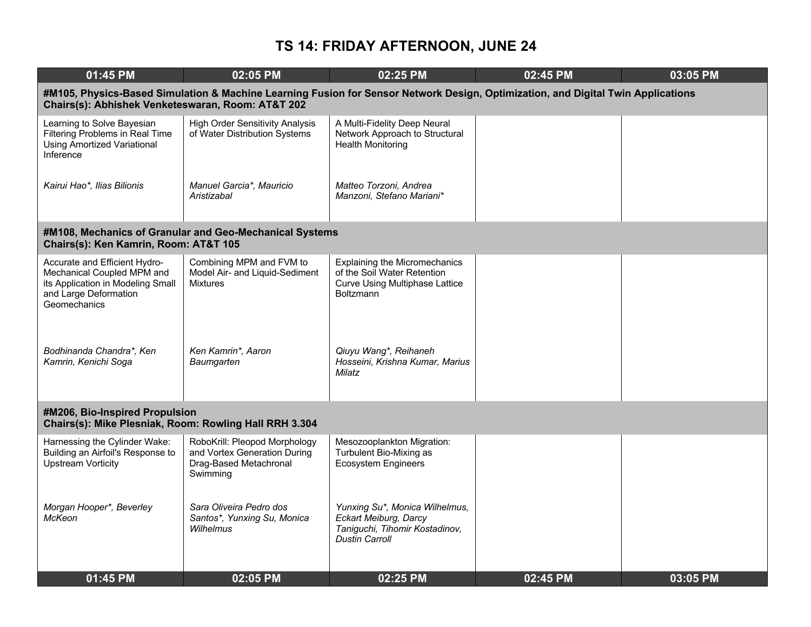| 01:45 PM                                                                                                                                  | 02:05 PM                                                                                                                         | 02:25 PM                                                                                                                         | 02:45 PM | 03:05 PM |
|-------------------------------------------------------------------------------------------------------------------------------------------|----------------------------------------------------------------------------------------------------------------------------------|----------------------------------------------------------------------------------------------------------------------------------|----------|----------|
| Chairs(s): Abhishek Venketeswaran, Room: AT&T 202                                                                                         | #M105, Physics-Based Simulation & Machine Learning Fusion for Sensor Network Design, Optimization, and Digital Twin Applications |                                                                                                                                  |          |          |
| Learning to Solve Bayesian<br><b>Filtering Problems in Real Time</b><br><b>Using Amortized Variational</b><br>Inference                   | <b>High Order Sensitivity Analysis</b><br>of Water Distribution Systems                                                          | A Multi-Fidelity Deep Neural<br>Network Approach to Structural<br><b>Health Monitoring</b>                                       |          |          |
| Kairui Hao*, Ilias Bilionis                                                                                                               | Manuel Garcia*, Mauricio<br>Aristizabal                                                                                          | Matteo Torzoni, Andrea<br>Manzoni, Stefano Mariani*                                                                              |          |          |
| Chairs(s): Ken Kamrin, Room: AT&T 105                                                                                                     | #M108, Mechanics of Granular and Geo-Mechanical Systems                                                                          |                                                                                                                                  |          |          |
| Accurate and Efficient Hydro-<br>Mechanical Coupled MPM and<br>its Application in Modeling Small<br>and Large Deformation<br>Geomechanics | Combining MPM and FVM to<br>Model Air- and Liquid-Sediment<br><b>Mixtures</b>                                                    | <b>Explaining the Micromechanics</b><br>of the Soil Water Retention<br><b>Curve Using Multiphase Lattice</b><br><b>Boltzmann</b> |          |          |
| Bodhinanda Chandra*, Ken<br>Kamrin, Kenichi Soga                                                                                          | Ken Kamrin*, Aaron<br>Baumgarten                                                                                                 | Qiuyu Wang*, Reihaneh<br>Hosseini, Krishna Kumar, Marius<br>Milatz                                                               |          |          |
| #M206, Bio-Inspired Propulsion<br>Chairs(s): Mike Plesniak, Room: Rowling Hall RRH 3.304                                                  |                                                                                                                                  |                                                                                                                                  |          |          |
| Harnessing the Cylinder Wake:<br>Building an Airfoil's Response to<br><b>Upstream Vorticity</b>                                           | RoboKrill: Pleopod Morphology<br>and Vortex Generation During<br>Drag-Based Metachronal<br>Swimming                              | Mesozooplankton Migration:<br>Turbulent Bio-Mixing as<br><b>Ecosystem Engineers</b>                                              |          |          |
| Morgan Hooper*, Beverley<br><b>McKeon</b>                                                                                                 | Sara Oliveira Pedro dos<br>Santos*, Yunxing Su, Monica<br>Wilhelmus                                                              | Yunxing Su*, Monica Wilhelmus,<br>Eckart Meiburg, Darcy<br>Taniguchi, Tihomir Kostadinov,<br><b>Dustin Carroll</b>               |          |          |
| 01:45 PM                                                                                                                                  | 02:05 PM                                                                                                                         | 02:25 PM                                                                                                                         | 02:45 PM | 03:05 PM |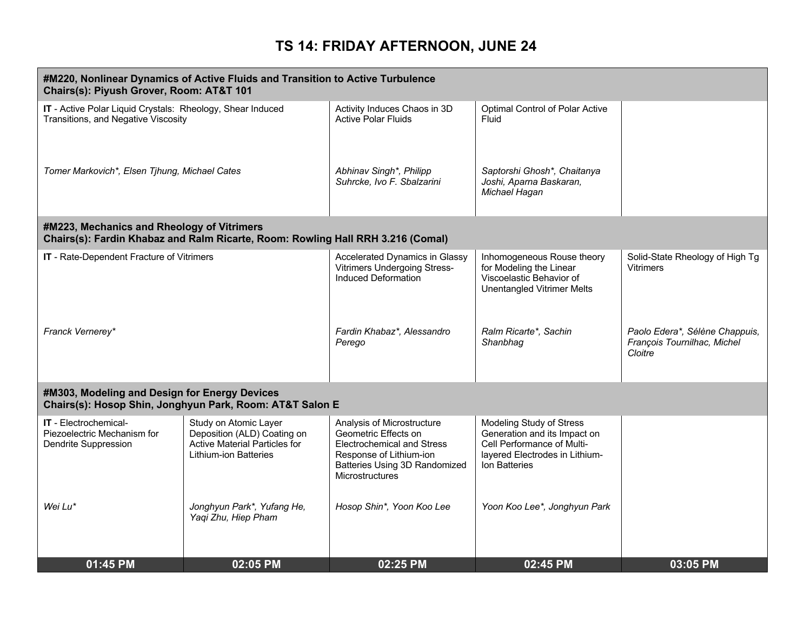|                                                                                                   | #M220, Nonlinear Dynamics of Active Fluids and Transition to Active Turbulence<br>Chairs(s): Piyush Grover, Room: AT&T 101   |                                                                                                                                                                               |                                                                                                                                           |                                                                          |  |  |
|---------------------------------------------------------------------------------------------------|------------------------------------------------------------------------------------------------------------------------------|-------------------------------------------------------------------------------------------------------------------------------------------------------------------------------|-------------------------------------------------------------------------------------------------------------------------------------------|--------------------------------------------------------------------------|--|--|
| IT - Active Polar Liquid Crystals: Rheology, Shear Induced<br>Transitions, and Negative Viscosity |                                                                                                                              | Activity Induces Chaos in 3D<br><b>Active Polar Fluids</b>                                                                                                                    | Optimal Control of Polar Active<br>Fluid                                                                                                  |                                                                          |  |  |
| Tomer Markovich*, Elsen Tjhung, Michael Cates                                                     |                                                                                                                              | Abhinav Singh*, Philipp<br>Suhrcke, Ivo F. Sbalzarini                                                                                                                         | Saptorshi Ghosh*, Chaitanya<br>Joshi, Aparna Baskaran,<br>Michael Hagan                                                                   |                                                                          |  |  |
| #M223, Mechanics and Rheology of Vitrimers                                                        | Chairs(s): Fardin Khabaz and Ralm Ricarte, Room: Rowling Hall RRH 3.216 (Comal)                                              |                                                                                                                                                                               |                                                                                                                                           |                                                                          |  |  |
| IT - Rate-Dependent Fracture of Vitrimers                                                         |                                                                                                                              | Accelerated Dynamics in Glassy<br><b>Vitrimers Undergoing Stress-</b><br>Induced Deformation                                                                                  | Inhomogeneous Rouse theory<br>for Modeling the Linear<br>Viscoelastic Behavior of<br><b>Unentangled Vitrimer Melts</b>                    | Solid-State Rheology of High Tg<br><b>Vitrimers</b>                      |  |  |
| Franck Vernerey*                                                                                  |                                                                                                                              | Fardin Khabaz*, Alessandro<br>Perego                                                                                                                                          | Ralm Ricarte*, Sachin<br>Shanbhag                                                                                                         | Paolo Edera*, Sélène Chappuis,<br>François Tournilhac, Michel<br>Cloitre |  |  |
| #M303, Modeling and Design for Energy Devices                                                     | Chairs(s): Hosop Shin, Jonghyun Park, Room: AT&T Salon E                                                                     |                                                                                                                                                                               |                                                                                                                                           |                                                                          |  |  |
| <b>IT</b> - Electrochemical-<br>Piezoelectric Mechanism for<br>Dendrite Suppression               | Study on Atomic Layer<br>Deposition (ALD) Coating on<br><b>Active Material Particles for</b><br><b>Lithium-ion Batteries</b> | Analysis of Microstructure<br>Geometric Effects on<br><b>Electrochemical and Stress</b><br>Response of Lithium-ion<br>Batteries Using 3D Randomized<br><b>Microstructures</b> | Modeling Study of Stress<br>Generation and its Impact on<br>Cell Performance of Multi-<br>layered Electrodes in Lithium-<br>Ion Batteries |                                                                          |  |  |
| Wei Lu*                                                                                           | Jonghyun Park*, Yufang He,<br>Yaqi Zhu, Hiep Pham                                                                            | Hosop Shin*, Yoon Koo Lee                                                                                                                                                     | Yoon Koo Lee*, Jonghyun Park                                                                                                              |                                                                          |  |  |
| 01:45 PM                                                                                          | 02:05 PM                                                                                                                     | 02:25 PM                                                                                                                                                                      | 02:45 PM                                                                                                                                  | 03:05 PM                                                                 |  |  |